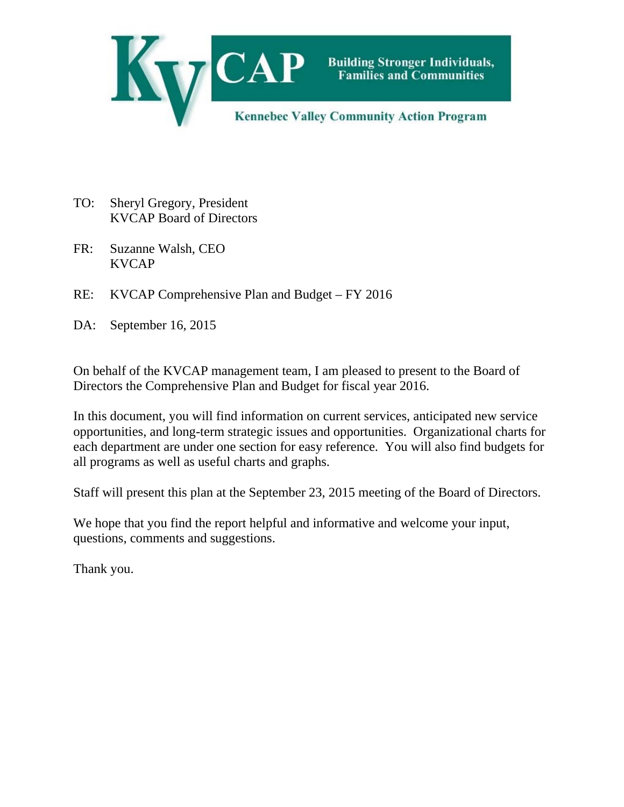

- TO: Sheryl Gregory, President KVCAP Board of Directors
- FR: Suzanne Walsh, CEO KVCAP
- RE: KVCAP Comprehensive Plan and Budget FY 2016
- DA: September 16, 2015

On behalf of the KVCAP management team, I am pleased to present to the Board of Directors the Comprehensive Plan and Budget for fiscal year 2016.

In this document, you will find information on current services, anticipated new service opportunities, and long-term strategic issues and opportunities. Organizational charts for each department are under one section for easy reference. You will also find budgets for all programs as well as useful charts and graphs.

Staff will present this plan at the September 23, 2015 meeting of the Board of Directors.

We hope that you find the report helpful and informative and welcome your input, questions, comments and suggestions.

Thank you.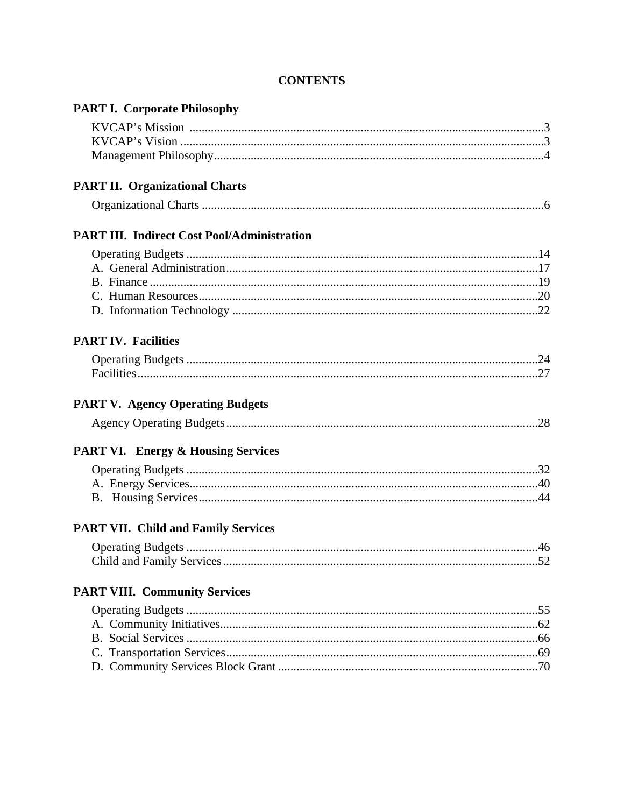| <b>PART I. Corporate Philosophy</b>                |  |
|----------------------------------------------------|--|
|                                                    |  |
|                                                    |  |
|                                                    |  |
| <b>PART II. Organizational Charts</b>              |  |
|                                                    |  |
| <b>PART III. Indirect Cost Pool/Administration</b> |  |
|                                                    |  |
|                                                    |  |
|                                                    |  |
|                                                    |  |
|                                                    |  |
| <b>PART IV. Facilities</b>                         |  |
|                                                    |  |
|                                                    |  |
| <b>PART V. Agency Operating Budgets</b>            |  |
| <b>PART VI. Energy &amp; Housing Services</b>      |  |
|                                                    |  |
|                                                    |  |
|                                                    |  |
| <b>PART VII. Child and Family Services</b>         |  |
|                                                    |  |
|                                                    |  |
| <b>PART VIII. Community Services</b>               |  |
|                                                    |  |
|                                                    |  |
|                                                    |  |
|                                                    |  |
|                                                    |  |
|                                                    |  |

## **CONTENTS**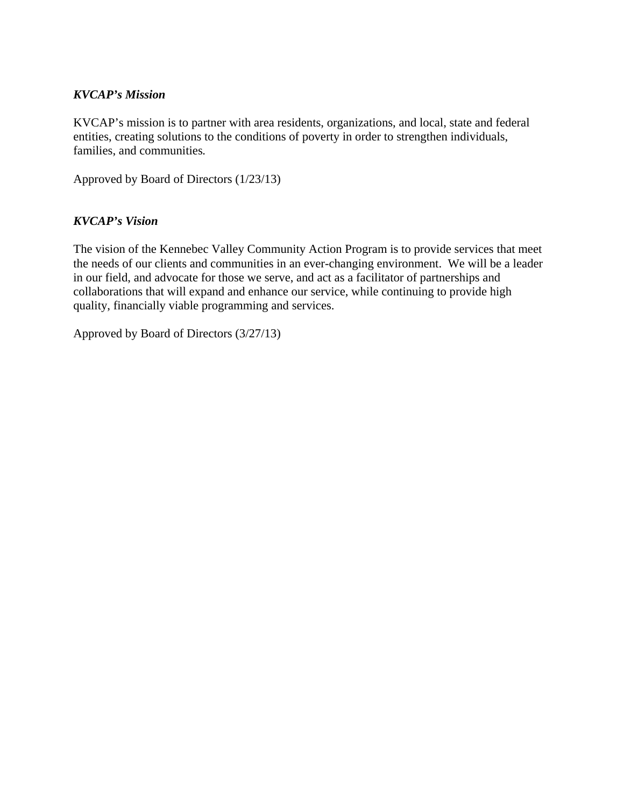#### *KVCAP's Mission*

KVCAP's mission is to partner with area residents, organizations, and local, state and federal entities, creating solutions to the conditions of poverty in order to strengthen individuals, families, and communities*.* 

Approved by Board of Directors (1/23/13)

#### *KVCAP's Vision*

The vision of the Kennebec Valley Community Action Program is to provide services that meet the needs of our clients and communities in an ever-changing environment. We will be a leader in our field, and advocate for those we serve, and act as a facilitator of partnerships and collaborations that will expand and enhance our service, while continuing to provide high quality, financially viable programming and services.

Approved by Board of Directors (3/27/13)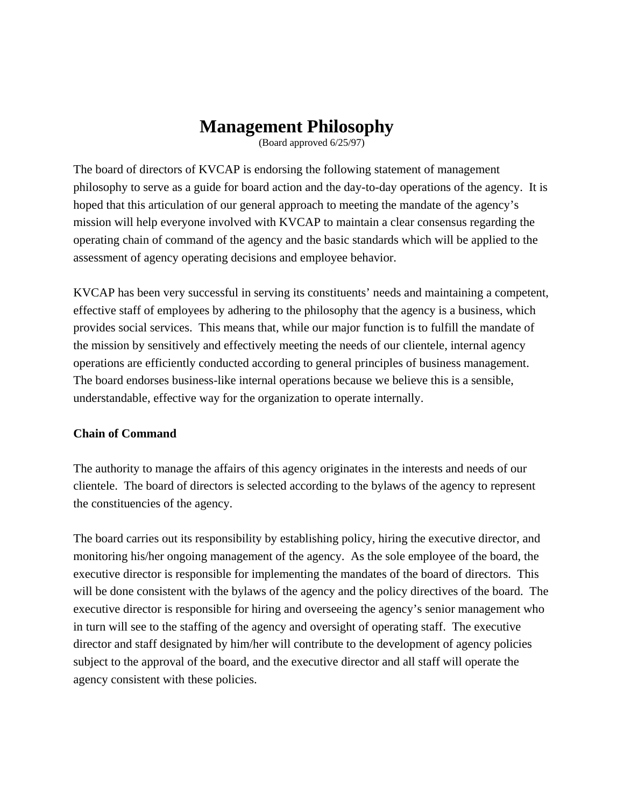# **Management Philosophy**

(Board approved 6/25/97)

The board of directors of KVCAP is endorsing the following statement of management philosophy to serve as a guide for board action and the day-to-day operations of the agency. It is hoped that this articulation of our general approach to meeting the mandate of the agency's mission will help everyone involved with KVCAP to maintain a clear consensus regarding the operating chain of command of the agency and the basic standards which will be applied to the assessment of agency operating decisions and employee behavior.

KVCAP has been very successful in serving its constituents' needs and maintaining a competent, effective staff of employees by adhering to the philosophy that the agency is a business, which provides social services. This means that, while our major function is to fulfill the mandate of the mission by sensitively and effectively meeting the needs of our clientele, internal agency operations are efficiently conducted according to general principles of business management. The board endorses business-like internal operations because we believe this is a sensible, understandable, effective way for the organization to operate internally.

#### **Chain of Command**

The authority to manage the affairs of this agency originates in the interests and needs of our clientele. The board of directors is selected according to the bylaws of the agency to represent the constituencies of the agency.

The board carries out its responsibility by establishing policy, hiring the executive director, and monitoring his/her ongoing management of the agency. As the sole employee of the board, the executive director is responsible for implementing the mandates of the board of directors. This will be done consistent with the bylaws of the agency and the policy directives of the board. The executive director is responsible for hiring and overseeing the agency's senior management who in turn will see to the staffing of the agency and oversight of operating staff. The executive director and staff designated by him/her will contribute to the development of agency policies subject to the approval of the board, and the executive director and all staff will operate the agency consistent with these policies.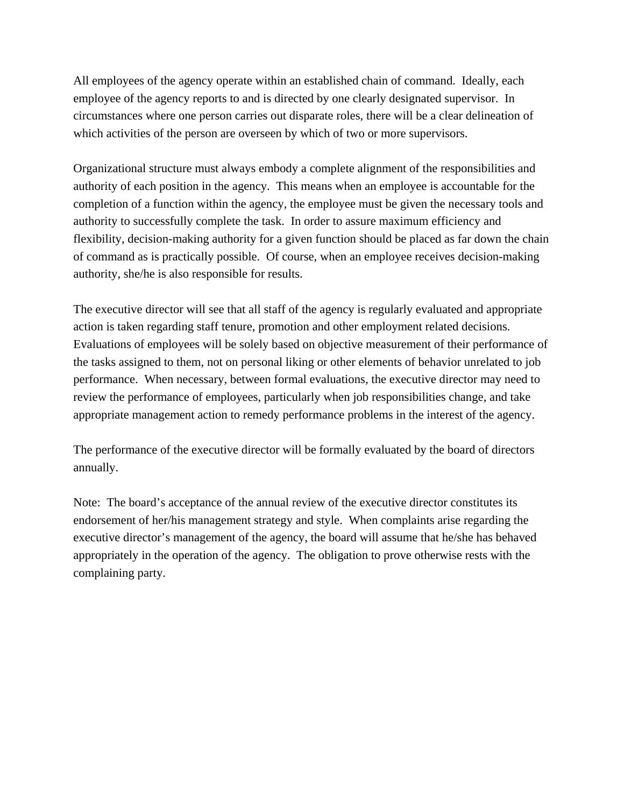All employees of the agency operate within an established chain of command. Ideally, each employee of the agency reports to and is directed by one clearly designated supervisor. In circumstances where one person carries out disparate roles, there will be a clear delineation of which activities of the person are overseen by which of two or more supervisors.

Organizational structure must always embody a complete alignment of the responsibilities and authority of each position in the agency. This means when an employee is accountable for the completion of a function within the agency, the employee must be given the necessary tools and authority to successfully complete the task. In order to assure maximum efficiency and flexibility, decision-making authority for a given function should be placed as far down the chain of command as is practically possible. Of course, when an employee receives decision-making authority, she/he is also responsible for results.

The executive director will see that all staff of the agency is regularly evaluated and appropriate action is taken regarding staff tenure, promotion and other employment related decisions. Evaluations of employees will be solely based on objective measurement of their performance of the tasks assigned to them, not on personal liking or other elements of behavior unrelated to job performance. When necessary, between formal evaluations, the executive director may need to review the performance of employees, particularly when job responsibilities change, and take appropriate management action to remedy performance problems in the interest of the agency.

The performance of the executive director will be formally evaluated by the board of directors annually.

Note: The board's acceptance of the annual review of the executive director constitutes its endorsement of her/his management strategy and style. When complaints arise regarding the executive director's management of the agency, the board will assume that he/she has behaved appropriately in the operation of the agency. The obligation to prove otherwise rests with the complaining party.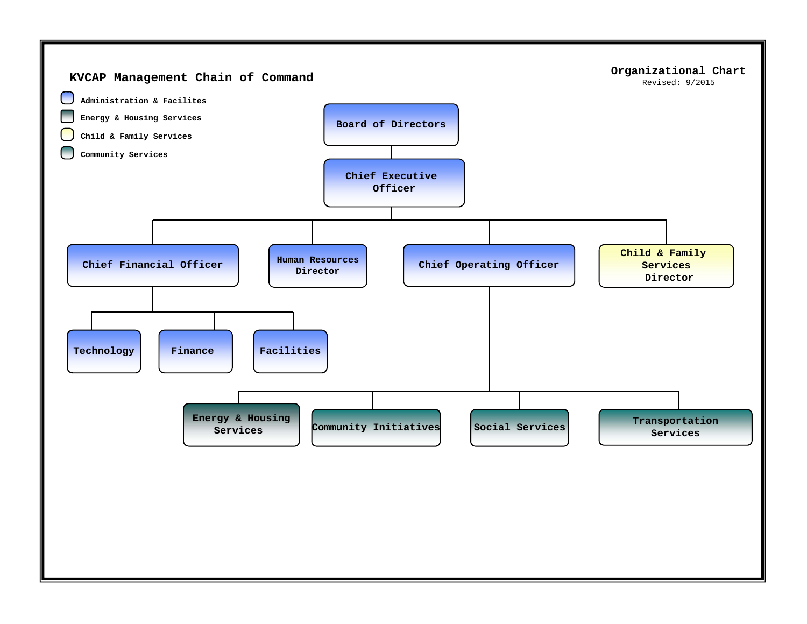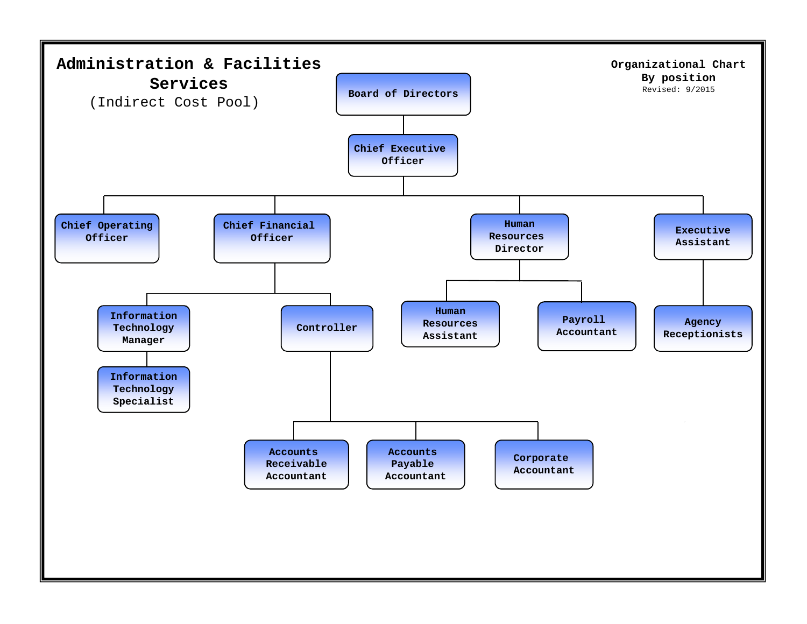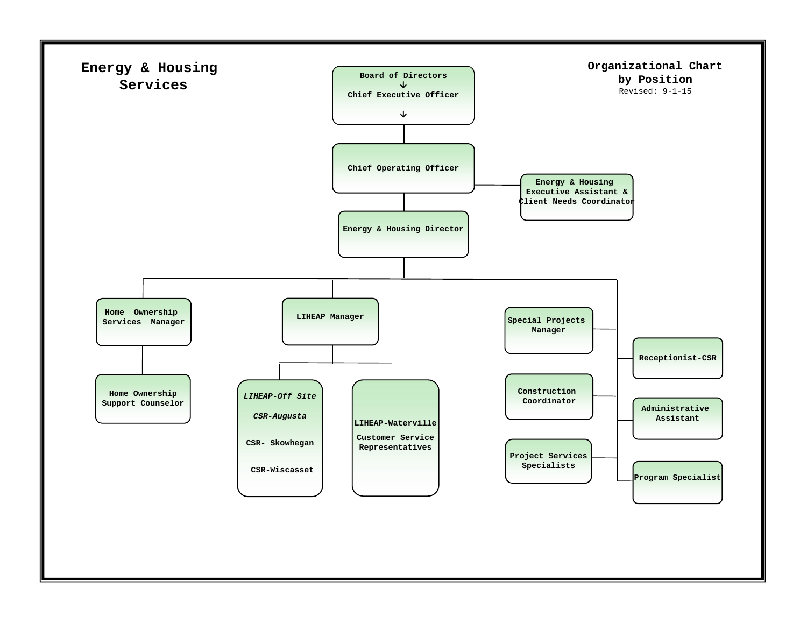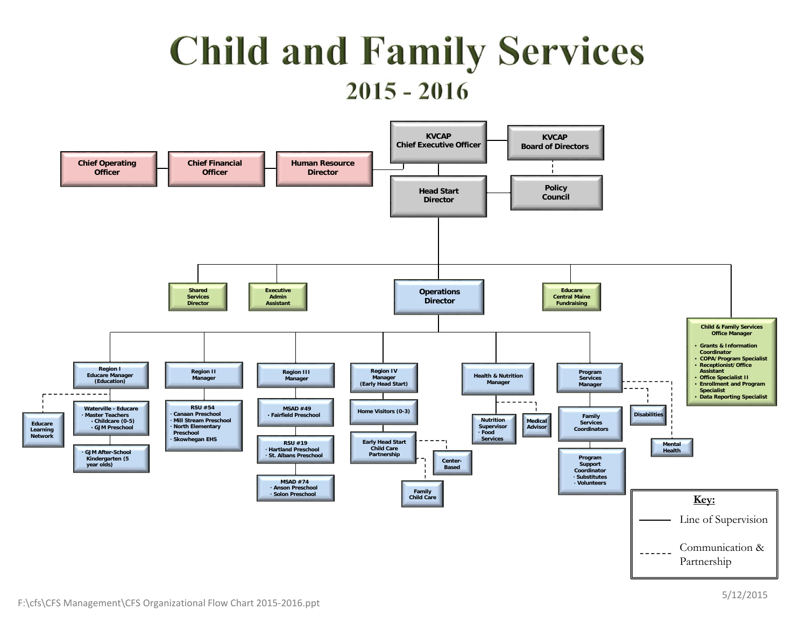# **Child and Family Services**  $2015 - 2016$

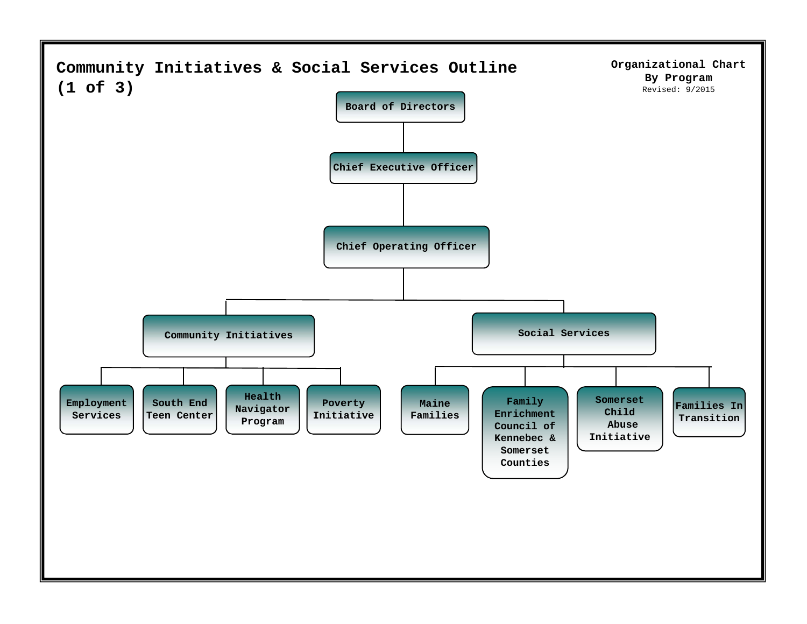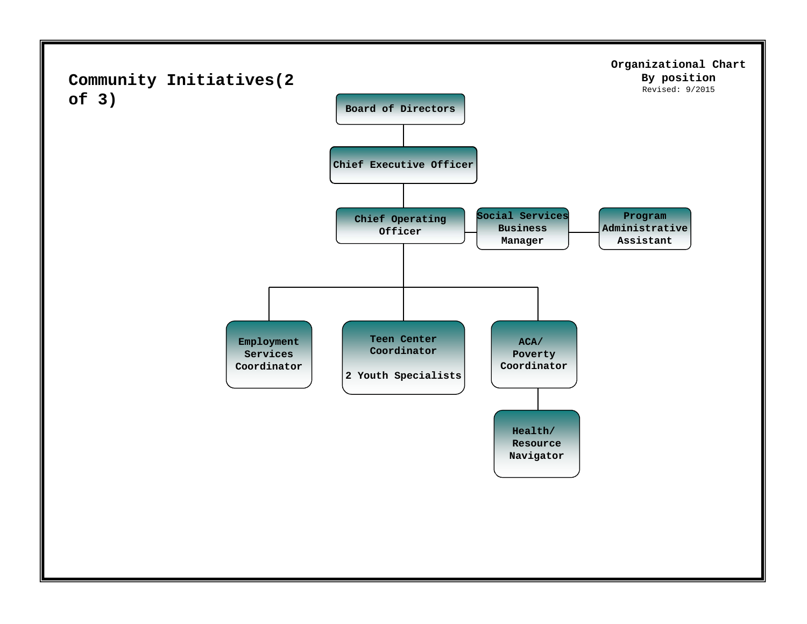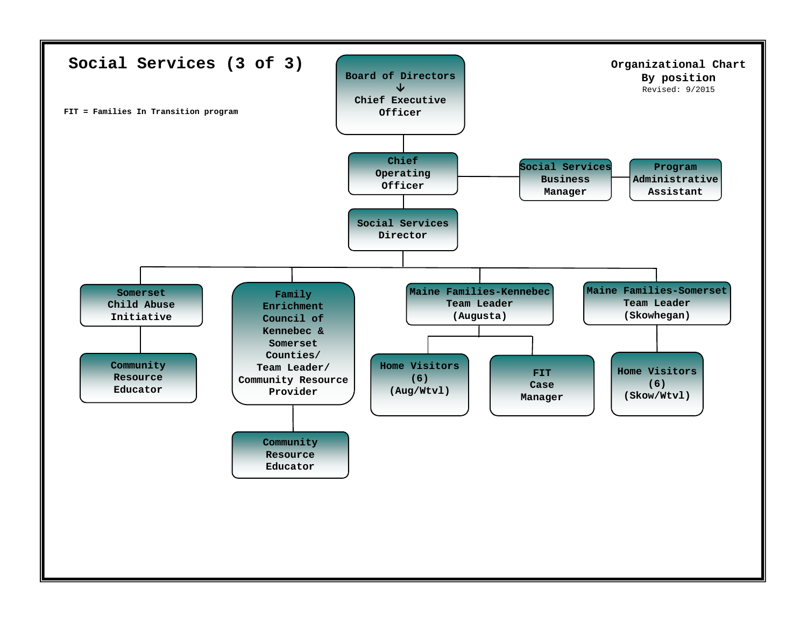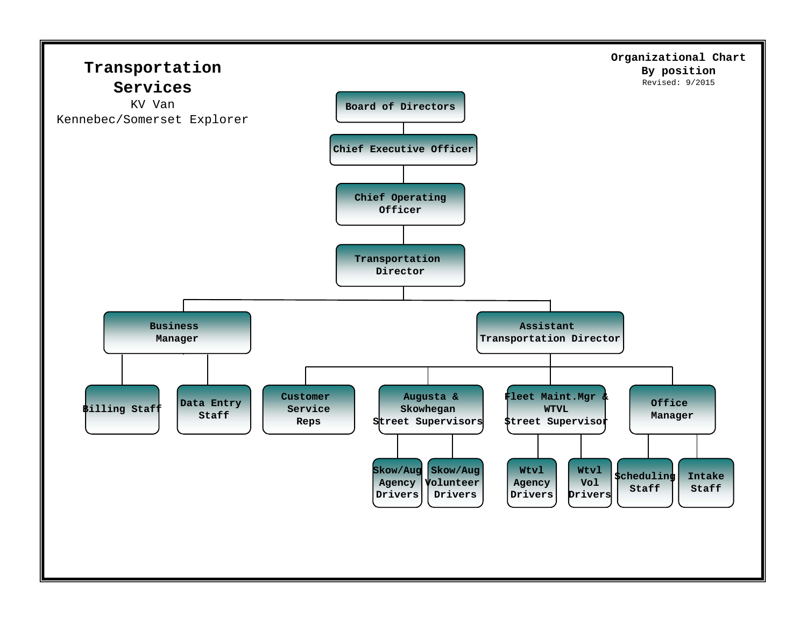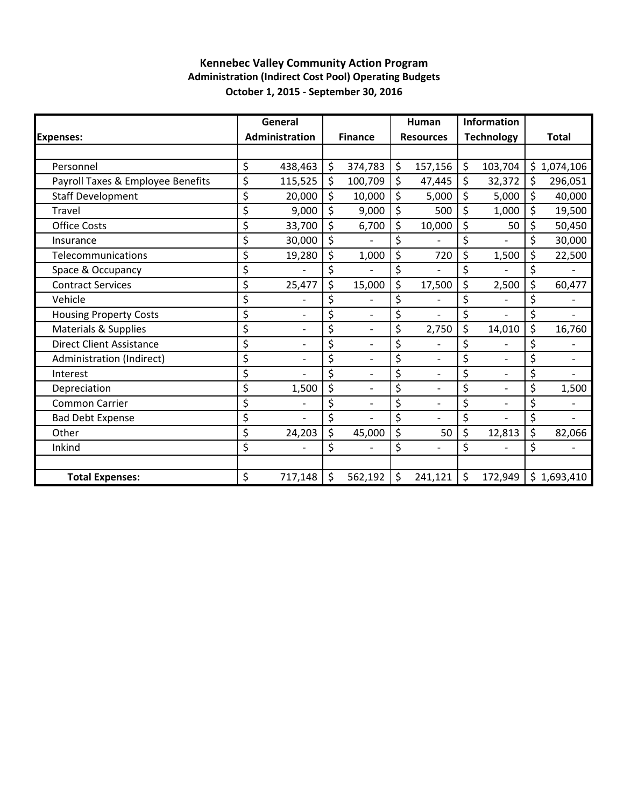### **Kennebec Valley Community Action Program Administration (Indirect Cost Pool) Operating Budgets October 1, 2015 ‐ September 30, 2016**

|                                   | General              |         |                |                    | Human            |                    | Information       |               |
|-----------------------------------|----------------------|---------|----------------|--------------------|------------------|--------------------|-------------------|---------------|
| <b>Expenses:</b>                  | Administration       |         | <b>Finance</b> |                    | <b>Resources</b> |                    | <b>Technology</b> | <b>Total</b>  |
|                                   |                      |         |                |                    |                  |                    |                   |               |
| Personnel                         | \$<br>438,463        | \$      | 374,783        | \$                 | 157,156          | $\zeta$            | 103,704           | \$1,074,106   |
| Payroll Taxes & Employee Benefits | \$<br>115,525        | \$      | 100,709        | \$                 | 47,445           | $\zeta$            | 32,372            | \$<br>296,051 |
| <b>Staff Development</b>          | \$<br>20,000         | \$      | 10,000         | \$                 | 5,000            | \$                 | 5,000             | \$<br>40,000  |
| <b>Travel</b>                     | \$<br>9,000          | \$      | 9,000          | \$                 | 500              | \$                 | 1,000             | \$<br>19,500  |
| <b>Office Costs</b>               | \$<br>33,700         | \$      | 6,700          | \$                 | 10,000           | \$                 | 50                | \$<br>50,450  |
| Insurance                         | \$<br>30,000         | \$      |                | \$                 |                  | \$                 |                   | \$<br>30,000  |
| Telecommunications                | \$<br>19,280         | \$      | 1,000          | \$                 | 720              | \$                 | 1,500             | \$<br>22,500  |
| Space & Occupancy                 | \$                   | \$      |                | \$                 |                  | \$                 |                   | \$            |
| <b>Contract Services</b>          | \$<br>25,477         | \$      | 15,000         | \$                 | 17,500           | \$                 | 2,500             | \$<br>60,477  |
| Vehicle                           | \$                   | \$      |                | \$                 |                  | \$                 |                   | \$            |
| <b>Housing Property Costs</b>     | \$                   | \$      |                | \$                 |                  | \$                 |                   | \$            |
| <b>Materials &amp; Supplies</b>   | \$                   | \$      |                | \$                 | 2,750            | \$                 | 14,010            | \$<br>16,760  |
| <b>Direct Client Assistance</b>   | \$                   | \$      |                | \$                 |                  | \$                 |                   | \$            |
| Administration (Indirect)         | \$<br>$\overline{a}$ | \$      |                | \$                 |                  | \$                 |                   | \$            |
| Interest                          | \$                   | \$      |                | \$                 |                  | \$                 |                   | \$            |
| Depreciation                      | \$<br>1,500          | \$      |                | \$                 | $\overline{a}$   | \$                 |                   | \$<br>1,500   |
| <b>Common Carrier</b>             | \$                   | \$      |                | \$                 |                  | \$                 |                   | \$            |
| <b>Bad Debt Expense</b>           | \$<br>$\overline{a}$ | \$      |                | \$                 | $\overline{a}$   | \$                 |                   | \$            |
| Other                             | \$<br>24,203         | \$      | 45,000         | \$                 | 50               | $\zeta$            | 12,813            | \$<br>82,066  |
| Inkind                            | \$                   | \$      |                | \$                 |                  | \$                 |                   | \$            |
|                                   |                      |         |                |                    |                  |                    |                   |               |
| <b>Total Expenses:</b>            | \$<br>717,148        | $\zeta$ | 562,192        | $\mathsf{\hat{S}}$ | 241,121          | $\mathsf{\hat{S}}$ | 172,949           | \$1,693,410   |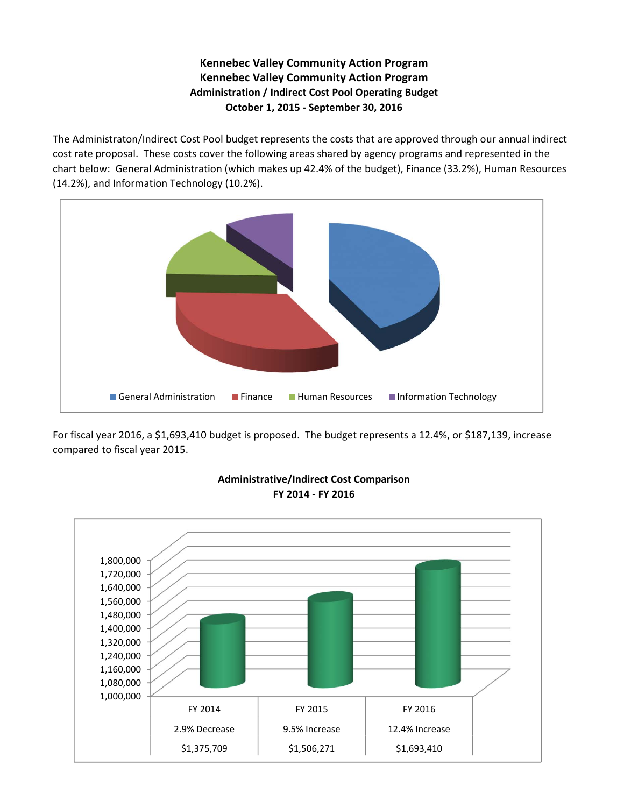### **Kennebec Valley Community Action Program Kennebec Valley Community Action Program Administration / Indirect Cost Pool Operating Budget October 1, 2015 ‐ September 30, 2016**

The Administraton/Indirect Cost Pool budget represents the costs that are approved through our annual indirect cost rate proposal. These costs cover the following areas shared by agency programs and represented in the chart below: General Administration (which makes up 42.4% of the budget), Finance (33.2%), Human Resources (14.2%), and Information Technology (10.2%).



For fiscal year 2016, a \$1,693,410 budget is proposed. The budget represents a 12.4%, or \$187,139, increase compared to fiscal year 2015.



#### **Administrative/Indirect Cost Comparison FY 2014 ‐ FY 2016**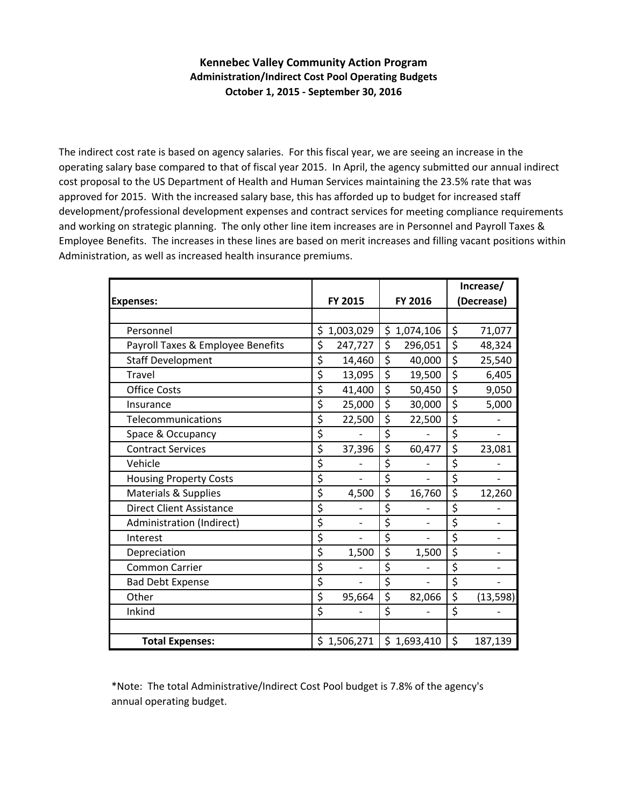#### **Kennebec Valley Community Action Program Administration/Indirect Cost Pool Operating Budgets October 1, 2015 ‐ September 30, 2016**

The indirect cost rate is based on agency salaries. For this fiscal year, we are seeing an increase in the operating salary base compared to that of fiscal year 2015. In April, the agency submitted our annual indirect cost proposal to the US Department of Health and Human Services maintaining the 23.5% rate that was approved for 2015. With the increased salary base, this has afforded up to budget for increased staff development/professional development expenses and contract services for meeting compliance requirements and working on strategic planning. The only other line item increases are in Personnel and Payroll Taxes & Employee Benefits. The increases in these lines are based on merit increases and filling vacant positions within Administration, as well as increased health insurance premiums.

|                                   |    |                          |                                | Increase/ |                          |  |
|-----------------------------------|----|--------------------------|--------------------------------|-----------|--------------------------|--|
| <b>Expenses:</b>                  |    | FY 2015                  | FY 2016                        |           | (Decrease)               |  |
|                                   |    |                          |                                |           |                          |  |
| Personnel                         | \$ | 1,003,029                | \$<br>1,074,106                | \$        | 71,077                   |  |
| Payroll Taxes & Employee Benefits | \$ | 247,727                  | \$<br>296,051                  | \$        | 48,324                   |  |
| <b>Staff Development</b>          | \$ | 14,460                   | \$<br>40,000                   | \$        | 25,540                   |  |
| <b>Travel</b>                     | \$ | 13,095                   | \$<br>19,500                   | \$        | 6,405                    |  |
| <b>Office Costs</b>               | \$ | 41,400                   | \$<br>50,450                   | \$        | 9,050                    |  |
| Insurance                         | \$ | 25,000                   | \$<br>30,000                   | \$        | 5,000                    |  |
| Telecommunications                | \$ | 22,500                   | \$<br>22,500                   | \$        |                          |  |
| Space & Occupancy                 | \$ |                          | \$                             | \$        |                          |  |
| <b>Contract Services</b>          | \$ | 37,396                   | \$<br>60,477                   | \$        | 23,081                   |  |
| Vehicle                           | \$ |                          | \$                             | \$        |                          |  |
| <b>Housing Property Costs</b>     | \$ |                          | \$                             | \$        |                          |  |
| Materials & Supplies              | \$ | 4,500                    | \$<br>16,760                   | \$        | 12,260                   |  |
| <b>Direct Client Assistance</b>   | \$ |                          | \$                             | \$        |                          |  |
| Administration (Indirect)         | \$ | $\overline{\phantom{0}}$ | \$<br>$\overline{\phantom{0}}$ | \$        |                          |  |
| Interest                          | \$ |                          | \$<br>$\overline{a}$           | \$        | $\overline{\phantom{a}}$ |  |
| Depreciation                      | \$ | 1,500                    | \$<br>1,500                    | \$        |                          |  |
| <b>Common Carrier</b>             | \$ |                          | \$                             | \$        |                          |  |
| <b>Bad Debt Expense</b>           | \$ |                          | \$                             | \$        |                          |  |
| Other                             | \$ | 95,664                   | \$<br>82,066                   | \$        | (13, 598)                |  |
| Inkind                            | \$ |                          | \$                             | \$        |                          |  |
|                                   |    |                          |                                |           |                          |  |
| <b>Total Expenses:</b>            |    | \$1,506,271              | \$1,693,410                    | \$        | 187,139                  |  |

\*Note: The total Administrative/Indirect Cost Pool budget is 7.8% of the agency's annual operating budget.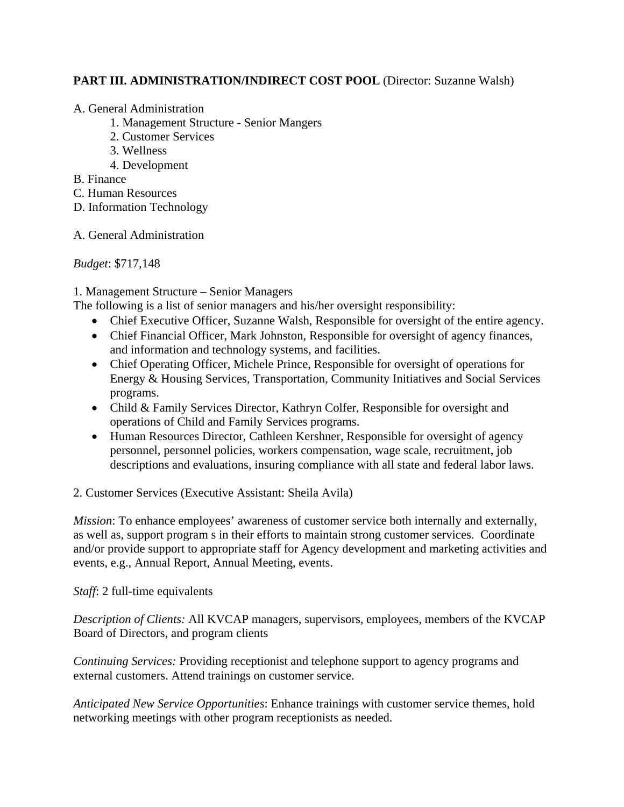### **PART III. ADMINISTRATION/INDIRECT COST POOL** (Director: Suzanne Walsh)

#### A. General Administration

- 1. Management Structure Senior Mangers
- 2. Customer Services
- 3. Wellness
- 4. Development

B. Finance

- C. Human Resources
- D. Information Technology
- A. General Administration

*Budget*: \$717,148

1. Management Structure – Senior Managers

The following is a list of senior managers and his/her oversight responsibility:

- Chief Executive Officer, Suzanne Walsh, Responsible for oversight of the entire agency.
- Chief Financial Officer, Mark Johnston, Responsible for oversight of agency finances, and information and technology systems, and facilities.
- Chief Operating Officer, Michele Prince, Responsible for oversight of operations for Energy & Housing Services, Transportation, Community Initiatives and Social Services programs.
- Child & Family Services Director, Kathryn Colfer, Responsible for oversight and operations of Child and Family Services programs.
- Human Resources Director, Cathleen Kershner, Responsible for oversight of agency personnel, personnel policies, workers compensation, wage scale, recruitment, job descriptions and evaluations, insuring compliance with all state and federal labor laws.

2. Customer Services (Executive Assistant: Sheila Avila)

*Mission*: To enhance employees' awareness of customer service both internally and externally, as well as, support program s in their efforts to maintain strong customer services. Coordinate and/or provide support to appropriate staff for Agency development and marketing activities and events, e.g., Annual Report, Annual Meeting, events.

*Staff*: 2 full-time equivalents

*Description of Clients:* All KVCAP managers, supervisors, employees, members of the KVCAP Board of Directors, and program clients

*Continuing Services:* Providing receptionist and telephone support to agency programs and external customers. Attend trainings on customer service.

*Anticipated New Service Opportunities*: Enhance trainings with customer service themes, hold networking meetings with other program receptionists as needed.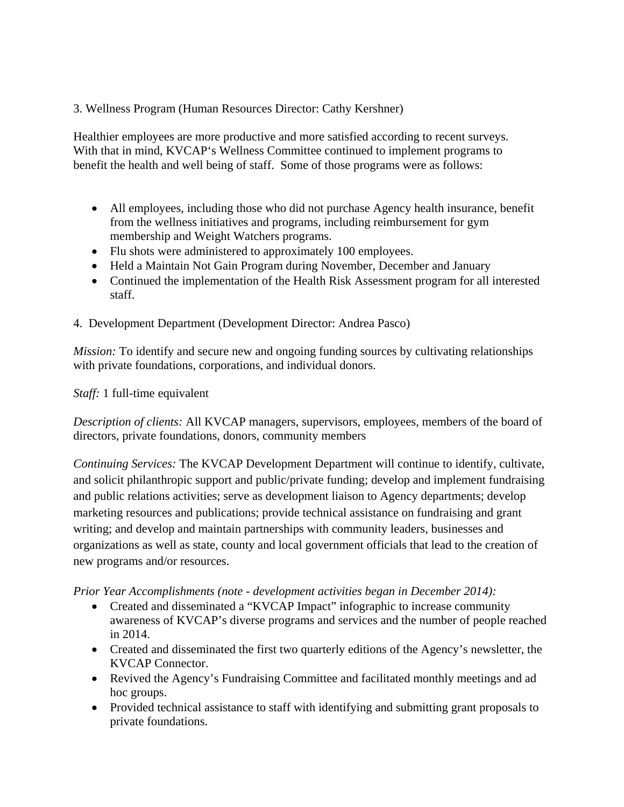3. Wellness Program (Human Resources Director: Cathy Kershner)

Healthier employees are more productive and more satisfied according to recent surveys. With that in mind, KVCAP's Wellness Committee continued to implement programs to benefit the health and well being of staff. Some of those programs were as follows:

- All employees, including those who did not purchase Agency health insurance, benefit from the wellness initiatives and programs, including reimbursement for gym membership and Weight Watchers programs.
- Flu shots were administered to approximately 100 employees.
- Held a Maintain Not Gain Program during November, December and January
- Continued the implementation of the Health Risk Assessment program for all interested staff.
- 4. Development Department (Development Director: Andrea Pasco)

*Mission:* To identify and secure new and ongoing funding sources by cultivating relationships with private foundations, corporations, and individual donors.

*Staff:* 1 full-time equivalent

*Description of clients:* All KVCAP managers, supervisors, employees, members of the board of directors, private foundations, donors, community members

*Continuing Services:* The KVCAP Development Department will continue to identify, cultivate, and solicit philanthropic support and public/private funding; develop and implement fundraising and public relations activities; serve as development liaison to Agency departments; develop marketing resources and publications; provide technical assistance on fundraising and grant writing; and develop and maintain partnerships with community leaders, businesses and organizations as well as state, county and local government officials that lead to the creation of new programs and/or resources.

*Prior Year Accomplishments (note - development activities began in December 2014):* 

- Created and disseminated a "KVCAP Impact" infographic to increase community awareness of KVCAP's diverse programs and services and the number of people reached in 2014.
- Created and disseminated the first two quarterly editions of the Agency's newsletter, the KVCAP Connector.
- Revived the Agency's Fundraising Committee and facilitated monthly meetings and ad hoc groups.
- Provided technical assistance to staff with identifying and submitting grant proposals to private foundations.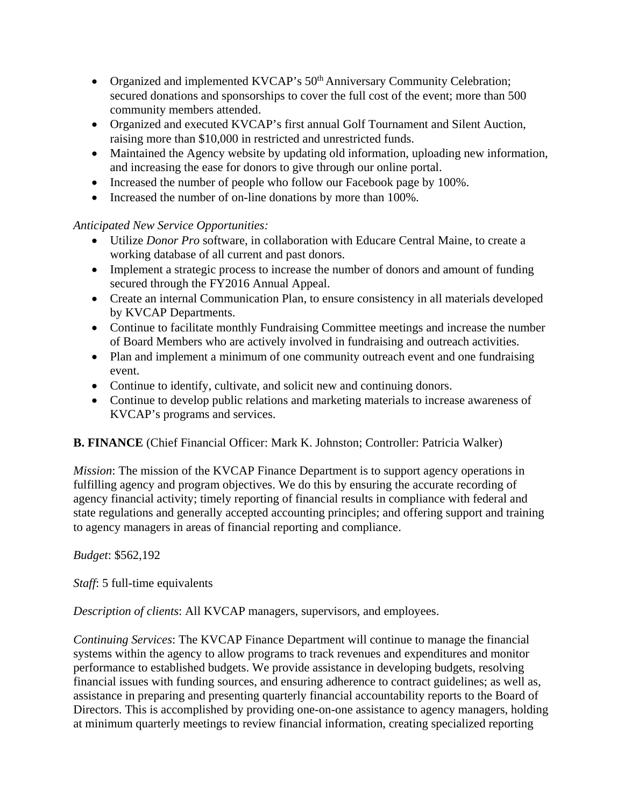- Organized and implemented KVCAP's 50<sup>th</sup> Anniversary Community Celebration; secured donations and sponsorships to cover the full cost of the event; more than 500 community members attended.
- Organized and executed KVCAP's first annual Golf Tournament and Silent Auction, raising more than \$10,000 in restricted and unrestricted funds.
- Maintained the Agency website by updating old information, uploading new information, and increasing the ease for donors to give through our online portal.
- Increased the number of people who follow our Facebook page by 100%.
- Increased the number of on-line donations by more than 100%.

### *Anticipated New Service Opportunities:*

- Utilize *Donor Pro* software, in collaboration with Educare Central Maine, to create a working database of all current and past donors.
- Implement a strategic process to increase the number of donors and amount of funding secured through the FY2016 Annual Appeal.
- Create an internal Communication Plan, to ensure consistency in all materials developed by KVCAP Departments.
- Continue to facilitate monthly Fundraising Committee meetings and increase the number of Board Members who are actively involved in fundraising and outreach activities.
- Plan and implement a minimum of one community outreach event and one fundraising event.
- Continue to identify, cultivate, and solicit new and continuing donors.
- Continue to develop public relations and marketing materials to increase awareness of KVCAP's programs and services.

### **B. FINANCE** (Chief Financial Officer: Mark K. Johnston; Controller: Patricia Walker)

*Mission*: The mission of the KVCAP Finance Department is to support agency operations in fulfilling agency and program objectives. We do this by ensuring the accurate recording of agency financial activity; timely reporting of financial results in compliance with federal and state regulations and generally accepted accounting principles; and offering support and training to agency managers in areas of financial reporting and compliance.

### *Budget*: \$562,192

*Staff*: 5 full-time equivalents

*Description of clients*: All KVCAP managers, supervisors, and employees.

*Continuing Services*: The KVCAP Finance Department will continue to manage the financial systems within the agency to allow programs to track revenues and expenditures and monitor performance to established budgets. We provide assistance in developing budgets, resolving financial issues with funding sources, and ensuring adherence to contract guidelines; as well as, assistance in preparing and presenting quarterly financial accountability reports to the Board of Directors. This is accomplished by providing one-on-one assistance to agency managers, holding at minimum quarterly meetings to review financial information, creating specialized reporting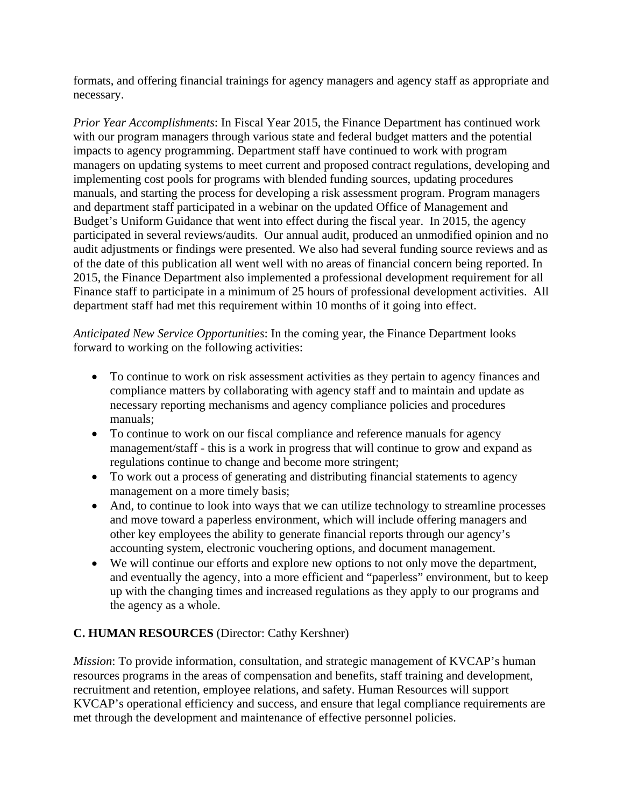formats, and offering financial trainings for agency managers and agency staff as appropriate and necessary.

*Prior Year Accomplishments*: In Fiscal Year 2015, the Finance Department has continued work with our program managers through various state and federal budget matters and the potential impacts to agency programming. Department staff have continued to work with program managers on updating systems to meet current and proposed contract regulations, developing and implementing cost pools for programs with blended funding sources, updating procedures manuals, and starting the process for developing a risk assessment program. Program managers and department staff participated in a webinar on the updated Office of Management and Budget's Uniform Guidance that went into effect during the fiscal year. In 2015, the agency participated in several reviews/audits. Our annual audit, produced an unmodified opinion and no audit adjustments or findings were presented. We also had several funding source reviews and as of the date of this publication all went well with no areas of financial concern being reported. In 2015, the Finance Department also implemented a professional development requirement for all Finance staff to participate in a minimum of 25 hours of professional development activities. All department staff had met this requirement within 10 months of it going into effect.

*Anticipated New Service Opportunities*: In the coming year, the Finance Department looks forward to working on the following activities:

- To continue to work on risk assessment activities as they pertain to agency finances and compliance matters by collaborating with agency staff and to maintain and update as necessary reporting mechanisms and agency compliance policies and procedures manuals;
- To continue to work on our fiscal compliance and reference manuals for agency management/staff - this is a work in progress that will continue to grow and expand as regulations continue to change and become more stringent;
- To work out a process of generating and distributing financial statements to agency management on a more timely basis;
- And, to continue to look into ways that we can utilize technology to streamline processes and move toward a paperless environment, which will include offering managers and other key employees the ability to generate financial reports through our agency's accounting system, electronic vouchering options, and document management.
- We will continue our efforts and explore new options to not only move the department, and eventually the agency, into a more efficient and "paperless" environment, but to keep up with the changing times and increased regulations as they apply to our programs and the agency as a whole.

### **C. HUMAN RESOURCES** (Director: Cathy Kershner)

*Mission*: To provide information, consultation, and strategic management of KVCAP's human resources programs in the areas of compensation and benefits, staff training and development, recruitment and retention, employee relations, and safety. Human Resources will support KVCAP's operational efficiency and success, and ensure that legal compliance requirements are met through the development and maintenance of effective personnel policies.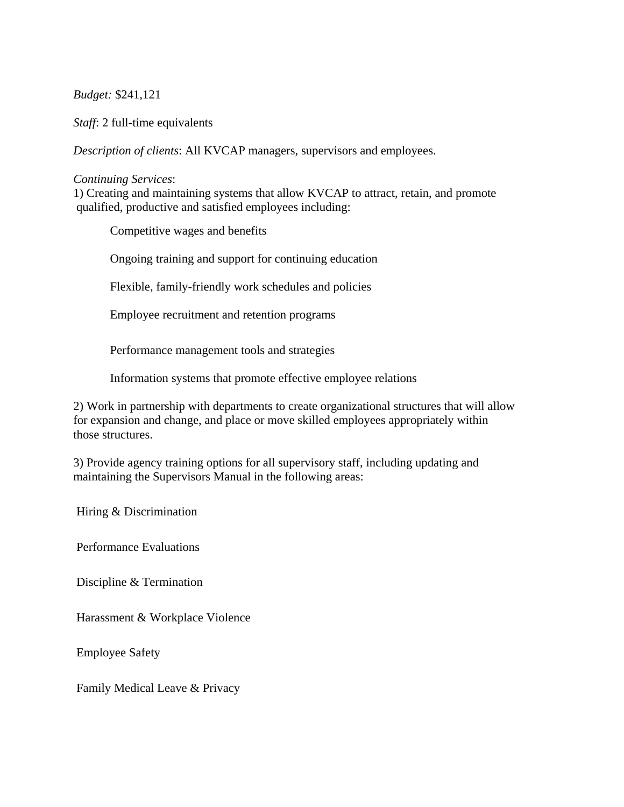#### *Budget:* \$241,121

*Staff*: 2 full-time equivalents

*Description of clients*: All KVCAP managers, supervisors and employees.

#### *Continuing Services*:

1) Creating and maintaining systems that allow KVCAP to attract, retain, and promote qualified, productive and satisfied employees including:

Competitive wages and benefits

Ongoing training and support for continuing education

Flexible, family-friendly work schedules and policies

Employee recruitment and retention programs

Performance management tools and strategies

Information systems that promote effective employee relations

2) Work in partnership with departments to create organizational structures that will allow for expansion and change, and place or move skilled employees appropriately within those structures.

3) Provide agency training options for all supervisory staff, including updating and maintaining the Supervisors Manual in the following areas:

Hiring & Discrimination

Performance Evaluations

Discipline & Termination

Harassment & Workplace Violence

Employee Safety

Family Medical Leave & Privacy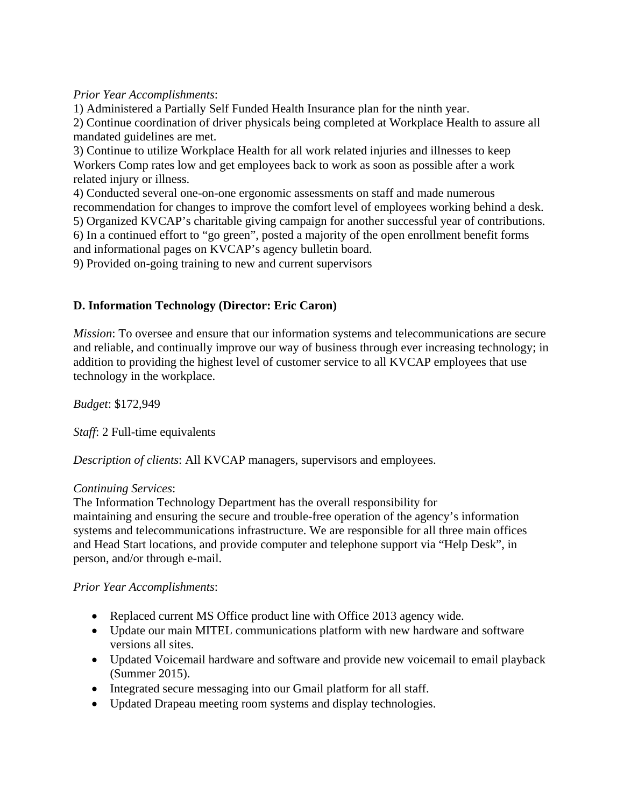*Prior Year Accomplishments*:

1) Administered a Partially Self Funded Health Insurance plan for the ninth year. 2) Continue coordination of driver physicals being completed at Workplace Health to assure all mandated guidelines are met.

3) Continue to utilize Workplace Health for all work related injuries and illnesses to keep Workers Comp rates low and get employees back to work as soon as possible after a work related injury or illness.

4) Conducted several one-on-one ergonomic assessments on staff and made numerous recommendation for changes to improve the comfort level of employees working behind a desk. 5) Organized KVCAP's charitable giving campaign for another successful year of contributions. 6) In a continued effort to "go green", posted a majority of the open enrollment benefit forms and informational pages on KVCAP's agency bulletin board.

9) Provided on-going training to new and current supervisors

### **D. Information Technology (Director: Eric Caron)**

*Mission*: To oversee and ensure that our information systems and telecommunications are secure and reliable, and continually improve our way of business through ever increasing technology; in addition to providing the highest level of customer service to all KVCAP employees that use technology in the workplace.

*Budget*: \$172,949

*Staff*: 2 Full-time equivalents

*Description of clients*: All KVCAP managers, supervisors and employees.

### *Continuing Services*:

The Information Technology Department has the overall responsibility for maintaining and ensuring the secure and trouble-free operation of the agency's information systems and telecommunications infrastructure. We are responsible for all three main offices and Head Start locations, and provide computer and telephone support via "Help Desk", in person, and/or through e-mail.

*Prior Year Accomplishments*:

- Replaced current MS Office product line with Office 2013 agency wide.
- Update our main MITEL communications platform with new hardware and software versions all sites.
- Updated Voicemail hardware and software and provide new voicemail to email playback (Summer 2015).
- Integrated secure messaging into our Gmail platform for all staff.
- Updated Drapeau meeting room systems and display technologies.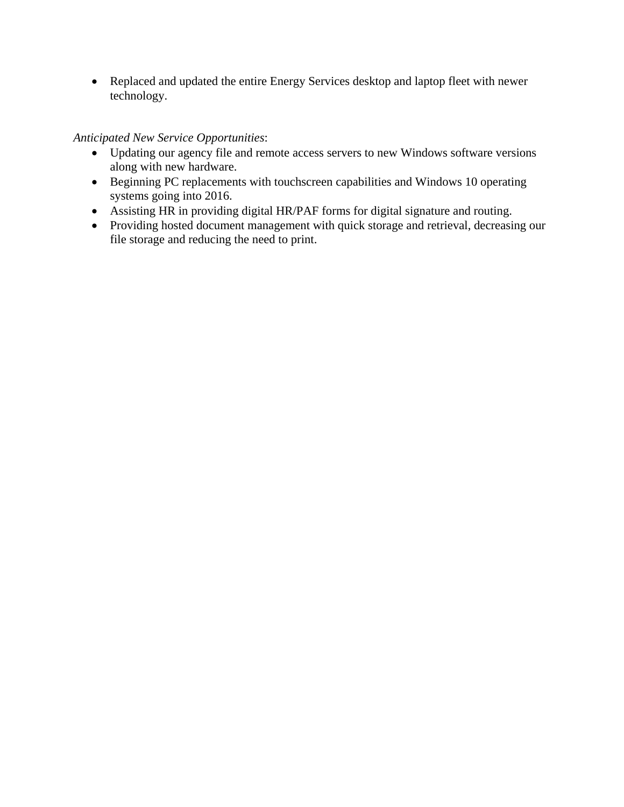Replaced and updated the entire Energy Services desktop and laptop fleet with newer technology.

### *Anticipated New Service Opportunities*:

- Updating our agency file and remote access servers to new Windows software versions along with new hardware.
- Beginning PC replacements with touchscreen capabilities and Windows 10 operating systems going into 2016.
- Assisting HR in providing digital HR/PAF forms for digital signature and routing.
- Providing hosted document management with quick storage and retrieval, decreasing our file storage and reducing the need to print.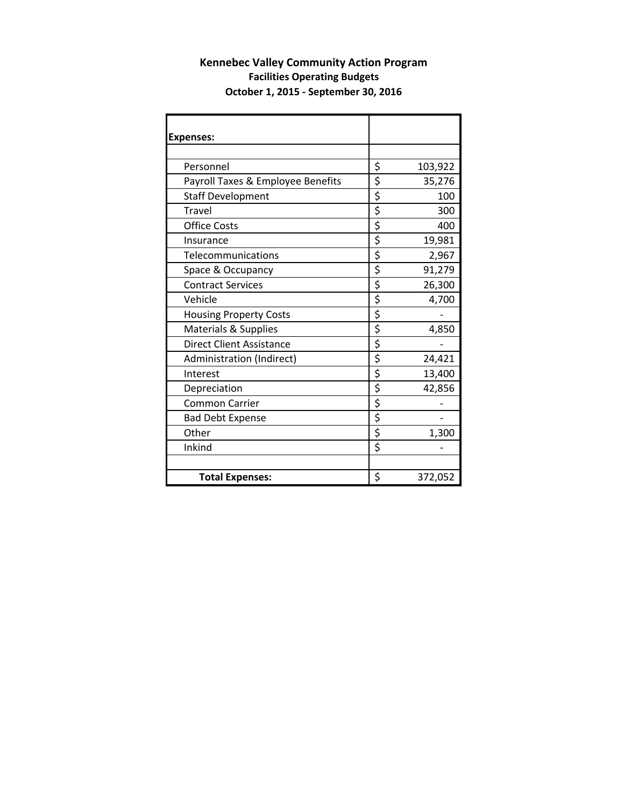#### **Kennebec Valley Community Action Program Facilities Operating Budgets October 1, 2015 ‐ September 30, 2016**

| <b>Expenses:</b>                  |               |
|-----------------------------------|---------------|
|                                   |               |
| Personnel                         | \$<br>103,922 |
| Payroll Taxes & Employee Benefits | \$<br>35,276  |
| <b>Staff Development</b>          | \$<br>100     |
| <b>Travel</b>                     | \$<br>300     |
| <b>Office Costs</b>               | \$<br>400     |
| Insurance                         | \$<br>19,981  |
| Telecommunications                | \$<br>2,967   |
| Space & Occupancy                 | \$<br>91,279  |
| <b>Contract Services</b>          | \$<br>26,300  |
| Vehicle                           | \$<br>4,700   |
| <b>Housing Property Costs</b>     | \$            |
| Materials & Supplies              | \$<br>4,850   |
| <b>Direct Client Assistance</b>   | \$            |
| Administration (Indirect)         | \$<br>24,421  |
| Interest                          | \$<br>13,400  |
| Depreciation                      | \$<br>42,856  |
| <b>Common Carrier</b>             | \$            |
| <b>Bad Debt Expense</b>           | \$            |
| Other                             | \$<br>1,300   |
| Inkind                            | \$            |
|                                   |               |
| <b>Total Expenses:</b>            | \$<br>372,052 |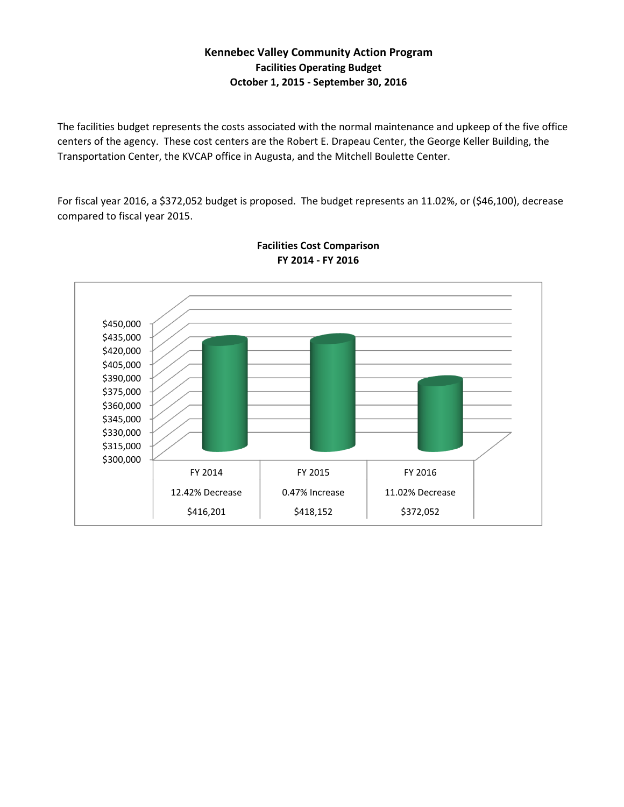### **Kennebec Valley Community Action Program Facilities Operating Budget October 1, 2015 ‐ September 30, 2016**

The facilities budget represents the costs associated with the normal maintenance and upkeep of the five office centers of the agency. These cost centers are the Robert E. Drapeau Center, the George Keller Building, the Transportation Center, the KVCAP office in Augusta, and the Mitchell Boulette Center.

For fiscal year 2016, a \$372,052 budget is proposed. The budget represents an 11.02%, or (\$46,100), decrease compared to fiscal year 2015.



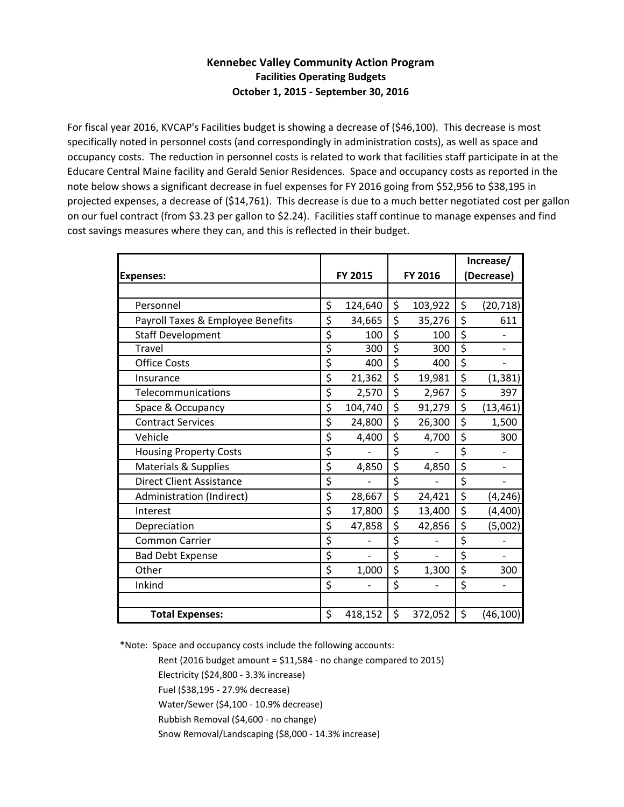#### **Kennebec Valley Community Action Program Facilities Operating Budgets October 1, 2015 ‐ September 30, 2016**

For fiscal year 2016, KVCAP's Facilities budget is showing a decrease of (\$46,100). This decrease is most specifically noted in personnel costs (and correspondingly in administration costs), as well as space and occupancy costs. The reduction in personnel costs is related to work that facilities staff participate in at the Educare Central Maine facility and Gerald Senior Residences. Space and occupancy costs as reported in the note below shows a significant decrease in fuel expenses for FY 2016 going from \$52,956 to \$38,195 in projected expenses, a decrease of (\$14,761). This decrease is due to a much better negotiated cost per gallon on our fuel contract (from \$3.23 per gallon to \$2.24). Facilities staff continue to manage expenses and find cost savings measures where they can, and this is reflected in their budget.

|                                   |                |    |         | Increase/       |
|-----------------------------------|----------------|----|---------|-----------------|
| <b>Expenses:</b>                  | <b>FY 2015</b> |    | FY 2016 | (Decrease)      |
|                                   |                |    |         |                 |
| Personnel                         | \$<br>124,640  | \$ | 103,922 | \$<br>(20, 718) |
| Payroll Taxes & Employee Benefits | \$<br>34,665   | \$ | 35,276  | \$<br>611       |
| <b>Staff Development</b>          | \$<br>100      | \$ | 100     | \$              |
| <b>Travel</b>                     | \$<br>300      | Ŝ  | 300     | \$              |
| <b>Office Costs</b>               | \$<br>400      | \$ | 400     | \$              |
| Insurance                         | \$<br>21,362   | \$ | 19,981  | \$<br>(1, 381)  |
| Telecommunications                | \$<br>2,570    | \$ | 2,967   | \$<br>397       |
| Space & Occupancy                 | \$<br>104,740  | \$ | 91,279  | \$<br>(13, 461) |
| <b>Contract Services</b>          | \$<br>24,800   | \$ | 26,300  | \$<br>1,500     |
| Vehicle                           | \$<br>4,400    | \$ | 4,700   | \$<br>300       |
| <b>Housing Property Costs</b>     | \$             | \$ |         | \$              |
| Materials & Supplies              | \$<br>4,850    | \$ | 4,850   | \$              |
| <b>Direct Client Assistance</b>   | \$             | \$ |         | \$              |
| Administration (Indirect)         | \$<br>28,667   | \$ | 24,421  | \$<br>(4, 246)  |
| Interest                          | \$<br>17,800   | \$ | 13,400  | \$<br>(4,400)   |
| Depreciation                      | \$<br>47,858   | \$ | 42,856  | \$<br>(5,002)   |
| <b>Common Carrier</b>             | \$             | \$ |         | \$              |
| <b>Bad Debt Expense</b>           | \$             | \$ |         | \$              |
| Other                             | \$<br>1,000    | \$ | 1,300   | \$<br>300       |
| Inkind                            | \$             | \$ |         | \$              |
|                                   |                |    |         |                 |
| <b>Total Expenses:</b>            | \$<br>418,152  | \$ | 372,052 | \$<br>(46, 100) |

\*Note: Space and occupancy costs include the following accounts:

Rent (2016 budget amount =  $$11,584$  - no change compared to 2015)

Electricity (\$24,800 ‐ 3.3% increase)

Fuel (\$38,195 ‐ 27.9% decrease)

Water/Sewer (\$4,100 ‐ 10.9% decrease)

Rubbish Removal (\$4,600 ‐ no change)

Snow Removal/Landscaping (\$8,000 ‐ 14.3% increase)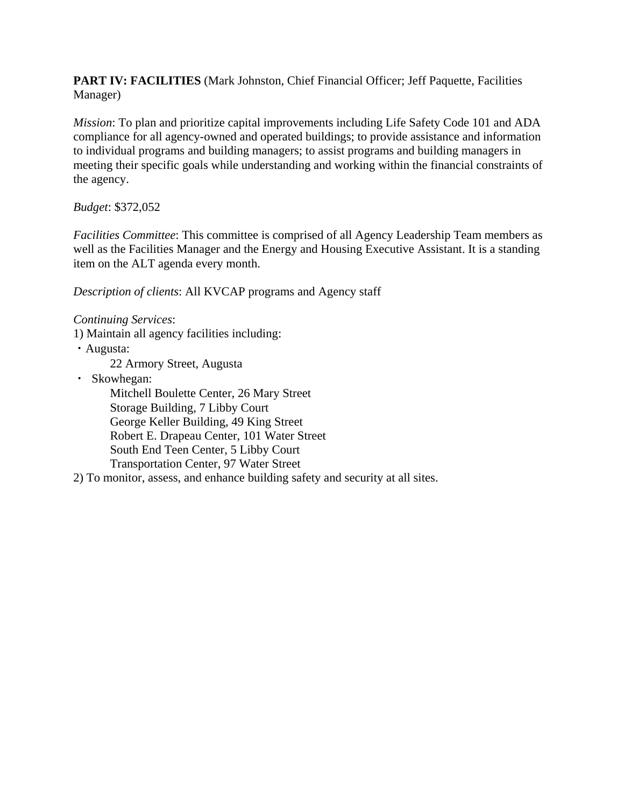**PART IV: FACILITIES** (Mark Johnston, Chief Financial Officer; Jeff Paquette, Facilities Manager)

*Mission*: To plan and prioritize capital improvements including Life Safety Code 101 and ADA compliance for all agency-owned and operated buildings; to provide assistance and information to individual programs and building managers; to assist programs and building managers in meeting their specific goals while understanding and working within the financial constraints of the agency.

### *Budget*: \$372,052

*Facilities Committee*: This committee is comprised of all Agency Leadership Team members as well as the Facilities Manager and the Energy and Housing Executive Assistant. It is a standing item on the ALT agenda every month.

*Description of clients*: All KVCAP programs and Agency staff

*Continuing Services*:

1) Maintain all agency facilities including:

・Augusta:

22 Armory Street, Augusta

・ Skowhegan:

Mitchell Boulette Center, 26 Mary Street Storage Building, 7 Libby Court George Keller Building, 49 King Street Robert E. Drapeau Center, 101 Water Street South End Teen Center, 5 Libby Court Transportation Center, 97 Water Street

2) To monitor, assess, and enhance building safety and security at all sites.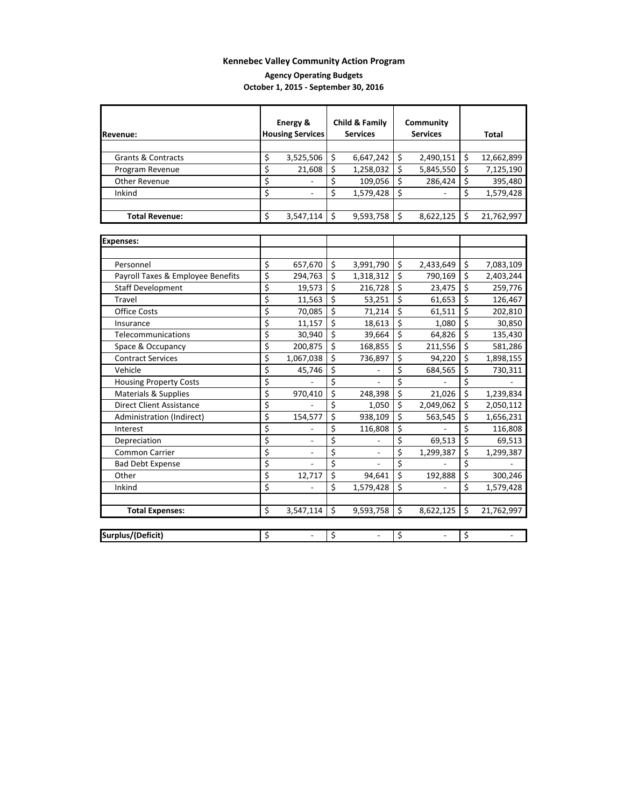#### **Agency Operating Budgets October 1, 2015 ‐ September 30, 2016**

|                                   | Energy &                |                        | Child & Family  |                         | Community       |                         |            |
|-----------------------------------|-------------------------|------------------------|-----------------|-------------------------|-----------------|-------------------------|------------|
| Revenue:                          | <b>Housing Services</b> |                        | <b>Services</b> |                         | <b>Services</b> |                         | Total      |
|                                   |                         |                        |                 |                         |                 |                         |            |
| <b>Grants &amp; Contracts</b>     | \$<br>3,525,506         | $\mathsf{S}$           | 6,647,242       | \$                      | 2,490,151       | \$                      | 12,662,899 |
| Program Revenue                   | \$<br>21,608            | \$                     | 1,258,032       | \$                      | 5,845,550       | \$                      | 7,125,190  |
| Other Revenue                     | \$                      | \$                     | 109,056         | \$                      | 286,424         | $\overline{\xi}$        | 395,480    |
| Inkind                            | \$                      | \$                     | 1,579,428       | \$                      |                 | \$                      | 1,579,428  |
|                                   |                         |                        |                 |                         |                 |                         |            |
| <b>Total Revenue:</b>             | \$<br>3,547,114         | Ś.                     | 9,593,758       | \$                      | 8,622,125       | \$                      | 21,762,997 |
|                                   |                         |                        |                 |                         |                 |                         |            |
| <b>Expenses:</b>                  |                         |                        |                 |                         |                 |                         |            |
|                                   |                         |                        |                 |                         |                 |                         |            |
| Personnel                         | \$<br>657,670           | \$                     | 3,991,790       | \$                      | 2,433,649       | \$                      | 7,083,109  |
| Payroll Taxes & Employee Benefits | \$<br>294,763           | \$                     | 1,318,312       | \$                      | 790,169         | \$                      | 2,403,244  |
| <b>Staff Development</b>          | \$<br>19,573            | \$                     | 216,728         | \$                      | 23,475          | \$                      | 259,776    |
| <b>Travel</b>                     | \$<br>11,563            | \$                     | 53,251          | \$                      | 61,653          | \$                      | 126,467    |
| Office Costs                      | \$<br>70,085            | \$                     | 71,214          | \$                      | 61,511          | \$                      | 202,810    |
| Insurance                         | \$<br>11,157            | \$                     | 18,613          | \$                      | 1,080           | \$                      | 30,850     |
| Telecommunications                | \$<br>30,940            | \$                     | 39,664          | \$                      | 64,826          | \$                      | 135,430    |
| Space & Occupancy                 | \$<br>200,875           | \$                     | 168,855         | \$                      | 211,556         | \$                      | 581,286    |
| <b>Contract Services</b>          | \$<br>1,067,038         | \$                     | 736,897         | \$                      | 94,220          | \$                      | 1,898,155  |
| Vehicle                           | \$<br>45,746            | \$                     |                 | \$                      | 684,565         | \$                      | 730,311    |
| <b>Housing Property Costs</b>     | \$                      | \$                     |                 | \$                      |                 | \$                      |            |
| Materials & Supplies              | \$<br>970,410           | \$                     | 248,398         | \$                      | 21,026          | \$                      | 1,239,834  |
| <b>Direct Client Assistance</b>   | \$                      | \$                     | 1,050           | \$                      | 2,049,062       | \$                      | 2,050,112  |
| Administration (Indirect)         | \$<br>154,577           | \$                     | 938,109         | \$                      | 563,545         | \$                      | 1,656,231  |
| Interest                          | \$                      | \$                     | 116,808         | \$                      |                 | \$                      | 116,808    |
| Depreciation                      | \$                      | \$                     |                 | \$                      | 69,513          | \$                      | 69,513     |
| Common Carrier                    | \$                      | \$                     |                 | $\overline{\xi}$        | 1,299,387       | \$                      | 1,299,387  |
| <b>Bad Debt Expense</b>           | \$                      | \$                     |                 | \$                      |                 | \$                      |            |
| Other                             | \$<br>12,717            | \$                     | 94,641          | $\overline{\mathsf{S}}$ | 192,888         | $\overline{\xi}$        | 300,246    |
| Inkind                            | \$                      | \$                     | 1,579,428       | \$                      | $\overline{a}$  | \$                      | 1,579,428  |
|                                   |                         |                        |                 |                         |                 |                         |            |
| <b>Total Expenses:</b>            | \$<br>3,547,114         | $\ddot{\mathsf{S}}$    | 9,593,758       | \$                      | 8,622,125       | $\overline{\mathsf{S}}$ | 21,762,997 |
|                                   |                         |                        |                 |                         |                 |                         |            |
| Surplus/(Deficit)                 | \$                      | $\overline{\varsigma}$ |                 | \$                      | $\overline{a}$  | \$                      |            |
|                                   |                         |                        |                 |                         |                 |                         |            |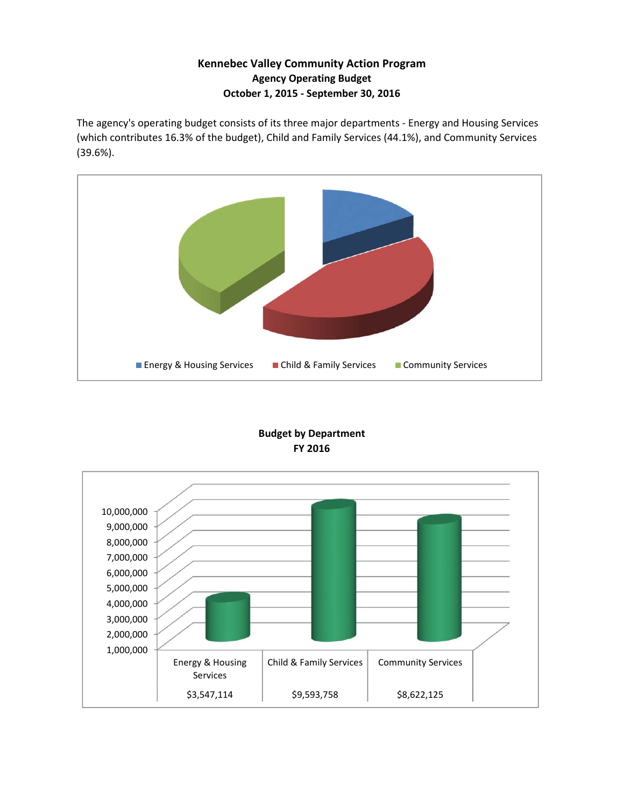### **Kennebec Valley Community Action Program Agency Operating Budget October 1, 2015 ‐ September 30, 2016**

The agency's operating budget consists of its three major departments ‐ Energy and Housing Services (which contributes 16.3% of the budget), Child and Family Services (44.1%), and Community Services (39.6%).



#### **FY 2016 Budget by Department**

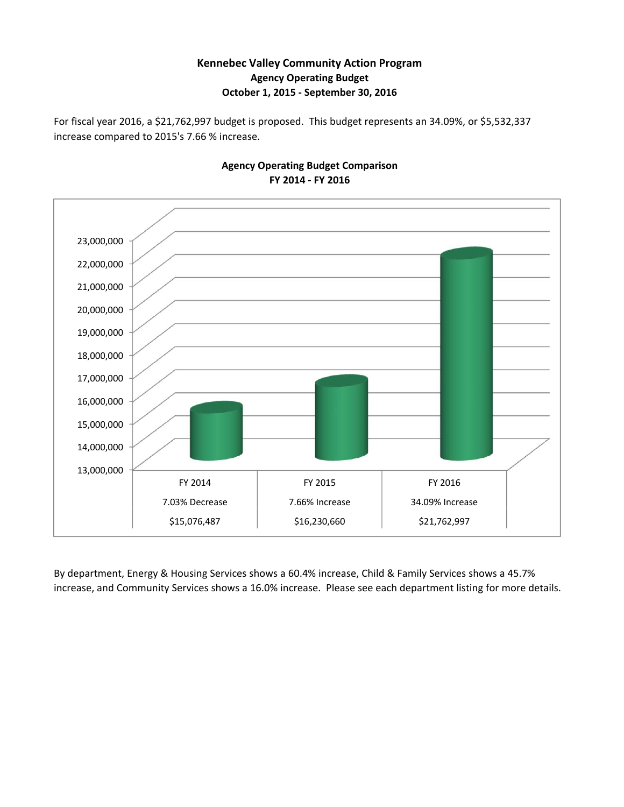#### **Kennebec Valley Community Action Program Agency Operating Budget October 1, 2015 ‐ September 30, 2016**

For fiscal year 2016, a \$21,762,997 budget is proposed. This budget represents an 34.09%, or \$5,532,337 increase compared to 2015's 7.66 % increase.



**Agency Operating Budget Comparison FY 2014 ‐ FY 2016**

By department, Energy & Housing Services shows a 60.4% increase, Child & Family Services shows a 45.7% increase, and Community Services shows a 16.0% increase. Please see each department listing for more details.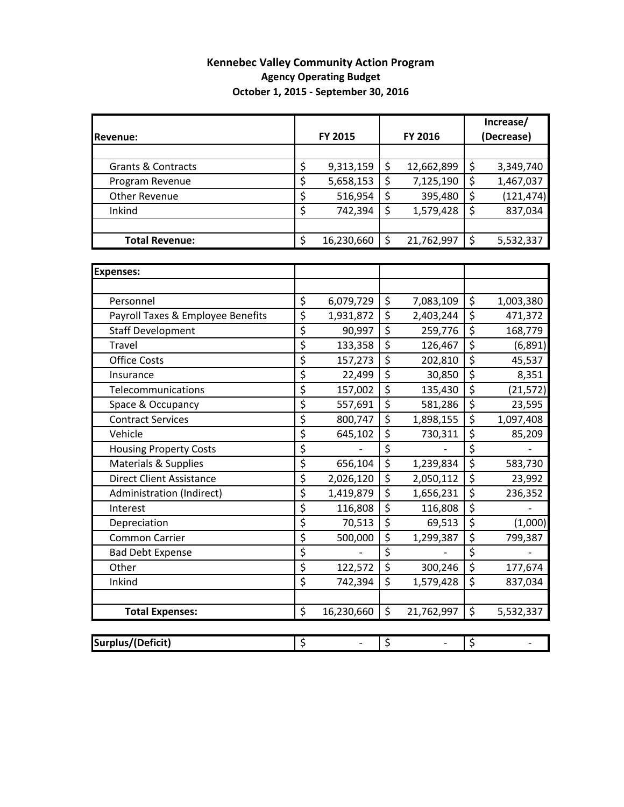### **Kennebec Valley Community Action Program Agency Operating Budget October 1, 2015 ‐ September 30, 2016**

|                                   |                          |                   |                          |                          | Increase/                       |                              |  |  |
|-----------------------------------|--------------------------|-------------------|--------------------------|--------------------------|---------------------------------|------------------------------|--|--|
| <b>Revenue:</b>                   |                          | FY 2015           |                          | FY 2016                  |                                 | (Decrease)                   |  |  |
|                                   |                          |                   |                          |                          |                                 |                              |  |  |
| <b>Grants &amp; Contracts</b>     | \$                       | 9,313,159         | \$                       | 12,662,899               | \$                              | 3,349,740                    |  |  |
| Program Revenue                   | \$                       | 5,658,153         | \$                       | 7,125,190                | $\overline{\xi}$                | 1,467,037                    |  |  |
| <b>Other Revenue</b>              | \$                       | 516,954           | \$                       | 395,480                  | $\overline{\xi}$                | (121, 474)                   |  |  |
| Inkind                            | \$                       | 742,394           | \$                       | 1,579,428                | $\overline{\xi}$                | 837,034                      |  |  |
|                                   |                          |                   |                          |                          |                                 |                              |  |  |
| <b>Total Revenue:</b>             | \$                       | 16,230,660        | \$                       | 21,762,997               | \$                              | 5,532,337                    |  |  |
|                                   |                          |                   |                          |                          |                                 |                              |  |  |
| <b>Expenses:</b>                  |                          |                   |                          |                          |                                 |                              |  |  |
|                                   |                          |                   |                          |                          |                                 |                              |  |  |
| Personnel                         | \$                       | 6,079,729         | \$                       | 7,083,109                | \$                              | 1,003,380                    |  |  |
| Payroll Taxes & Employee Benefits | $\overline{\xi}$         | 1,931,872         | $\overline{\varsigma}$   | 2,403,244                | $\overline{\boldsymbol{\zeta}}$ | 471,372                      |  |  |
| <b>Staff Development</b>          | \$                       | 90,997            | \$                       | 259,776                  | $\overline{\boldsymbol{\zeta}}$ | 168,779                      |  |  |
| <b>Travel</b>                     | \$                       | 133,358           | \$                       | 126,467                  | \$                              | (6, 891)                     |  |  |
| <b>Office Costs</b>               | \$                       | 157,273           | $\overline{\xi}$         | 202,810                  | $\overline{\xi}$                | 45,537                       |  |  |
| Insurance                         | \$                       | 22,499            | \$                       | 30,850                   | \$                              | 8,351                        |  |  |
| Telecommunications                | \$                       | 157,002           | \$                       | 135,430                  | $\overline{\boldsymbol{\zeta}}$ | (21, 572)                    |  |  |
| Space & Occupancy                 | \$                       | 557,691           | \$                       | 581,286                  | $\overline{\xi}$                | 23,595                       |  |  |
| <b>Contract Services</b>          | \$                       | 800,747           | \$                       | 1,898,155                | $\overline{\mathcal{L}}$        | 1,097,408                    |  |  |
| Vehicle                           | \$                       | 645,102           | \$                       | 730,311                  | $\overline{\xi}$                | 85,209                       |  |  |
| <b>Housing Property Costs</b>     | \$                       |                   | $\overline{\xi}$         |                          | $\overline{\xi}$                |                              |  |  |
| <b>Materials &amp; Supplies</b>   | \$                       | 656,104           | $\overline{\xi}$         | 1,239,834                | $\overline{\xi}$                | 583,730                      |  |  |
| <b>Direct Client Assistance</b>   | \$                       | 2,026,120         | \$                       | 2,050,112                | $\overline{\xi}$                | 23,992                       |  |  |
| Administration (Indirect)         | \$                       | 1,419,879         | \$                       | 1,656,231                | $\overline{\xi}$                | 236,352                      |  |  |
| Interest                          | \$                       | 116,808           | \$                       | 116,808                  | $\overline{\xi}$                |                              |  |  |
| Depreciation                      | \$                       | 70,513            | $\overline{\xi}$         | 69,513                   | $\overline{\varsigma}$          | (1,000)                      |  |  |
| <b>Common Carrier</b>             | \$                       | 500,000           | \$                       | 1,299,387                | $\overline{\xi}$                | 799,387                      |  |  |
| <b>Bad Debt Expense</b>           | \$                       |                   | \$                       |                          | \$                              |                              |  |  |
| Other                             | $\overline{\xi}$         | 122,572           | $\overline{\xi}$         | 300,246                  | $\overline{\xi}$                | 177,674                      |  |  |
| Inkind                            | \$                       | 742,394           | \$                       | 1,579,428                | \$                              | 837,034                      |  |  |
|                                   |                          |                   |                          |                          |                                 |                              |  |  |
| <b>Total Expenses:</b>            | \$                       | 16,230,660        | \$                       | 21,762,997               | \$                              | 5,532,337                    |  |  |
|                                   |                          |                   |                          |                          |                                 |                              |  |  |
| <b>Surplus/(Deficit)</b>          | $\overline{\mathcal{S}}$ | $\qquad \qquad -$ | $\overline{\mathcal{S}}$ | $\overline{\phantom{0}}$ | $\overline{\mathcal{S}}$        | $\qquad \qquad \blacksquare$ |  |  |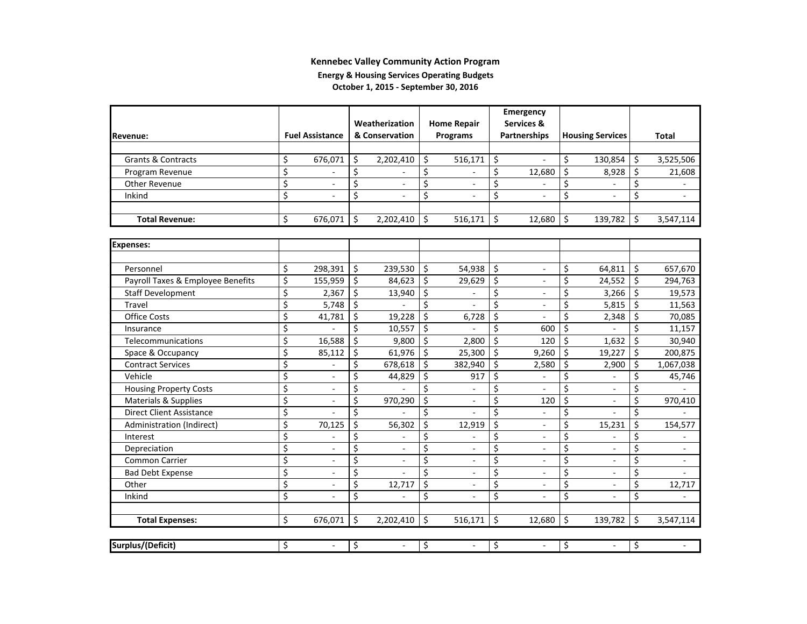#### **Energy & Housing Services Operating Budgets October 1, 2015 ‐ September 30, 2016**

|                                   |                  |                          |         |                          |    |                    |                         | Emergency           |                         |                         |         |              |
|-----------------------------------|------------------|--------------------------|---------|--------------------------|----|--------------------|-------------------------|---------------------|-------------------------|-------------------------|---------|--------------|
|                                   |                  |                          |         | Weatherization           |    | <b>Home Repair</b> |                         | Services &          |                         |                         |         |              |
| Revenue:                          |                  | <b>Fuel Assistance</b>   |         | & Conservation           |    | Programs           |                         | <b>Partnerships</b> |                         | <b>Housing Services</b> |         | <b>Total</b> |
|                                   |                  |                          |         |                          |    |                    |                         |                     |                         |                         |         |              |
| Grants & Contracts                | \$               | 676,071                  | \$      | 2,202,410                | \$ | 516,171            | \$                      | $\overline{a}$      | \$                      | 130,854                 | \$      | 3,525,506    |
| Program Revenue                   | \$               |                          | \$      | $\overline{a}$           | \$ |                    | \$                      | 12,680              | \$                      | 8,928                   | \$      | 21,608       |
| <b>Other Revenue</b>              | \$               |                          | \$      | $\sim$                   | \$ | ä,                 | \$                      |                     | \$                      |                         | \$      |              |
| Inkind                            | \$               | $\overline{a}$           | \$      | $\overline{a}$           | \$ | $\overline{a}$     | \$                      | $\mathbf{r}$        | \$                      | ÷.                      | \$      | $\sim$       |
|                                   |                  |                          |         |                          |    |                    |                         |                     |                         |                         |         |              |
| <b>Total Revenue:</b>             | \$               | 676,071                  | S.      | 2,202,410                | \$ | 516,171            | \$                      | 12,680              | \$                      | 139,782                 | \$      | 3,547,114    |
|                                   |                  |                          |         |                          |    |                    |                         |                     |                         |                         |         |              |
| <b>Expenses:</b>                  |                  |                          |         |                          |    |                    |                         |                     |                         |                         |         |              |
|                                   |                  |                          |         |                          |    |                    |                         |                     |                         |                         |         |              |
| Personnel                         | \$               | 298,391                  | \$      | 239,530                  | \$ | 54,938             | \$                      | $\sim$              | \$                      | 64,811                  | \$      | 657,670      |
| Payroll Taxes & Employee Benefits | \$               | 155,959                  | \$      | 84,623                   | \$ | 29,629             | \$                      | $\sim$              | \$                      | 24,552                  | $\zeta$ | 294,763      |
| <b>Staff Development</b>          | \$               | 2.367                    | $\zeta$ | 13,940                   | \$ | L.                 | $\overline{\mathsf{S}}$ | $\mathbf{r}$        | \$                      | $3,266$ \$              |         | 19,573       |
| <b>Travel</b>                     | \$               | 5,748                    | $\zeta$ |                          | Ś  | $\overline{a}$     | \$                      | $\omega$            | \$                      | 5,815                   | $\zeta$ | 11,563       |
| <b>Office Costs</b>               | \$               | 41,781                   | $\zeta$ | 19,228                   | \$ | 6,728              | \$                      | $\omega$            | \$                      | 2,348                   | $\zeta$ | 70,085       |
| Insurance                         | \$               |                          | Ś.      | 10,557                   | \$ |                    | \$                      | 600                 | \$                      |                         | \$      | 11,157       |
| Telecommunications                | \$               | 16,588                   | \$      | 9,800                    | \$ | 2,800              | \$                      | 120                 | \$                      | 1,632                   | \$      | 30,940       |
| Space & Occupancy                 | \$               | 85,112                   | \$      | 61,976                   | \$ | 25,300             | \$                      | 9,260               | \$                      | 19,227                  | \$      | 200,875      |
| <b>Contract Services</b>          | \$               |                          | \$      | 678,618                  | \$ | 382,940            | \$                      | 2,580               | \$                      | 2,900                   | \$      | 1,067,038    |
| Vehicle                           | \$               | $\overline{\phantom{a}}$ | \$      | 44,829                   | \$ | 917                | \$                      |                     | \$                      |                         | \$      | 45,746       |
| <b>Housing Property Costs</b>     | \$               | $\overline{\phantom{a}}$ | \$      |                          | \$ |                    | \$                      | $\omega$            | \$                      |                         | \$      |              |
| Materials & Supplies              | \$               |                          | \$      | 970,290                  | \$ |                    | \$                      | 120                 | \$                      |                         | \$      | 970,410      |
| <b>Direct Client Assistance</b>   | \$               |                          | \$      |                          | \$ |                    | \$                      |                     | \$                      |                         | \$      |              |
| Administration (Indirect)         | \$               | 70,125                   | \$      | 56,302                   | \$ | 12,919             | \$                      |                     | \$                      | 15,231                  | \$      | 154,577      |
| Interest                          | \$               |                          | \$      | $\overline{a}$           | \$ |                    | \$                      | $\overline{a}$      | \$                      |                         | \$      |              |
| Depreciation                      | \$               |                          | \$      | $\overline{\phantom{a}}$ | \$ |                    | \$                      |                     | \$                      |                         | \$      |              |
| Common Carrier                    | \$               |                          | \$      | $\overline{\phantom{a}}$ | \$ | ٠                  | \$                      | ÷.                  | \$                      |                         | \$      | ٠            |
| <b>Bad Debt Expense</b>           | $\overline{\xi}$ |                          | $\zeta$ |                          | \$ |                    | $\overline{\mathsf{S}}$ |                     | $\overline{\mathsf{S}}$ |                         | \$      |              |
| Other                             | $\overline{\xi}$ | $\overline{a}$           | \$      | 12,717                   | \$ | ÷.                 | \$                      | ÷.                  | \$                      |                         | \$      | 12,717       |
| Inkind                            | \$               | $\overline{a}$           | \$      |                          | \$ | $\overline{a}$     | \$                      |                     | \$                      |                         | \$      |              |
|                                   |                  |                          |         |                          |    |                    |                         |                     |                         |                         |         |              |
| <b>Total Expenses:</b>            | \$               | 676,071                  | \$      | 2,202,410                | \$ | 516,171            | \$                      | 12,680              | \$                      | 139,782                 | \$      | 3,547,114    |
|                                   |                  |                          |         |                          |    |                    |                         |                     |                         |                         |         |              |
| Surplus/(Deficit)                 | \$               |                          | \$      |                          | \$ |                    | \$                      |                     | \$                      |                         | \$      |              |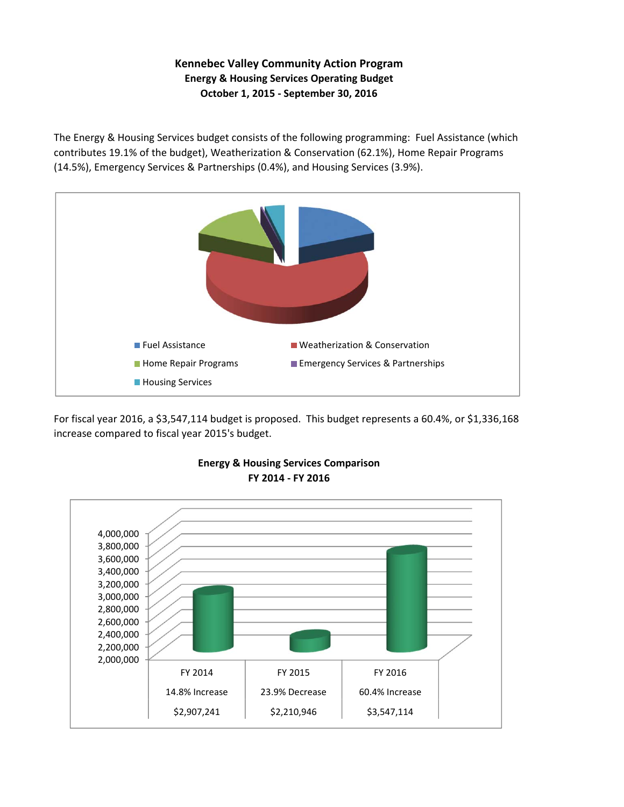### **Kennebec Valley Community Action Program Energy & Housing Services Operating Budget October 1, 2015 ‐ September 30, 2016**

The Energy & Housing Services budget consists of the following programming: Fuel Assistance (which contributes 19.1% of the budget), Weatherization & Conservation (62.1%), Home Repair Programs (14.5%), Emergency Services & Partnerships (0.4%), and Housing Services (3.9%).



For fiscal year 2016, a \$3,547,114 budget is proposed. This budget represents a 60.4%, or \$1,336,168 increase compared to fiscal year 2015's budget.



#### **FY 2014 ‐ FY 2016 Energy & Housing Services Comparison**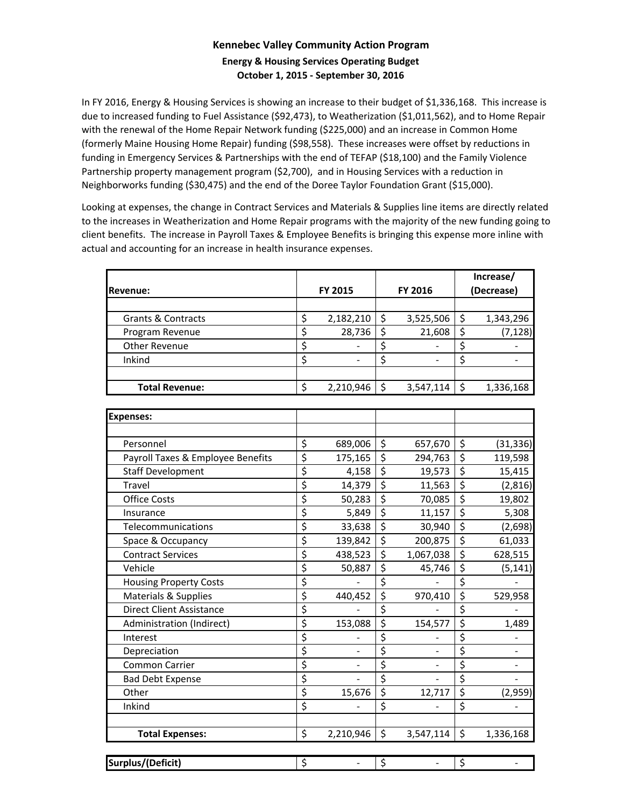### **Kennebec Valley Community Action Program Energy & Housing Services Operating Budget October 1, 2015 ‐ September 30, 2016**

In FY 2016, Energy & Housing Services is showing an increase to their budget of \$1,336,168. This increase is due to increased funding to Fuel Assistance (\$92,473), to Weatherization (\$1,011,562), and to Home Repair with the renewal of the Home Repair Network funding (\$225,000) and an increase in Common Home (formerly Maine Housing Home Repair) funding (\$98,558). These increases were offset by reductions in funding in Emergency Services & Partnerships with the end of TEFAP (\$18,100) and the Family Violence Partnership property management program (\$2,700), and in Housing Services with a reduction in Neighborworks funding (\$30,475) and the end of the Doree Taylor Foundation Grant (\$15,000).

Looking at expenses, the change in Contract Services and Materials & Supplies line items are directly related to the increases in Weatherization and Home Repair programs with the majority of the new funding going to client benefits. The increase in Payroll Taxes & Employee Benefits is bringing this expense more inline with actual and accounting for an increase in health insurance expenses.

|                               |                 |   |           |            | Increase/ |  |
|-------------------------------|-----------------|---|-----------|------------|-----------|--|
| <b>Revenue:</b>               | FY 2015         |   | FY 2016   | (Decrease) |           |  |
|                               |                 |   |           |            |           |  |
| <b>Grants &amp; Contracts</b> | \$<br>2,182,210 |   | 3,525,506 |            | 1,343,296 |  |
| Program Revenue               | \$<br>28,736    |   | 21,608    |            | (7, 128)  |  |
| Other Revenue                 |                 |   |           |            |           |  |
| Inkind                        |                 |   |           |            |           |  |
|                               |                 |   |           |            |           |  |
| <b>Total Revenue:</b>         | \$<br>2,210,946 | Ś | 3,547,114 | \$         | 1,336,168 |  |

| <b>Expenses:</b>                  |                      |                                 |                |                                 |           |
|-----------------------------------|----------------------|---------------------------------|----------------|---------------------------------|-----------|
|                                   |                      |                                 |                |                                 |           |
| Personnel                         | \$<br>689,006        | \$                              | 657,670        | \$                              | (31, 336) |
| Payroll Taxes & Employee Benefits | \$<br>175,165        | \$                              | 294,763        | \$                              | 119,598   |
| <b>Staff Development</b>          | \$<br>4,158          | \$                              | 19,573         | \$                              | 15,415    |
| Travel                            | \$<br>14,379         | \$                              | 11,563         | \$                              | (2,816)   |
| <b>Office Costs</b>               | \$<br>50,283         | \$                              | 70,085         | $\overline{\mathcal{L}}$        | 19,802    |
| Insurance                         | \$<br>5,849          | \$                              | 11,157         | $\overline{\boldsymbol{\zeta}}$ | 5,308     |
| Telecommunications                | \$<br>33,638         | $\overline{\boldsymbol{\zeta}}$ | 30,940         | \$                              | (2,698)   |
| Space & Occupancy                 | \$<br>139,842        | \$                              | 200,875        | \$                              | 61,033    |
| <b>Contract Services</b>          | \$<br>438,523        | \$                              | 1,067,038      | \$                              | 628,515   |
| Vehicle                           | \$<br>50,887         | \$                              | 45,746         | \$                              | (5, 141)  |
| <b>Housing Property Costs</b>     | \$                   | \$                              |                | \$                              |           |
| Materials & Supplies              | \$<br>440,452        | \$                              | 970,410        | $\overline{\mathcal{L}}$        | 529,958   |
| <b>Direct Client Assistance</b>   | \$                   | \$                              |                | $\overline{\mathcal{L}}$        |           |
| Administration (Indirect)         | \$<br>153,088        | \$                              | 154,577        | $\overline{\boldsymbol{\zeta}}$ | 1,489     |
| Interest                          | \$                   | \$                              |                | \$                              |           |
| Depreciation                      | \$<br>$\overline{a}$ | \$                              | $\blacksquare$ | \$                              |           |
| <b>Common Carrier</b>             | \$                   | \$                              |                | \$                              |           |
| <b>Bad Debt Expense</b>           | \$                   | \$                              | $\blacksquare$ | \$                              |           |
| Other                             | \$<br>15,676         | \$                              | 12,717         | $\overline{\xi}$                | (2,959)   |
| Inkind                            | \$                   | \$                              |                | \$                              |           |
|                                   |                      |                                 |                |                                 |           |
| <b>Total Expenses:</b>            | \$<br>2,210,946      | \$                              | 3,547,114      | \$                              | 1,336,168 |
|                                   |                      |                                 |                |                                 |           |
| Surplus/(Deficit)                 | \$                   | \$                              |                | \$                              |           |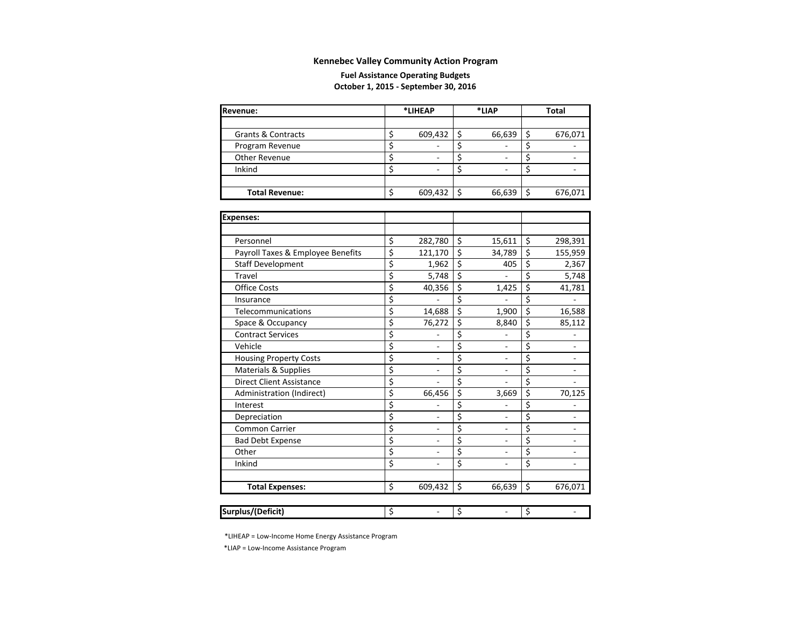#### **Fuel Assistance Operating Budgets October 1, 2015 ‐ September 30, 2016**

| Revenue:              | *LIHEAP |         |  | *LIAP  | Total |         |  |
|-----------------------|---------|---------|--|--------|-------|---------|--|
|                       |         |         |  |        |       |         |  |
| Grants & Contracts    |         | 609,432 |  | 66,639 |       | 676,071 |  |
| Program Revenue       |         |         |  |        |       |         |  |
| Other Revenue         |         |         |  |        |       |         |  |
| Inkind                |         |         |  |        |       |         |  |
|                       |         |         |  |        |       |         |  |
| <b>Total Revenue:</b> |         | 609,432 |  | 66,639 |       | 676,071 |  |

| Expenses:                         |                                |              |                  |         |
|-----------------------------------|--------------------------------|--------------|------------------|---------|
|                                   |                                |              |                  |         |
| Personnel                         | \$<br>282,780                  | \$<br>15,611 | \$               | 298,391 |
| Payroll Taxes & Employee Benefits | \$<br>121,170                  | \$<br>34,789 | \$               | 155,959 |
| <b>Staff Development</b>          | \$<br>1,962                    | \$<br>405    | \$               | 2,367   |
| Travel                            | \$<br>5,748                    | \$           | \$               | 5,748   |
| <b>Office Costs</b>               | \$<br>40,356                   | \$<br>1,425  | \$               | 41,781  |
| Insurance                         | \$                             | \$           | \$               |         |
| Telecommunications                | \$<br>14,688                   | \$<br>1,900  | \$               | 16,588  |
| Space & Occupancy                 | \$<br>76,272                   | \$<br>8,840  | \$               | 85,112  |
| <b>Contract Services</b>          | \$                             | \$           | \$               |         |
| Vehicle                           | \$<br>÷,                       | \$<br>L.     | \$               |         |
| <b>Housing Property Costs</b>     | \$<br>۰                        | \$           | $\overline{\xi}$ |         |
| <b>Materials &amp; Supplies</b>   | \$                             | \$           | \$               |         |
| <b>Direct Client Assistance</b>   | \$                             | \$           | \$               |         |
| Administration (Indirect)         | \$<br>66,456                   | \$<br>3,669  | \$               | 70,125  |
| Interest                          | \$                             | \$           | \$               |         |
| Depreciation                      | \$<br>$\overline{\phantom{0}}$ | \$<br>٠      | \$               | ۰       |
| <b>Common Carrier</b>             | \$<br>$\overline{\phantom{0}}$ | \$           | \$               |         |
| <b>Bad Debt Expense</b>           | \$<br>$\overline{\phantom{0}}$ | \$<br>٠      | \$               |         |
| Other                             | \$                             | \$           | \$               |         |
| Inkind                            | \$<br>۰                        | \$           | \$               |         |
|                                   |                                |              |                  |         |
| <b>Total Expenses:</b>            | \$<br>609,432                  | \$<br>66,639 | \$               | 676,071 |
|                                   |                                |              |                  |         |
| Surplus/(Deficit)                 | \$                             | \$           | \$               |         |

\*LIHEAP <sup>=</sup> Low‐Income Home Energy Assistance Program

\*LIAP <sup>=</sup> Low‐Income Assistance Program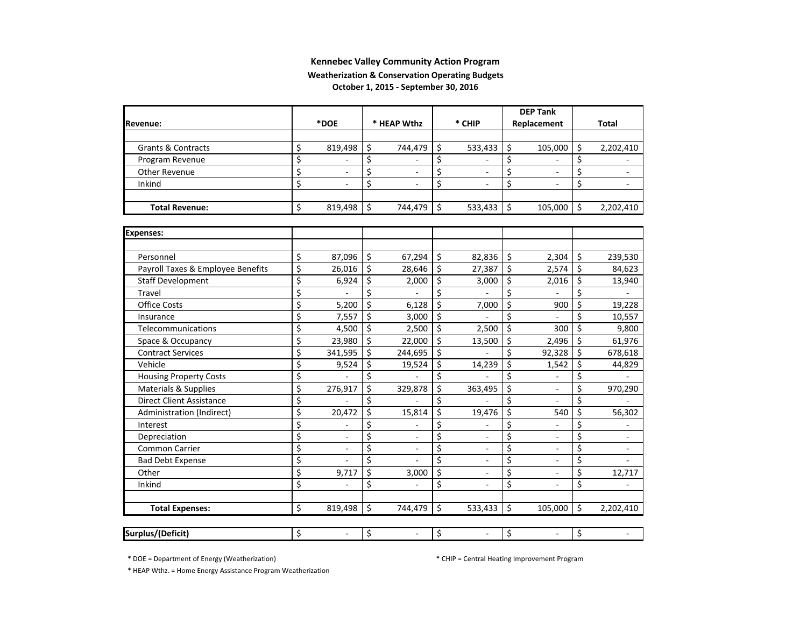#### **Weatherization & Conservation Operating Budgets**

**October 1, 2015 ‐ September 30, 2016**

|                                   |                         |           |                         |                |                  |         |                         | <b>DEP Tank</b>          |                  |                          |
|-----------------------------------|-------------------------|-----------|-------------------------|----------------|------------------|---------|-------------------------|--------------------------|------------------|--------------------------|
| <b>Revenue:</b>                   |                         | *DOE      |                         | * HEAP Wthz    |                  | * CHIP  |                         | Replacement              |                  | <b>Total</b>             |
|                                   |                         |           |                         |                |                  |         |                         |                          |                  |                          |
| Grants & Contracts                | \$                      | 819,498   | \$                      | 744,479        | \$               | 533,433 | \$                      | 105,000                  | \$               | 2,202,410                |
| Program Revenue                   | \$                      |           | \$                      |                | \$               |         | \$                      |                          | \$               |                          |
| Other Revenue                     | \$                      |           | \$                      |                | \$               |         | \$                      |                          | \$               |                          |
| Inkind                            | \$                      |           | \$                      |                | \$               |         | \$                      |                          | \$               |                          |
|                                   |                         |           |                         |                |                  |         |                         |                          |                  |                          |
| <b>Total Revenue:</b>             | \$                      | 819,498   | Ś                       | 744,479        | \$               | 533,433 | \$                      | 105,000                  | Ś.               | 2,202,410                |
| <b>Expenses:</b>                  |                         |           |                         |                |                  |         |                         |                          |                  |                          |
|                                   |                         |           |                         |                |                  |         |                         |                          |                  |                          |
| Personnel                         | \$                      | 87,096    | \$                      | 67,294         | \$               | 82,836  | Ś.                      | 2,304                    | Ś.               | 239,530                  |
| Payroll Taxes & Employee Benefits | \$                      | 26,016    | \$                      | 28,646         | \$               | 27,387  | \$                      | 2,574                    | \$               | 84,623                   |
| <b>Staff Development</b>          | $\overline{\xi}$        | 6,924     | $\overline{\xi}$        | 2,000          | $\overline{\xi}$ | 3,000   | $\overline{\xi}$        | 2,016                    | $\overline{\xi}$ | 13,940                   |
| Travel                            | \$                      |           | $\overline{\mathsf{S}}$ |                | \$               |         | \$                      |                          | \$               |                          |
| <b>Office Costs</b>               | \$                      | 5,200     | \$                      | 6,128          | \$               | 7,000   | \$                      | 900                      | \$               | 19,228                   |
| Insurance                         | \$                      | 7,557     | \$                      | 3,000          | \$               |         | \$                      |                          | \$               | 10,557                   |
| Telecommunications                | \$                      | 4,500     | \$                      | 2,500          | \$               | 2,500   | \$                      | 300                      | \$               | 9,800                    |
| Space & Occupancy                 | \$                      | 23,980    | \$                      | 22,000         | \$               | 13,500  | \$                      | 2,496                    | \$               | 61,976                   |
| <b>Contract Services</b>          | $\overline{\mathsf{s}}$ | 341,595   | \$                      | 244,695        | \$               |         | \$                      | 92,328                   | \$               | 678,618                  |
| Vehicle                           | \$                      | 9,524     | \$                      | 19,524         | \$               | 14,239  | \$                      | 1,542                    | \$               | 44,829                   |
| <b>Housing Property Costs</b>     | \$                      |           | \$                      |                | \$               |         | \$                      |                          | \$               |                          |
| Materials & Supplies              | \$                      | 276,917   | \$                      | 329,878        | \$               | 363,495 | \$                      | $\overline{\phantom{a}}$ | \$               | 970,290                  |
| <b>Direct Client Assistance</b>   | \$                      |           | \$                      |                | \$               |         | \$                      | $\frac{1}{2}$            | \$               |                          |
| Administration (Indirect)         | \$                      | 20,472    | $\overline{\mathsf{S}}$ | 15,814         | \$               | 19,476  | \$                      | 540                      | \$               | 56,302                   |
| Interest                          | \$                      |           | \$                      |                | \$               |         | \$                      |                          | \$               |                          |
| Depreciation                      | \$                      | $\sim$    | \$                      | $\overline{a}$ | \$               | $\sim$  | \$                      | $\sim$                   | \$               | $\overline{\phantom{a}}$ |
| Common Carrier                    | \$                      |           | $\overline{\xi}$        |                | \$               | ٠       | $\overline{\xi}$        | Ξ                        | \$               | $\overline{\phantom{a}}$ |
| <b>Bad Debt Expense</b>           | \$                      |           | $\overline{\mathsf{S}}$ |                | \$               |         | $\overline{\mathsf{S}}$ | ÷                        | \$               |                          |
| Other                             | \$                      | 9,717     | \$                      | 3,000          | \$               |         | \$                      |                          | \$               | 12,717                   |
| Inkind                            | \$                      |           | \$                      |                | \$               |         | \$                      |                          | \$               |                          |
| <b>Total Expenses:</b>            | \$                      | 819,498   | \$                      | 744,479        | \$               | 533,433 | \$                      | 105,000                  | \$               | 2,202,410                |
|                                   |                         |           |                         |                |                  |         |                         |                          |                  |                          |
| <b>Surplus/(Deficit)</b>          | \$                      | $\bar{a}$ | \$                      | $\bar{a}$      | \$               | $\sim$  | \$                      | $\mathbf{r}$             | \$               | $\blacksquare$           |

\* DOE <sup>=</sup> Department of Energy (Weatherization) \* CHIP <sup>=</sup> Central Heating Improvement Program

\* HEAP Wthz. <sup>=</sup> Home Energy Assistance Program Weatherization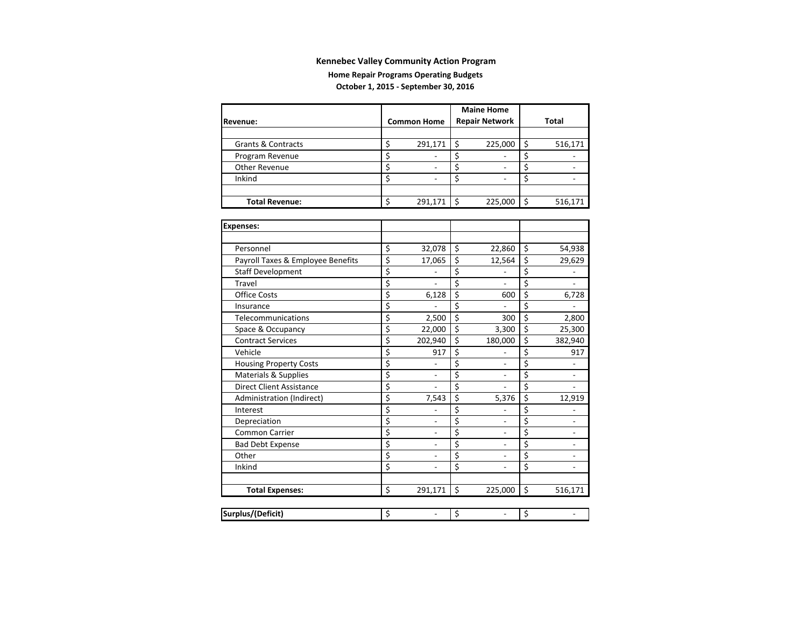#### **Home Repair Programs Operating Budgets October 1, 2015 ‐ September 30, 2016**

|                               |                    | <b>Maine Home</b>     |         |
|-------------------------------|--------------------|-----------------------|---------|
| <b>Revenue:</b>               | <b>Common Home</b> | <b>Repair Network</b> | Total   |
|                               |                    |                       |         |
| <b>Grants &amp; Contracts</b> | 291,171            | 225,000               | 516,171 |
| Program Revenue               |                    |                       |         |
| <b>Other Revenue</b>          |                    |                       |         |
| Inkind                        |                    |                       |         |
|                               |                    |                       |         |
| <b>Total Revenue:</b>         | 291,171            | 225,000               | 516,171 |

| <b>Expenses:</b>                  |                                |                  |                          |                                |
|-----------------------------------|--------------------------------|------------------|--------------------------|--------------------------------|
|                                   |                                |                  |                          |                                |
| Personnel                         | \$<br>32,078                   | \$               | 22,860                   | \$<br>54,938                   |
| Payroll Taxes & Employee Benefits | \$<br>17,065                   | \$               | 12,564                   | \$<br>29,629                   |
| <b>Staff Development</b>          | \$                             | \$               |                          | \$                             |
| Travel                            | \$                             | \$               |                          | \$                             |
| <b>Office Costs</b>               | \$<br>6,128                    | \$               | 600                      | \$<br>6,728                    |
| Insurance                         | \$                             | \$               |                          | \$                             |
| Telecommunications                | \$<br>2,500                    | \$               | 300                      | \$<br>2,800                    |
| Space & Occupancy                 | \$<br>22,000                   | \$               | 3,300                    | \$<br>25,300                   |
| <b>Contract Services</b>          | \$<br>202,940                  | \$               | 180,000                  | \$<br>382,940                  |
| Vehicle                           | \$<br>917                      | \$               |                          | \$<br>917                      |
| <b>Housing Property Costs</b>     | \$                             | \$               |                          | \$                             |
| Materials & Supplies              | \$<br>$\overline{\phantom{a}}$ | \$               | ٠                        | \$<br>٠                        |
| <b>Direct Client Assistance</b>   | \$<br>$\overline{a}$           | $\overline{\xi}$ | $\overline{a}$           | \$<br>$\overline{a}$           |
| Administration (Indirect)         | \$<br>7,543                    | \$               | 5,376                    | \$<br>12,919                   |
| Interest                          | \$                             | \$               |                          | \$                             |
| Depreciation                      | \$                             | \$               |                          | \$                             |
| <b>Common Carrier</b>             | \$                             | \$               |                          | \$                             |
| <b>Bad Debt Expense</b>           | \$<br>$\overline{a}$           | \$               | ÷                        | \$                             |
| Other                             | \$<br>$\overline{\phantom{a}}$ | \$               | $\overline{\phantom{a}}$ | \$                             |
| Inkind                            | \$<br>$\blacksquare$           | \$               | $\overline{a}$           | \$<br>$\overline{\phantom{a}}$ |
|                                   |                                |                  |                          |                                |
| <b>Total Expenses:</b>            | \$<br>291,171                  | \$               | 225,000                  | \$<br>516,171                  |
|                                   |                                |                  |                          |                                |
| <b>Surplus/(Deficit)</b>          | \$                             | \$               |                          | \$                             |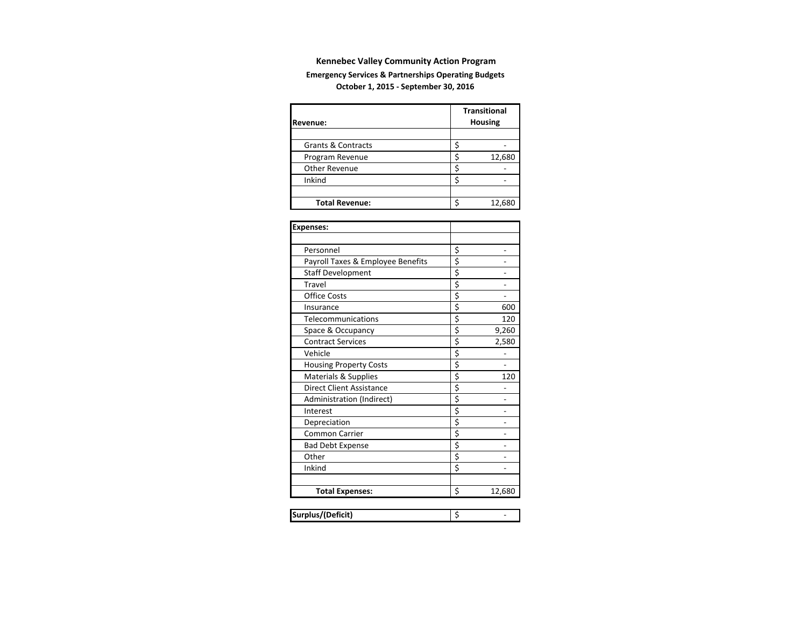#### **Emergency Services & Partnerships Operating Budgets October 1, 2015 ‐ September 30, 2016**

| <b>Revenue:</b>               | <b>Transitional</b><br><b>Housing</b> |
|-------------------------------|---------------------------------------|
|                               |                                       |
| <b>Grants &amp; Contracts</b> |                                       |
| Program Revenue               | 12,680                                |
| <b>Other Revenue</b>          |                                       |
| Inkind                        |                                       |
|                               |                                       |
| <b>Total Revenue:</b>         | 12,680                                |

| <b>Expenses:</b>                  |                                     |        |
|-----------------------------------|-------------------------------------|--------|
|                                   |                                     |        |
| Personnel                         | \$                                  |        |
| Payroll Taxes & Employee Benefits | \$                                  |        |
| <b>Staff Development</b>          | \$                                  |        |
| Travel                            | $\overline{\boldsymbol{\varsigma}}$ |        |
| <b>Office Costs</b>               | \$                                  |        |
| Insurance                         | \$                                  | 600    |
| Telecommunications                | \$                                  | 120    |
| Space & Occupancy                 | \$                                  | 9,260  |
| <b>Contract Services</b>          | \$                                  | 2,580  |
| Vehicle                           | \$                                  |        |
| <b>Housing Property Costs</b>     | \$                                  |        |
| <b>Materials &amp; Supplies</b>   | \$                                  | 120    |
| <b>Direct Client Assistance</b>   | \$                                  |        |
| Administration (Indirect)         | \$                                  |        |
| Interest                          | \$                                  |        |
| Depreciation                      | \$                                  |        |
| <b>Common Carrier</b>             | \$                                  |        |
| <b>Bad Debt Expense</b>           | \$                                  |        |
| Other                             | \$                                  |        |
| Inkind                            | \$                                  |        |
|                                   |                                     |        |
| <b>Total Expenses:</b>            | \$                                  | 12,680 |
|                                   |                                     |        |
| Surplus/(Deficit)                 | \$                                  |        |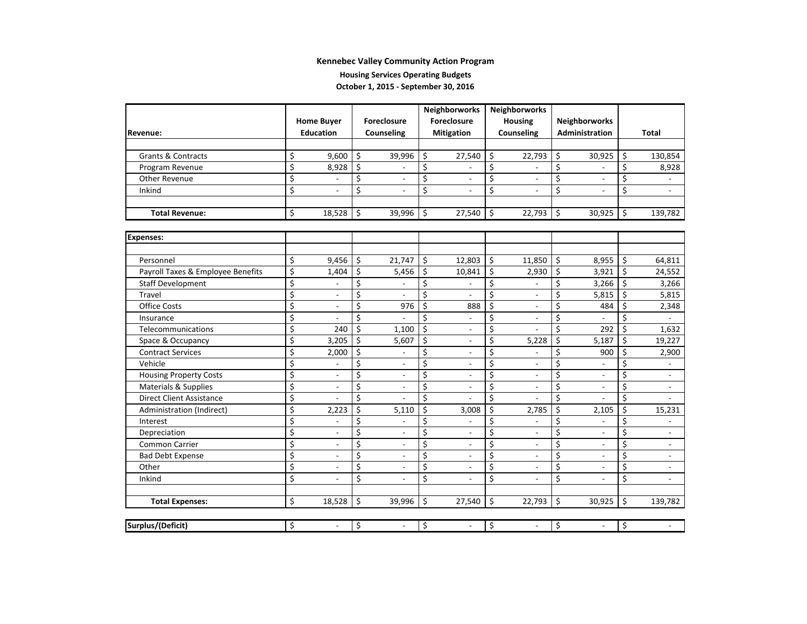#### **Housing Services Operating Budgets October 1, 2015 ‐ September 30, 2016**

|                                   |                         |                              |    | Neighborworks            | Neighborworks |                          |    |                          |    |                          |         |                          |
|-----------------------------------|-------------------------|------------------------------|----|--------------------------|---------------|--------------------------|----|--------------------------|----|--------------------------|---------|--------------------------|
|                                   |                         | <b>Home Buyer</b>            |    | <b>Foreclosure</b>       |               | Foreclosure              |    | <b>Housing</b>           |    | Neighborworks            |         |                          |
| Revenue:                          |                         | <b>Education</b>             |    | Counseling               |               | <b>Mitigation</b>        |    | Counseling               |    | Administration           |         | <b>Total</b>             |
|                                   |                         |                              |    |                          |               |                          |    |                          |    |                          |         |                          |
| <b>Grants &amp; Contracts</b>     | \$                      | 9,600                        | \$ | 39,996                   | \$            | 27,540                   | \$ | 22,793                   | \$ | 30,925                   | \$      | 130,854                  |
| Program Revenue                   | \$                      | 8,928                        | \$ |                          | \$            |                          | \$ |                          | \$ |                          | \$      | 8,928                    |
| Other Revenue                     | \$                      |                              | \$ | $\overline{\phantom{a}}$ | \$            | $\blacksquare$           | \$ | $\blacksquare$           | \$ | $\overline{a}$           | \$      |                          |
| Inkind                            | \$                      | $\overline{a}$               | \$ | $\overline{a}$           | \$            |                          | Ś  |                          | \$ |                          | \$      | $\overline{a}$           |
|                                   |                         |                              |    |                          |               |                          |    |                          |    |                          |         |                          |
| <b>Total Revenue:</b>             | \$                      | 18,528                       | \$ | 39,996                   | \$            | 27,540                   | \$ | 22,793                   | Ś. | 30,925                   | \$      | 139,782                  |
|                                   |                         |                              |    |                          |               |                          |    |                          |    |                          |         |                          |
| <b>Expenses:</b>                  |                         |                              |    |                          |               |                          |    |                          |    |                          |         |                          |
|                                   |                         |                              |    |                          |               |                          |    |                          |    |                          |         |                          |
| Personnel                         | \$                      | 9,456                        | \$ | 21,747                   | \$            | 12,803                   | \$ | 11,850                   | \$ | 8,955                    | \$      | 64,811                   |
| Payroll Taxes & Employee Benefits | \$                      | 1,404                        | \$ | 5,456                    | \$            | 10,841                   | \$ | 2,930                    | \$ | 3,921                    | $\zeta$ | 24,552                   |
| <b>Staff Development</b>          | \$                      |                              | \$ |                          | \$            |                          | \$ |                          | \$ | 3,266                    | $\zeta$ | 3,266                    |
| Travel                            | \$                      | $\overline{a}$               | \$ | $\overline{a}$           | \$            |                          | \$ |                          | \$ | 5,815                    | \$      | 5,815                    |
| <b>Office Costs</b>               | \$                      | $\overline{a}$               | \$ | 976                      | \$            | 888                      | \$ |                          | \$ | 484                      | \$      | 2,348                    |
| Insurance                         | $\overline{\xi}$        | $\overline{a}$               | \$ |                          | \$            |                          | \$ |                          | \$ |                          | \$      | $\overline{\phantom{a}}$ |
| Telecommunications                | $\overline{\xi}$        | 240                          | \$ | 1,100                    | \$            | $\overline{a}$           | \$ |                          | \$ | 292                      | Ŝ.      | 1,632                    |
| Space & Occupancy                 | \$                      | 3,205                        | \$ | 5,607                    | \$            | $\overline{\phantom{a}}$ | \$ | 5,228                    | Ś  | 5,187                    | Ŝ.      | 19,227                   |
| <b>Contract Services</b>          | \$                      | 2,000                        | \$ | $\overline{a}$           | \$            | $\overline{\phantom{a}}$ | \$ |                          | \$ | 900                      | \$      | 2,900                    |
| Vehicle                           | \$                      |                              | \$ | $\overline{\phantom{a}}$ | \$            | $\overline{\phantom{a}}$ | \$ |                          | \$ |                          | \$      | $\overline{\phantom{a}}$ |
| <b>Housing Property Costs</b>     | \$                      | $\overline{a}$               | \$ | $\overline{\phantom{a}}$ | \$            | $\overline{a}$           | \$ |                          | \$ |                          | \$      | $\overline{\phantom{a}}$ |
| Materials & Supplies              | \$                      | $\qquad \qquad \blacksquare$ | \$ | $\overline{\phantom{a}}$ | \$            | $\overline{\phantom{a}}$ | \$ |                          | \$ |                          | \$      | $\overline{\phantom{a}}$ |
| <b>Direct Client Assistance</b>   | \$                      |                              | \$ |                          | \$            |                          | Ś. |                          | \$ |                          | \$      | $\overline{a}$           |
| Administration (Indirect)         | $\overline{\xi}$        | 2,223                        | \$ | 5,110                    | \$            | 3,008                    | \$ | 2,785                    | \$ | 2,105                    | \$      | 15,231                   |
| Interest                          | \$                      |                              | \$ |                          | \$            |                          | \$ |                          | \$ |                          | \$      |                          |
| Depreciation                      | \$                      | $\qquad \qquad \blacksquare$ | \$ | $\overline{a}$           | \$            | $\overline{\phantom{a}}$ | \$ |                          | \$ |                          | \$      | $\overline{\phantom{a}}$ |
| <b>Common Carrier</b>             | \$                      | $\overline{\phantom{a}}$     | \$ | $\overline{\phantom{a}}$ | \$            | $\overline{\phantom{a}}$ | \$ | $\overline{\phantom{a}}$ | \$ |                          | \$      | $\overline{\phantom{a}}$ |
| <b>Bad Debt Expense</b>           | \$                      | $\overline{\phantom{a}}$     | \$ | $\blacksquare$           | \$            | $\overline{a}$           | \$ | $\overline{a}$           | \$ |                          | \$      | $\overline{\phantom{a}}$ |
| Other                             | $\overline{\xi}$        | $\overline{\phantom{a}}$     | \$ | $\overline{\phantom{a}}$ | \$            | $\overline{\phantom{a}}$ | \$ | $\overline{\phantom{a}}$ | \$ | $\overline{\phantom{a}}$ | \$      | $\overline{\phantom{a}}$ |
| Inkind                            | $\overline{\mathsf{S}}$ | $\overline{\phantom{a}}$     | \$ | $\blacksquare$           | \$            | ۰                        | Ś. | $\overline{a}$           | \$ |                          | \$      | $\overline{\phantom{a}}$ |
|                                   |                         |                              |    |                          |               |                          |    |                          |    |                          |         |                          |
| <b>Total Expenses:</b>            | \$                      | 18,528                       | \$ | 39,996                   | \$            | 27,540                   | \$ | 22,793                   | \$ | 30,925                   | \$      | 139,782                  |
|                                   |                         |                              |    |                          |               |                          |    |                          |    |                          |         |                          |
| Surplus/(Deficit)                 | \$                      | $\frac{1}{2}$                | \$ | $\overline{\phantom{a}}$ | \$            | $\mathcal{L}$            | \$ | $\overline{\phantom{a}}$ | \$ | $\overline{a}$           | \$      |                          |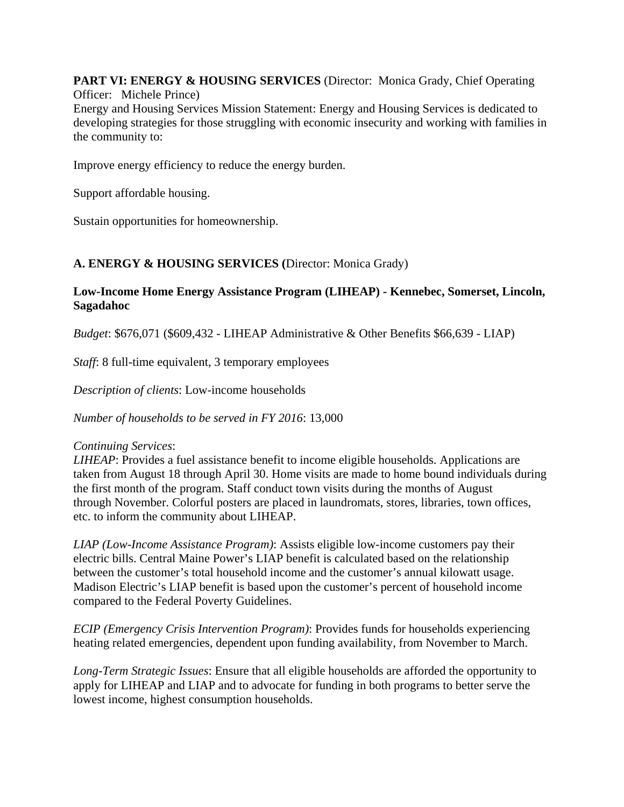**PART VI: ENERGY & HOUSING SERVICES** (Director: Monica Grady, Chief Operating Officer: Michele Prince)

Energy and Housing Services Mission Statement: Energy and Housing Services is dedicated to developing strategies for those struggling with economic insecurity and working with families in the community to:

Improve energy efficiency to reduce the energy burden.

Support affordable housing.

Sustain opportunities for homeownership.

### **A. ENERGY & HOUSING SERVICES (**Director: Monica Grady)

#### **Low-Income Home Energy Assistance Program (LIHEAP) - Kennebec, Somerset, Lincoln, Sagadahoc**

*Budget*: \$676,071 (\$609,432 - LIHEAP Administrative & Other Benefits \$66,639 - LIAP)

*Staff*: 8 full-time equivalent, 3 temporary employees

*Description of clients*: Low-income households

*Number of households to be served in FY 2016*: 13,000

#### *Continuing Services*:

*LIHEAP*: Provides a fuel assistance benefit to income eligible households. Applications are taken from August 18 through April 30. Home visits are made to home bound individuals during the first month of the program. Staff conduct town visits during the months of August through November. Colorful posters are placed in laundromats, stores, libraries, town offices, etc. to inform the community about LIHEAP.

*LIAP (Low-Income Assistance Program)*: Assists eligible low-income customers pay their electric bills. Central Maine Power's LIAP benefit is calculated based on the relationship between the customer's total household income and the customer's annual kilowatt usage. Madison Electric's LIAP benefit is based upon the customer's percent of household income compared to the Federal Poverty Guidelines.

*ECIP (Emergency Crisis Intervention Program)*: Provides funds for households experiencing heating related emergencies, dependent upon funding availability, from November to March.

*Long-Term Strategic Issues*: Ensure that all eligible households are afforded the opportunity to apply for LIHEAP and LIAP and to advocate for funding in both programs to better serve the lowest income, highest consumption households.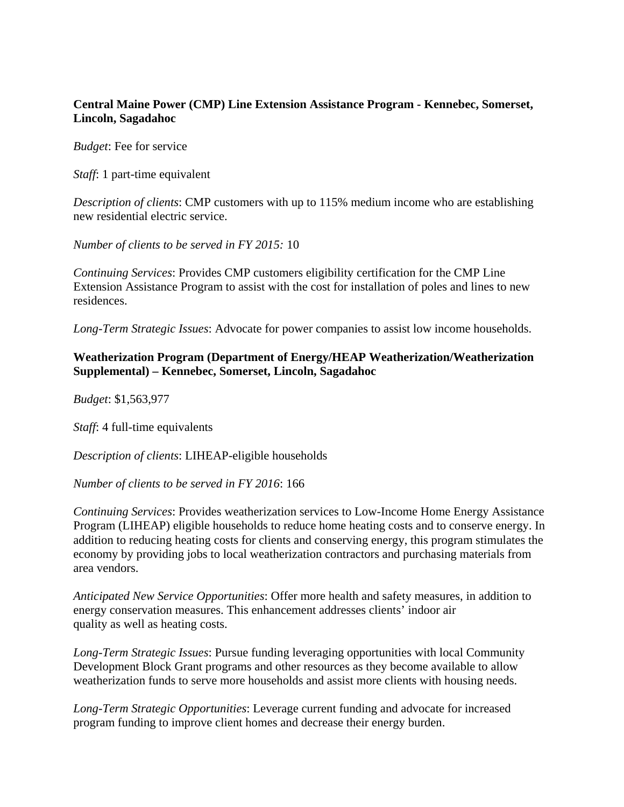#### **Central Maine Power (CMP) Line Extension Assistance Program - Kennebec, Somerset, Lincoln, Sagadahoc**

*Budget*: Fee for service

*Staff*: 1 part-time equivalent

*Description of clients*: CMP customers with up to 115% medium income who are establishing new residential electric service.

*Number of clients to be served in FY 2015:* 10

*Continuing Services*: Provides CMP customers eligibility certification for the CMP Line Extension Assistance Program to assist with the cost for installation of poles and lines to new residences.

*Long-Term Strategic Issues*: Advocate for power companies to assist low income households.

#### **Weatherization Program (Department of Energy/HEAP Weatherization/Weatherization Supplemental) – Kennebec, Somerset, Lincoln, Sagadahoc**

*Budget*: \$1,563,977

*Staff*: 4 full-time equivalents

*Description of clients*: LIHEAP-eligible households

*Number of clients to be served in FY 2016*: 166

*Continuing Services*: Provides weatherization services to Low-Income Home Energy Assistance Program (LIHEAP) eligible households to reduce home heating costs and to conserve energy. In addition to reducing heating costs for clients and conserving energy, this program stimulates the economy by providing jobs to local weatherization contractors and purchasing materials from area vendors.

*Anticipated New Service Opportunities*: Offer more health and safety measures, in addition to energy conservation measures. This enhancement addresses clients' indoor air quality as well as heating costs.

*Long-Term Strategic Issues*: Pursue funding leveraging opportunities with local Community Development Block Grant programs and other resources as they become available to allow weatherization funds to serve more households and assist more clients with housing needs.

*Long-Term Strategic Opportunities*: Leverage current funding and advocate for increased program funding to improve client homes and decrease their energy burden.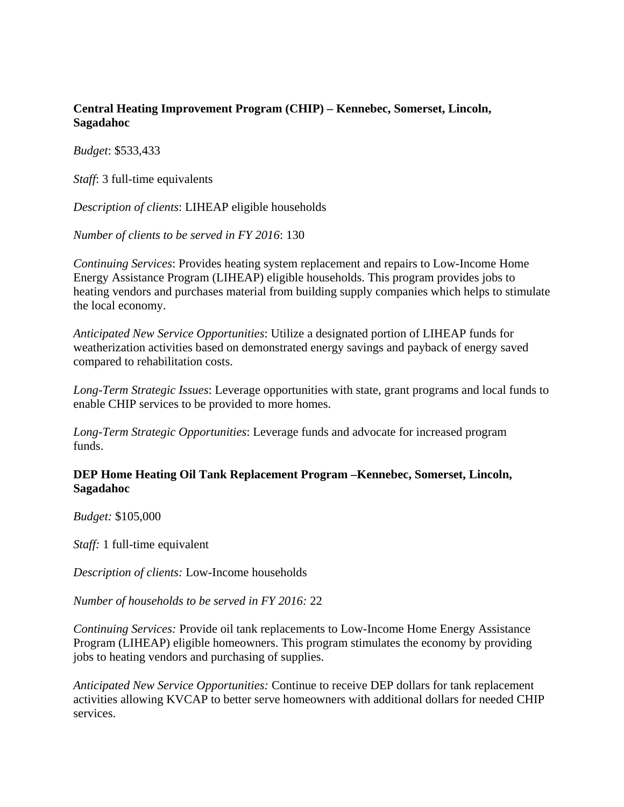#### **Central Heating Improvement Program (CHIP) – Kennebec, Somerset, Lincoln, Sagadahoc**

*Budget*: \$533,433

*Staff*: 3 full-time equivalents

*Description of clients*: LIHEAP eligible households

*Number of clients to be served in FY 2016*: 130

*Continuing Services*: Provides heating system replacement and repairs to Low-Income Home Energy Assistance Program (LIHEAP) eligible households. This program provides jobs to heating vendors and purchases material from building supply companies which helps to stimulate the local economy.

*Anticipated New Service Opportunities*: Utilize a designated portion of LIHEAP funds for weatherization activities based on demonstrated energy savings and payback of energy saved compared to rehabilitation costs.

*Long-Term Strategic Issues*: Leverage opportunities with state, grant programs and local funds to enable CHIP services to be provided to more homes.

*Long-Term Strategic Opportunities*: Leverage funds and advocate for increased program funds.

#### **DEP Home Heating Oil Tank Replacement Program –Kennebec, Somerset, Lincoln, Sagadahoc**

*Budget:* \$105,000

*Staff:* 1 full-time equivalent

*Description of clients:* Low-Income households

*Number of households to be served in FY 2016:* 22

*Continuing Services:* Provide oil tank replacements to Low-Income Home Energy Assistance Program (LIHEAP) eligible homeowners. This program stimulates the economy by providing jobs to heating vendors and purchasing of supplies.

*Anticipated New Service Opportunities:* Continue to receive DEP dollars for tank replacement activities allowing KVCAP to better serve homeowners with additional dollars for needed CHIP services.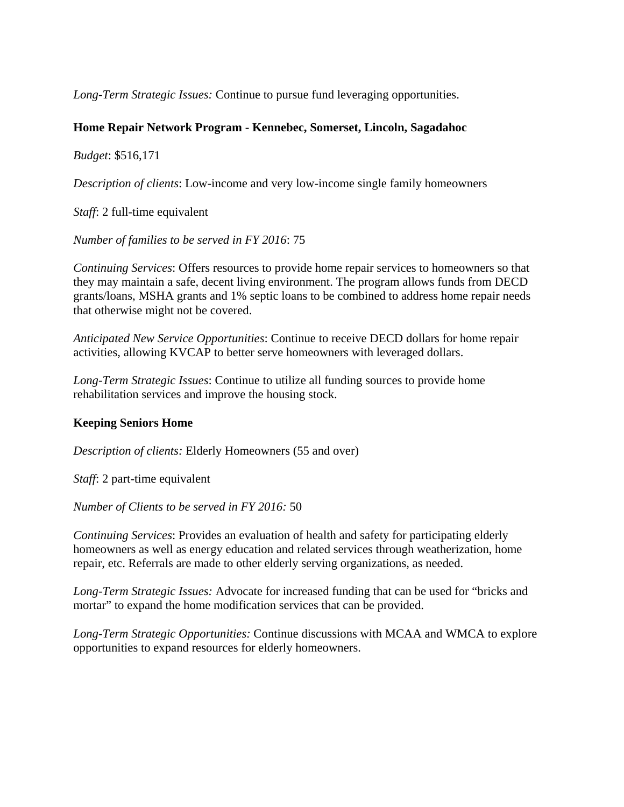*Long-Term Strategic Issues:* Continue to pursue fund leveraging opportunities.

#### **Home Repair Network Program - Kennebec, Somerset, Lincoln, Sagadahoc**

*Budget*: \$516,171

*Description of clients*: Low-income and very low-income single family homeowners

*Staff*: 2 full-time equivalent

*Number of families to be served in FY 2016*: 75

*Continuing Services*: Offers resources to provide home repair services to homeowners so that they may maintain a safe, decent living environment. The program allows funds from DECD grants/loans, MSHA grants and 1% septic loans to be combined to address home repair needs that otherwise might not be covered.

*Anticipated New Service Opportunities*: Continue to receive DECD dollars for home repair activities, allowing KVCAP to better serve homeowners with leveraged dollars.

*Long-Term Strategic Issues*: Continue to utilize all funding sources to provide home rehabilitation services and improve the housing stock.

### **Keeping Seniors Home**

*Description of clients:* Elderly Homeowners (55 and over)

*Staff*: 2 part-time equivalent

*Number of Clients to be served in FY 2016:* 50

*Continuing Services*: Provides an evaluation of health and safety for participating elderly homeowners as well as energy education and related services through weatherization, home repair, etc. Referrals are made to other elderly serving organizations, as needed.

*Long-Term Strategic Issues:* Advocate for increased funding that can be used for "bricks and mortar" to expand the home modification services that can be provided.

*Long-Term Strategic Opportunities:* Continue discussions with MCAA and WMCA to explore opportunities to expand resources for elderly homeowners.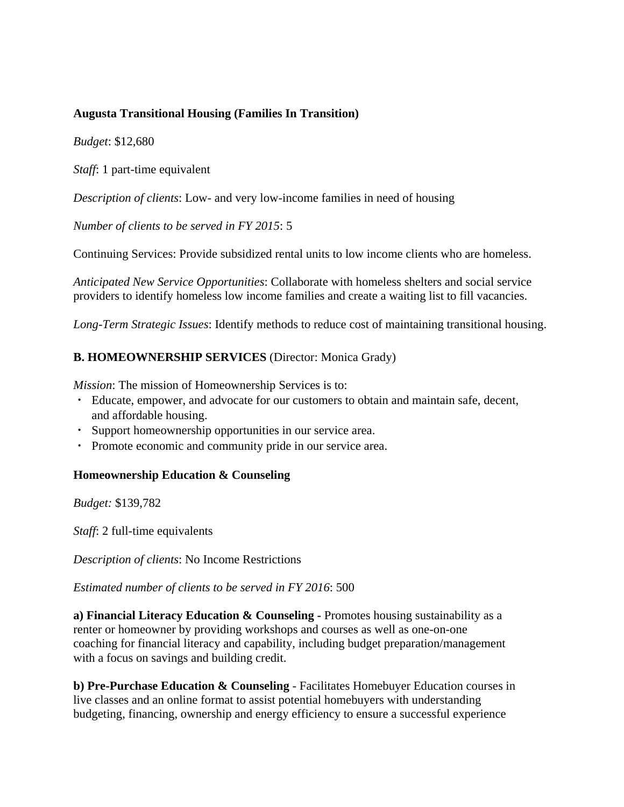#### **Augusta Transitional Housing (Families In Transition)**

*Budget*: \$12,680

*Staff*: 1 part-time equivalent

*Description of clients*: Low- and very low-income families in need of housing

*Number of clients to be served in FY 2015*: 5

Continuing Services: Provide subsidized rental units to low income clients who are homeless.

*Anticipated New Service Opportunities*: Collaborate with homeless shelters and social service providers to identify homeless low income families and create a waiting list to fill vacancies.

*Long-Term Strategic Issues*: Identify methods to reduce cost of maintaining transitional housing.

#### **B. HOMEOWNERSHIP SERVICES** (Director: Monica Grady)

*Mission*: The mission of Homeownership Services is to:

- ・ Educate, empower, and advocate for our customers to obtain and maintain safe, decent, and affordable housing.
- ・ Support homeownership opportunities in our service area.
- ・ Promote economic and community pride in our service area.

#### **Homeownership Education & Counseling**

*Budget:* \$139,782

*Staff*: 2 full-time equivalents

*Description of clients*: No Income Restrictions

*Estimated number of clients to be served in FY 2016*: 500

**a) Financial Literacy Education & Counseling -** Promotes housing sustainability as a renter or homeowner by providing workshops and courses as well as one-on-one coaching for financial literacy and capability, including budget preparation/management with a focus on savings and building credit.

**b) Pre-Purchase Education & Counseling** - Facilitates Homebuyer Education courses in live classes and an online format to assist potential homebuyers with understanding budgeting, financing, ownership and energy efficiency to ensure a successful experience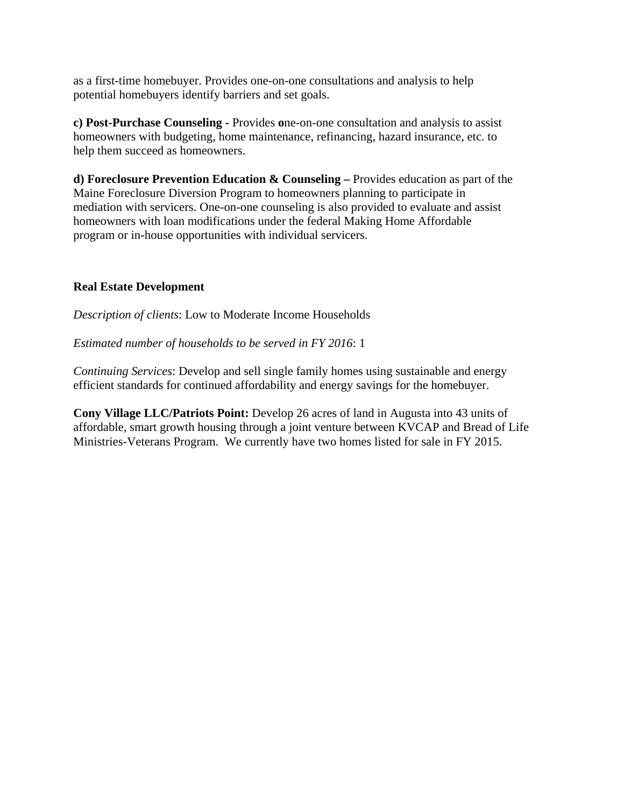as a first-time homebuyer. Provides one-on-one consultations and analysis to help potential homebuyers identify barriers and set goals.

**c) Post-Purchase Counseling -** Provides **o**ne-on-one consultation and analysis to assist homeowners with budgeting, home maintenance, refinancing, hazard insurance, etc. to help them succeed as homeowners.

**d) Foreclosure Prevention Education & Counseling –** Provides education as part of the Maine Foreclosure Diversion Program to homeowners planning to participate in mediation with servicers. One-on-one counseling is also provided to evaluate and assist homeowners with loan modifications under the federal Making Home Affordable program or in-house opportunities with individual servicers.

### **Real Estate Development**

*Description of clients*: Low to Moderate Income Households

*Estimated number of households to be served in FY 2016*: 1

*Continuing Services*: Develop and sell single family homes using sustainable and energy efficient standards for continued affordability and energy savings for the homebuyer.

**Cony Village LLC/Patriots Point:** Develop 26 acres of land in Augusta into 43 units of affordable, smart growth housing through a joint venture between KVCAP and Bread of Life Ministries-Veterans Program. We currently have two homes listed for sale in FY 2015.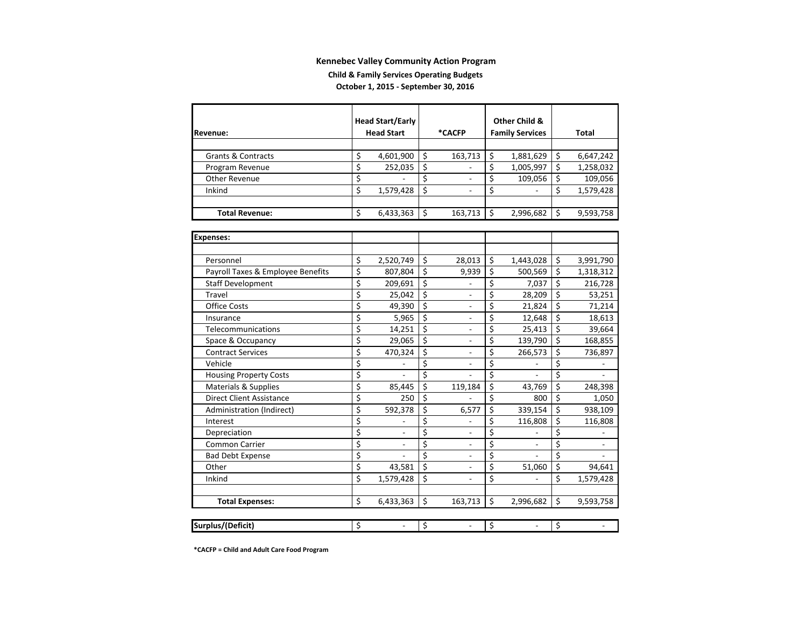#### **Child & Family Services Operating Budgets October 1, 2015 ‐ September 30, 2016**

|                                   |                         | <b>Head Start/Early</b>  |    |                |                                     | <b>Other Child &amp;</b> |                        |                          |
|-----------------------------------|-------------------------|--------------------------|----|----------------|-------------------------------------|--------------------------|------------------------|--------------------------|
| Revenue:                          |                         | <b>Head Start</b>        |    | *CACFP         |                                     | <b>Family Services</b>   |                        | Total                    |
|                                   |                         |                          |    |                |                                     |                          |                        |                          |
| <b>Grants &amp; Contracts</b>     | \$                      | 4,601,900                | \$ | 163,713        | \$                                  | 1,881,629                | \$                     | 6,647,242                |
| Program Revenue                   | $\overline{\mathsf{s}}$ | 252,035                  | \$ |                | \$                                  | 1,005,997                | \$                     | 1,258,032                |
| Other Revenue                     | $\overline{\mathsf{s}}$ |                          | \$ |                | \$                                  | 109,056                  | \$                     | 109,056                  |
| Inkind                            | $\overline{\mathsf{s}}$ | 1,579,428                | \$ |                | \$                                  |                          | \$                     | 1,579,428                |
|                                   |                         |                          |    |                |                                     |                          |                        |                          |
| <b>Total Revenue:</b>             | Ś                       | 6,433,363                | Ś  | 163,713        | \$                                  | 2,996,682                | \$                     | 9,593,758                |
|                                   |                         |                          |    |                |                                     |                          |                        |                          |
| <b>Expenses:</b>                  |                         |                          |    |                |                                     |                          |                        |                          |
|                                   |                         |                          |    |                |                                     |                          |                        |                          |
| Personnel                         | \$                      | 2,520,749                | \$ | 28,013         | \$                                  | 1,443,028                | \$                     | 3,991,790                |
| Payroll Taxes & Employee Benefits | \$                      | 807,804                  | \$ | 9,939          | \$                                  | 500,569                  | \$                     | 1,318,312                |
| <b>Staff Development</b>          | \$                      | 209,691                  | \$ |                | \$                                  | 7,037                    | \$                     | 216,728                  |
| Travel                            | \$                      | 25,042                   | \$ | $\overline{a}$ | \$                                  | 28,209                   | \$                     | 53,251                   |
| <b>Office Costs</b>               | \$                      | 49,390                   | \$ |                | \$                                  | 21,824                   | \$                     | 71,214                   |
| Insurance                         | \$                      | 5,965                    | \$ |                | \$                                  | 12,648                   | \$                     | 18,613                   |
| Telecommunications                | \$                      | 14,251                   | \$ |                | \$                                  | 25,413                   | \$                     | 39,664                   |
| Space & Occupancy                 | \$                      | 29,065                   | \$ |                | $\overline{\xi}$                    | 139,790                  | \$                     | 168,855                  |
| <b>Contract Services</b>          | \$                      | 470,324                  | \$ | ÷              | $\overline{\xi}$                    | 266,573                  | \$                     | 736,897                  |
| Vehicle                           | \$                      |                          | \$ | ÷              | $\overline{\boldsymbol{\varsigma}}$ |                          | \$                     |                          |
| <b>Housing Property Costs</b>     | \$                      |                          | \$ |                | $\overline{\boldsymbol{\zeta}}$     |                          | $\overline{\varsigma}$ |                          |
| Materials & Supplies              | \$                      | 85.445                   | Ś. | 119,184        | $\overline{\mathsf{S}}$             | 43,769                   | \$                     | 248,398                  |
| <b>Direct Client Assistance</b>   | \$                      | 250                      | Ś  |                | \$                                  | 800                      | \$                     | 1,050                    |
| Administration (Indirect)         | \$                      | 592,378                  | \$ | 6,577          | \$                                  | 339,154                  | \$                     | 938,109                  |
| Interest                          | \$                      |                          | \$ | $\overline{a}$ | \$                                  | 116,808                  | \$                     | 116,808                  |
| Depreciation                      | \$                      | $\overline{\phantom{a}}$ | \$ | $\overline{a}$ | \$                                  |                          | \$                     |                          |
| Common Carrier                    | \$                      | $\overline{\phantom{a}}$ | \$ | $\overline{a}$ | $\overline{\varsigma}$              | $\overline{a}$           | $\overline{\xi}$       | $\overline{\phantom{a}}$ |
| <b>Bad Debt Expense</b>           | \$                      | $\overline{a}$           | \$ | $\overline{a}$ | $\overline{\xi}$                    | $\overline{a}$           | $\overline{\xi}$       | L.                       |
| Other                             | \$                      | 43,581                   | \$ | $\overline{a}$ | $\overline{\xi}$                    | 51,060                   | \$                     | 94,641                   |
| Inkind                            | Ś                       | 1,579,428                | Ś. | $\overline{a}$ | \$                                  | $\overline{a}$           | \$                     | 1,579,428                |
|                                   |                         |                          |    |                |                                     |                          |                        |                          |
| <b>Total Expenses:</b>            | \$                      | 6,433,363                | \$ | 163,713        | \$                                  | 2,996,682                | \$                     | 9,593,758                |
|                                   |                         |                          |    |                |                                     |                          |                        |                          |
| Surplus/(Deficit)                 | \$                      |                          | \$ | $\overline{a}$ | \$                                  | L.                       | \$                     |                          |

**\*CACFP <sup>=</sup> Child and Adult Care Food Program**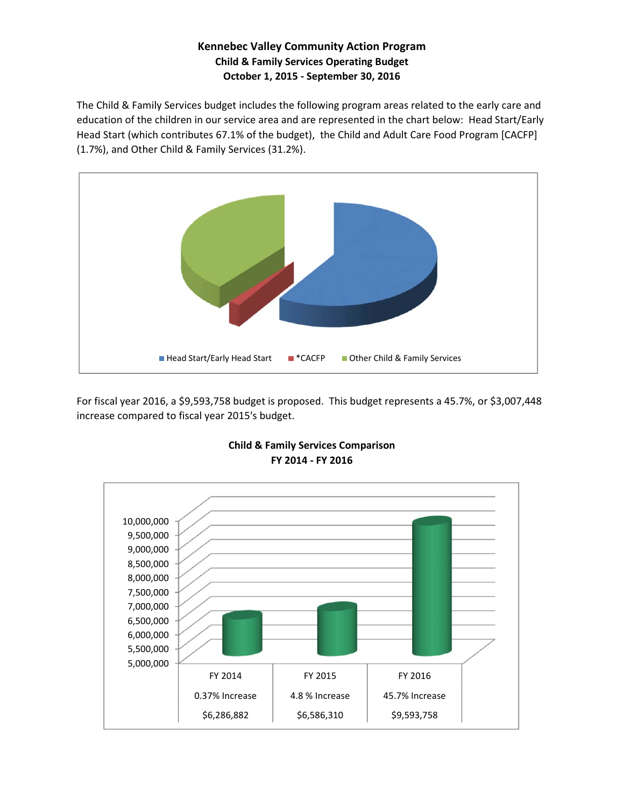### **Kennebec Valley Community Action Program Child & Family Services Operating Budget October 1, 2015 ‐ September 30, 2016**

The Child & Family Services budget includes the following program areas related to the early care and education of the children in our service area and are represented in the chart below: Head Start/Early Head Start (which contributes 67.1% of the budget), the Child and Adult Care Food Program [CACFP] (1.7%), and Other Child & Family Services (31.2%).



For fiscal year 2016, a \$9,593,758 budget is proposed. This budget represents a 45.7%, or \$3,007,448 increase compared to fiscal year 2015's budget.



#### **FY 2014 ‐ FY 2016 Child & Family Services Comparison**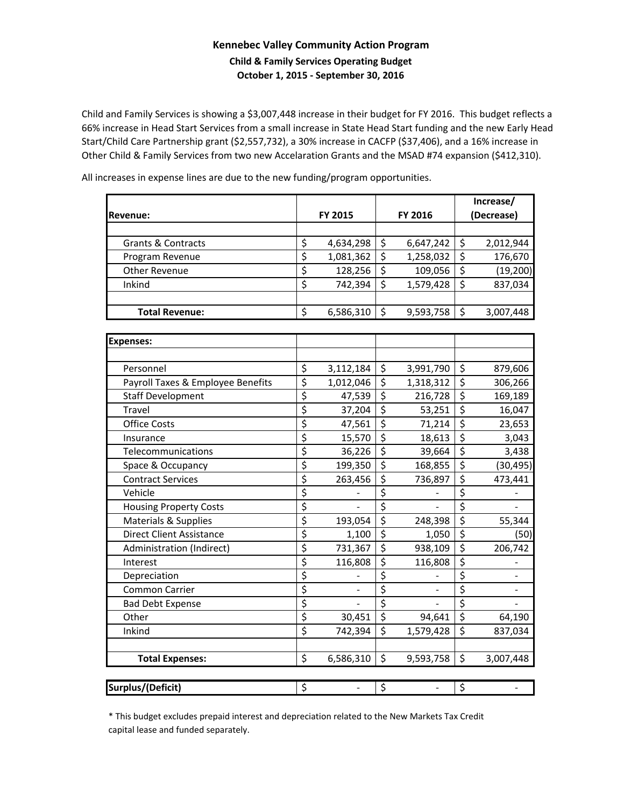### **Kennebec Valley Community Action Program Child & Family Services Operating Budget October 1, 2015 ‐ September 30, 2016**

Child and Family Services is showing a \$3,007,448 increase in their budget for FY 2016. This budget reflects a 66% increase in Head Start Services from a small increase in State Head Start funding and the new Early Head Start/Child Care Partnership grant (\$2,557,732), a 30% increase in CACFP (\$37,406), and a 16% increase in Other Child & Family Services from two new Accelaration Grants and the MSAD #74 expansion (\$412,310).

All increases in expense lines are due to the new funding/program opportunities.

|                                   |                                 |                |                                 |                |                        | Increase/  |
|-----------------------------------|---------------------------------|----------------|---------------------------------|----------------|------------------------|------------|
| Revenue:                          |                                 | FY 2015        |                                 | FY 2016        |                        | (Decrease) |
|                                   |                                 |                |                                 |                |                        |            |
| Grants & Contracts                | \$                              | 4,634,298      | \$                              | 6,647,242      | \$                     | 2,012,944  |
| Program Revenue                   | $\overline{\xi}$                | 1,081,362      | \$                              | 1,258,032      | $\overline{\xi}$       | 176,670    |
| <b>Other Revenue</b>              | $\overline{\xi}$                | 128,256        | \$                              | 109,056        | \$                     | (19, 200)  |
| Inkind                            | $\overline{\mathsf{S}}$         | 742,394        | \$                              | 1,579,428      | $\overline{\varsigma}$ | 837,034    |
|                                   |                                 |                |                                 |                |                        |            |
| <b>Total Revenue:</b>             | \$                              | 6,586,310      | \$                              | 9,593,758      | \$                     | 3,007,448  |
|                                   |                                 |                |                                 |                |                        |            |
| <b>Expenses:</b>                  |                                 |                |                                 |                |                        |            |
|                                   |                                 |                |                                 |                |                        |            |
| Personnel                         | \$                              | 3,112,184      | $\zeta$                         | 3,991,790      | \$                     | 879,606    |
| Payroll Taxes & Employee Benefits | \$                              | 1,012,046      | \$                              | 1,318,312      | $\overline{\xi}$       | 306,266    |
| <b>Staff Development</b>          | \$                              | 47,539         | $\overline{\xi}$                | 216,728        | \$                     | 169,189    |
| Travel                            | \$                              | 37,204         | $\overline{\xi}$                | 53,251         | \$                     | 16,047     |
| <b>Office Costs</b>               | \$                              | 47,561         | \$                              | 71,214         | \$                     | 23,653     |
| Insurance                         | $\overline{\xi}$                | 15,570         | $\overline{\boldsymbol{\zeta}}$ | 18,613         | $\overline{\xi}$       | 3,043      |
| Telecommunications                | \$                              | 36,226         | $\overline{\mathsf{S}}$         | 39,664         | $\overline{\varsigma}$ | 3,438      |
| Space & Occupancy                 | $\overline{\boldsymbol{\zeta}}$ | 199,350        | \$                              | 168,855        | $\overline{\xi}$       | (30, 495)  |
| <b>Contract Services</b>          | $\overline{\xi}$                | 263,456        | $\overline{\varsigma}$          | 736,897        | $\overline{\xi}$       | 473,441    |
| Vehicle                           | \$                              |                | $\overline{\xi}$                |                | \$                     |            |
| <b>Housing Property Costs</b>     | \$                              |                | \$                              |                | $\overline{\xi}$       |            |
| Materials & Supplies              | \$                              | 193,054        | $\overline{\xi}$                | 248,398        | $\overline{\xi}$       | 55,344     |
| <b>Direct Client Assistance</b>   | \$                              | 1,100          | $\overline{\boldsymbol{\zeta}}$ | 1,050          | $\overline{\xi}$       | (50)       |
| Administration (Indirect)         | \$                              | 731,367        | $\overline{\xi}$                | 938,109        | $\overline{\xi}$       | 206,742    |
| Interest                          | $\overline{\mathsf{S}}$         | 116,808        | \$                              | 116,808        | $\overline{\xi}$       |            |
| Depreciation                      | $\overline{\boldsymbol{\zeta}}$ |                | $\overline{\boldsymbol{\zeta}}$ |                | \$                     |            |
| <b>Common Carrier</b>             | $\overline{\xi}$                |                | $\overline{\xi}$                |                | \$                     |            |
| <b>Bad Debt Expense</b>           | \$                              |                | \$                              |                | $\overline{\xi}$       |            |
| Other                             | \$                              | 30,451         | \$                              | 94,641         | $\overline{\xi}$       | 64,190     |
| Inkind                            | \$                              | 742,394        | \$                              | 1,579,428      | $\overline{\xi}$       | 837,034    |
|                                   |                                 |                |                                 |                |                        |            |
| <b>Total Expenses:</b>            | \$                              | 6,586,310      | \$                              | 9,593,758      | \$                     | 3,007,448  |
|                                   |                                 |                |                                 |                |                        |            |
| <b>Surplus/(Deficit)</b>          | \$                              | $\overline{a}$ | \$                              | $\blacksquare$ | \$                     |            |

\* This budget excludes prepaid interest and depreciation related to the New Markets Tax Credit capital lease and funded separately.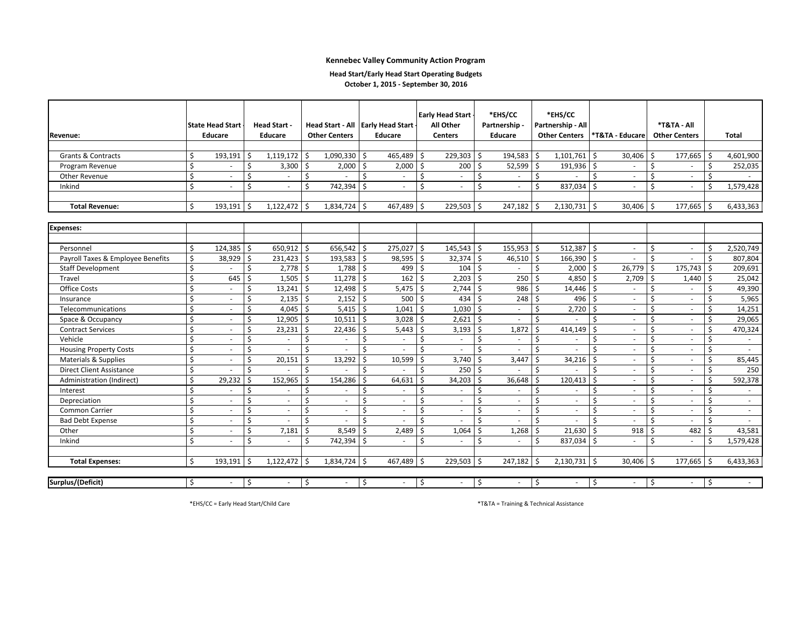#### **Head Start/Early Head Start Operating Budgets**

**October 1, 2015 ‐ September 30, 2016**

| <b>Revenue:</b>                   |    | State Head Start<br><b>Educare</b> |         | <b>Head Start -</b><br><b>Educare</b> |                    | <b>Other Centers</b> | Head Start - All Early Head Start<br>Educare |            |                         | <b>Early Head Start</b><br>All Other<br><b>Centers</b> |                    | *EHS/CC<br>Partnership -<br>Educare |                    | *EHS/CC<br>Partnership - All<br><b>Other Centers</b> |               | *T&TA - Educare          |               | *T&TA - All<br><b>Other Centers</b> |               | <b>Total</b>   |
|-----------------------------------|----|------------------------------------|---------|---------------------------------------|--------------------|----------------------|----------------------------------------------|------------|-------------------------|--------------------------------------------------------|--------------------|-------------------------------------|--------------------|------------------------------------------------------|---------------|--------------------------|---------------|-------------------------------------|---------------|----------------|
|                                   |    |                                    |         |                                       |                    |                      |                                              |            |                         |                                                        |                    |                                     |                    |                                                      |               |                          |               |                                     |               |                |
| <b>Grants &amp; Contracts</b>     | \$ | 193,191                            | S.      | $1,119,172$ \$                        |                    | 1,090,330            | $\ddot{\mathsf{S}}$                          | 465,489    | 5                       | 229,303                                                | \$                 | 194,583                             | \$                 | 1,101,761                                            | \$            | 30,406                   | \$            | 177,665                             | \$            | 4,601,900      |
| Program Revenue                   | \$ |                                    | $\zeta$ | 3,300                                 | -\$                | 2,000                | \$                                           | 2,000      | 5                       | 200                                                    | \$                 | 52,599                              | $\mathsf{\hat{S}}$ | 191,936                                              | S.            | $\sim$                   | \$            | ÷.                                  | \$            | 252,035        |
| Other Revenue                     | \$ | $\sim$                             | \$      |                                       | Ś                  |                      | Ś.                                           |            | $\zeta$                 |                                                        | \$                 |                                     | $\zeta$            |                                                      | Ŝ.            | $\sim$                   | \$            | ÷.                                  | <sup>5</sup>  |                |
| Inkind                            | Ś. | $\sim$                             | Ś       | $\sim$                                | <sup>\$</sup>      | 742,394              | -\$                                          | $\sim$     | Ś                       | $\sim$                                                 | \$                 | $\sim$                              | $\mathsf{\hat{S}}$ | 837,034                                              | Ŝ.            | $\sim$                   | Ś.            | $\sim$                              | <sup>\$</sup> | 1,579,428      |
|                                   |    |                                    |         |                                       |                    |                      |                                              |            |                         |                                                        |                    |                                     |                    |                                                      |               |                          |               |                                     |               |                |
| <b>Total Revenue:</b>             | Ś. | 193.191                            | l \$    | $1,122,472$ \$                        |                    | $1,834,724$ \$       |                                              | 467,489    | S.                      | 229,503                                                | \$                 | 247,182                             | -\$                | 2,130,731                                            | l \$          | 30,406                   | Ŝ.            | 177,665                             | Ŝ.            | 6,433,363      |
|                                   |    |                                    |         |                                       |                    |                      |                                              |            |                         |                                                        |                    |                                     |                    |                                                      |               |                          |               |                                     |               |                |
| <b>Expenses:</b>                  |    |                                    |         |                                       |                    |                      |                                              |            |                         |                                                        |                    |                                     |                    |                                                      |               |                          |               |                                     |               |                |
|                                   |    |                                    |         |                                       |                    |                      |                                              |            |                         |                                                        |                    |                                     |                    |                                                      |               |                          |               |                                     |               |                |
| Personnel                         | Ŝ. | 124,385                            | l \$    | 650,912                               | I\$                | 656,542              | l\$                                          | 275,027    | \$                      | 145,543                                                | \$                 | 155,953                             | \$                 | 512,387                                              | Ŝ.            | $\sim$                   | \$            | $\sim$                              | Ŝ.            | 2,520,749      |
| Payroll Taxes & Employee Benefits | Ŝ. | 38,929                             | l S     | 231,423                               | l \$               | 193,583              | l \$                                         | 98,595     | Ŝ.                      | 32,374                                                 | $\mathsf{\hat{S}}$ | 46,510                              | $\mathsf{\hat{S}}$ | 166,390                                              | Ŝ.            | $\sim$                   | \$            | ÷.                                  | <sup>\$</sup> | 807,804        |
| <b>Staff Development</b>          | Ś  | ÷                                  | Ŝ.      | 2,778                                 | S.                 | 1,788                | Ŝ.                                           | 499        | Ŝ.                      | 104                                                    | $\mathsf{\hat{S}}$ | $\sim$                              | Ŝ.                 | 2,000                                                | Ŝ.            | 26,779                   | Ś.            | 175,743                             | Ś.            | 209,691        |
| Travel                            | Ś  | 645                                | Ŝ.      | 1,505                                 | Ŝ.                 | 11,278               | Ŝ.                                           | 162        | Ŝ.                      | 2,203                                                  | \$                 | 250                                 | Ś                  | 4,850                                                | Ŝ.            | 2,709                    | Ś.            | 1,440                               | Ś.            | 25,042         |
| Office Costs                      | Ś. | $\sim$                             | Ŝ.      | 13,241                                | Ŝ.                 | 12,498               | Ŝ.                                           | 5,475      | \$                      | 2,744                                                  | \$                 | 986                                 | Ŝ.                 | 14,446                                               | Ŝ.            | $\sim$                   | Ś.            | ÷.                                  | Ś.            | 49,390         |
| Insurance                         | Ś. | $\sim$                             | Ŝ.      | 2,135                                 | $\mathsf{S}$       | 2,152                | l\$                                          | 500        | $\overline{\mathsf{S}}$ | 434                                                    | -\$                | 248                                 | $\zeta$            | 496                                                  | Ŝ.            | $\omega$                 | \$            | ÷.                                  | Ś             | 5,965          |
| Telecommunications                | Ś  | $\sim$                             | Ś       | 4,045                                 | S.                 | 5,415                | l\$                                          | 1,041      | \$                      | 1,030                                                  | -\$                | $\omega$                            | $\zeta$            | 2,720                                                | \$            | $\sim$                   | \$            | ÷.                                  | Ś             | 14,251         |
| Space & Occupancy                 | Ś  | $\sim$                             | Ś       | 12,905                                | -\$                | 10,511               | Ŝ.                                           | 3,028      | $\overline{\mathsf{S}}$ | 2,621                                                  | -\$                | $\sim$                              | Ŝ.                 | $\sim$                                               | <sup>\$</sup> | $\sim$                   | Ś.            | ÷.                                  | Ś.            | 29,065         |
| <b>Contract Services</b>          | Ś  | $\sim$                             | Ś       | 23,231                                | Ŝ.                 | 22,436               | Ŝ.                                           | 5,443      | Ŝ.                      | 3,193                                                  | \$                 | 1,872                               | -Ś                 | 414,149                                              | Ŝ.            | $\sim$                   | $\zeta$       | ÷.                                  | <sup>\$</sup> | 470,324        |
| Vehicle                           | Ś  | $\overline{\phantom{a}}$           | Ś       | ×.                                    | Ś                  |                      | Ś                                            | $\sim$     | Ś                       | $\sim$                                                 | \$                 | $\sim$                              | -Ś                 | $\sim$                                               | Ŝ.            | $\sim$                   | <sup>\$</sup> | $\overline{\phantom{a}}$            | Ŝ.            | $\blacksquare$ |
| <b>Housing Property Costs</b>     | Ś. | $\overline{\phantom{a}}$           | Ś       | $\sim$                                | Ś                  |                      | Ś                                            |            | Ś                       | $\overline{\phantom{a}}$                               | Ś                  | $\overline{\phantom{a}}$            | Ś                  | $\sim$                                               | $\varsigma$   | $\sim$                   | Ś             | $\overline{\phantom{a}}$            | Ŝ.            | $\sim$         |
| Materials & Supplies              | Ś  | $\overline{\phantom{a}}$           | \$      | 20,151                                | Ŝ.                 | 13,292               | $\mathsf{S}$                                 | 10,599     | \$                      | 3,740                                                  | Ś                  | 3,447                               | $\zeta$            | 34,216                                               | Ŝ.            | $\overline{\phantom{a}}$ | Ś             | $\overline{\phantom{a}}$            | <sup>\$</sup> | 85,445         |
| <b>Direct Client Assistance</b>   | Ś  | $\overline{\phantom{a}}$           | Ś       |                                       | Ŝ.                 |                      | Ś.                                           |            | Ś                       | 250                                                    | $\zeta$            |                                     | Ś                  |                                                      | Ś             | $\overline{\phantom{a}}$ | Ś             | $\overline{\phantom{a}}$            | Ś             | 250            |
| Administration (Indirect)         | Ś. | 29,232                             | -Ś      | 152,965                               | S,                 | 154,286              | Ś                                            | 64,631     | \$                      | 34,203                                                 | \$                 | 36,648                              | $\zeta$            | 120,413                                              | Ŝ.            | $\overline{\phantom{a}}$ | Ś             | $\overline{\phantom{a}}$            | Ś             | 592,378        |
| Interest                          | Ś  | $\overline{\phantom{a}}$           | \$      |                                       | \$                 |                      | Ś                                            |            | \$                      |                                                        | \$                 | $\sim$                              | Ś                  | $\sim$                                               | Ś             | $\overline{\phantom{a}}$ | Ś             | ٠                                   | Ś.            | $\sim$         |
| Depreciation                      | Ś. | $\overline{\phantom{a}}$           | \$      |                                       | Ś                  |                      | Ś                                            |            | \$                      |                                                        | \$                 |                                     | Ś                  | $\sim$                                               | Ś             | $\sim$                   | Ś             | $\sim$                              | Ŝ.            | $\sim$         |
| Common Carrier                    | Ŝ. | $\sim$                             | Ś       | $\sim$                                | Ś                  |                      | Ś                                            | $\sim$     | \$                      | $\sim$                                                 | \$                 | $\sim$                              | Ś                  | $\sim$                                               | \$            | $\sim$                   | Ś.            | ÷.                                  | Ŝ.            | $\sim$         |
| <b>Bad Debt Expense</b>           | Ś. | $\sim$                             | Ś.      | $\sim$                                | Ŝ.                 |                      | Ś                                            |            | \$                      | $\sim$                                                 | \$                 | $\sim$                              | Ŝ.                 |                                                      | Ŝ.            | $\sim$                   | Ś.            | ÷.                                  | Ŝ.            | $\sim$         |
| Other                             | Ś  | $\sim$                             | Ś       | 7,181                                 | Ŝ.                 | 8,549                | Ŝ.                                           | 2,489      | S.                      | 1,064                                                  | $\zeta$            | 1,268                               | $\zeta$            | 21,630                                               | Ŝ.            | 918                      | Ŝ.            | 482                                 | Ś.            | 43,581         |
| Inkind                            | Ś  | $\sim$                             | $\zeta$ | $\sim$                                | $\mathsf{\hat{S}}$ | 742,394              | -\$                                          | $\sim$     | <sup>\$</sup>           | $\sim$                                                 | \$                 | $\sim$                              | Ś                  | 837,034                                              | Ŝ.            | $\sim$                   | \$            | ÷.                                  | <sup>\$</sup> | 1,579,428      |
| <b>Total Expenses:</b>            | \$ | 193,191                            | l\$     | $1,122,472$ \$                        |                    | $1,834,724$ \$       |                                              | 467,489 \$ |                         | 229,503                                                | -\$                | 247,182                             | -\$                | $2,130,731$ \$                                       |               | 30,406 \$                |               | 177,665                             | Ŝ.            | 6,433,363      |
|                                   |    |                                    |         |                                       |                    |                      |                                              |            |                         |                                                        |                    |                                     |                    |                                                      |               |                          |               |                                     |               |                |
| Surplus/(Deficit)                 | Ŝ. | $\sim$                             | l\$     | $\sim$                                | $\mathsf{S}$       | $\sim$               | \$                                           | $\sim$     | \$                      | $\sim$                                                 | \$                 | $\sim$                              | $\zeta$            | $\sim$                                               | \$            | $\sim$                   | \$            | $\sim$                              | $\mathsf{S}$  | $\sim$         |

\*EHS/CC <sup>=</sup> Early Head Start/Child Care \*T&TA <sup>=</sup> Training & Technical Assistance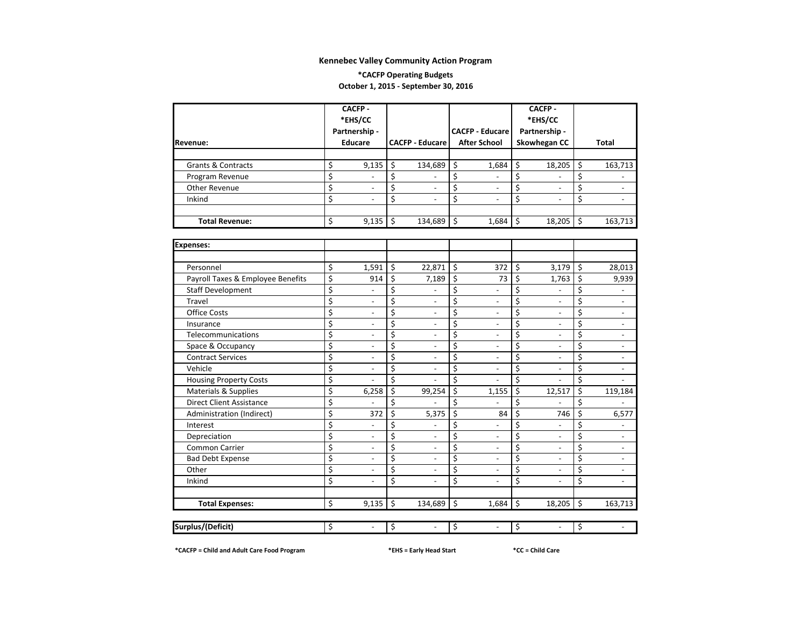#### **\*CACFP Operating Budgets October 1, 2015 ‐ September 30, 2016**

|                                   | <b>CACFP-</b>                   |                          |                         |                          |    |                          |    | <b>CACFP-</b>            |         |                          |
|-----------------------------------|---------------------------------|--------------------------|-------------------------|--------------------------|----|--------------------------|----|--------------------------|---------|--------------------------|
|                                   |                                 | *EHS/CC                  |                         |                          |    |                          |    | *EHS/CC                  |         |                          |
|                                   |                                 | Partnership -            |                         |                          |    | <b>CACFP - Educare</b>   |    | Partnership -            |         |                          |
| Revenue:                          |                                 | <b>Educare</b>           |                         | <b>CACFP - Educare</b>   |    | <b>After School</b>      |    | Skowhegan CC             |         | Total                    |
|                                   |                                 |                          |                         |                          |    |                          |    |                          |         |                          |
| Grants & Contracts                | \$                              | 9,135                    | \$                      | 134,689                  | \$ | 1,684                    | \$ | 18,205                   | \$      | 163,713                  |
| Program Revenue                   | \$                              |                          | \$                      | $\overline{a}$           | \$ | $\overline{a}$           | \$ | $\overline{a}$           | \$      | $\overline{\phantom{a}}$ |
| Other Revenue                     | \$                              | $\overline{\phantom{0}}$ | \$                      | $\overline{\phantom{a}}$ | \$ | $\overline{\phantom{a}}$ | \$ | $\overline{\phantom{0}}$ | \$      | $\overline{\phantom{a}}$ |
| Inkind                            | \$                              |                          | \$                      |                          | \$ |                          | \$ |                          | \$      | $\overline{\phantom{a}}$ |
|                                   |                                 |                          |                         |                          |    |                          |    |                          |         |                          |
| <b>Total Revenue:</b>             | \$                              | 9,135                    | \$                      | 134,689                  | \$ | 1,684                    | \$ | 18,205                   | $\zeta$ | 163,713                  |
|                                   |                                 |                          |                         |                          |    |                          |    |                          |         |                          |
| <b>Expenses:</b>                  |                                 |                          |                         |                          |    |                          |    |                          |         |                          |
|                                   |                                 |                          |                         |                          |    |                          |    |                          |         |                          |
| Personnel                         | \$                              | 1,591                    | \$                      | 22,871                   | \$ | 372                      | \$ | 3,179                    | \$      | 28,013                   |
| Payroll Taxes & Employee Benefits | \$                              | 914                      | \$                      | 7,189                    | \$ | 73                       | \$ | 1,763                    | \$      | 9,939                    |
| <b>Staff Development</b>          | \$                              |                          | \$                      |                          | \$ |                          | \$ |                          | \$      | $\overline{a}$           |
| Travel                            | \$                              | $\overline{a}$           | \$                      |                          | \$ | $\overline{a}$           | \$ | $\overline{a}$           | \$      | $\overline{a}$           |
| <b>Office Costs</b>               | \$                              | $\overline{a}$           | $\overline{\xi}$        | $\overline{a}$           | \$ | $\overline{a}$           | \$ |                          | \$      | $\overline{a}$           |
| Insurance                         | \$                              | $\overline{a}$           | \$                      | $\overline{a}$           | \$ | $\overline{a}$           | \$ | $\overline{a}$           | \$      | $\overline{\phantom{a}}$ |
| Telecommunications                | \$                              | $\overline{a}$           | \$                      | $\overline{a}$           | \$ | $\overline{a}$           | \$ | $\overline{a}$           | \$      | $\overline{a}$           |
| Space & Occupancy                 | \$                              | $\overline{a}$           | \$                      | $\overline{a}$           | Ś  | $\overline{a}$           | \$ | $\overline{a}$           | \$      | $\overline{a}$           |
| <b>Contract Services</b>          | $\overline{\boldsymbol{\zeta}}$ | $\overline{a}$           | $\overline{\mathsf{S}}$ | $\overline{a}$           | \$ | $\overline{\phantom{a}}$ | \$ | $\overline{a}$           | \$      | $\overline{a}$           |
| Vehicle                           | \$                              | $\overline{a}$           | \$                      | $\overline{a}$           | \$ | $\overline{\phantom{a}}$ | \$ | $\overline{\phantom{0}}$ | \$      | $\overline{a}$           |
| <b>Housing Property Costs</b>     | \$                              |                          | \$                      |                          | \$ |                          | \$ |                          | \$      |                          |
| <b>Materials &amp; Supplies</b>   | \$                              | 6,258                    | \$                      | 99,254                   | \$ | 1,155                    | \$ | 12,517                   | \$      | 119,184                  |
| <b>Direct Client Assistance</b>   | \$                              |                          | \$                      |                          | Ś  |                          | \$ |                          | Ś       |                          |
| Administration (Indirect)         | \$                              | 372                      | \$                      | 5,375                    | \$ | 84                       | \$ | 746                      | \$      | 6,577                    |
| Interest                          | \$                              | $\overline{a}$           | \$                      | $\overline{a}$           | \$ | $\overline{a}$           | \$ | $\overline{a}$           | \$      | $\overline{\phantom{m}}$ |
| Depreciation                      | \$                              | $\overline{\phantom{m}}$ | \$                      | $\overline{a}$           | \$ | $\overline{a}$           | \$ | $\overline{a}$           | \$      | $\overline{\phantom{a}}$ |
| Common Carrier                    | \$                              | $\overline{a}$           | \$                      | $\overline{a}$           | \$ | $\overline{a}$           | \$ | $\overline{a}$           | \$      | $\overline{a}$           |
| <b>Bad Debt Expense</b>           | \$                              | $\overline{\phantom{m}}$ | \$                      | $\overline{\phantom{a}}$ | \$ | $\overline{\phantom{a}}$ | \$ | $\overline{\phantom{a}}$ | \$      | $\overline{\phantom{a}}$ |
| Other                             | \$                              | $\overline{\phantom{a}}$ | \$                      | $\overline{\phantom{a}}$ | Ś. | $\overline{\phantom{a}}$ | \$ | $\overline{\phantom{a}}$ | \$      | $\overline{\phantom{a}}$ |
| Inkind                            | \$                              | $\overline{a}$           | Ś                       | $\overline{\phantom{a}}$ | Ś. | $\overline{\phantom{a}}$ | Ś  | $\overline{a}$           | Ś       | $\blacksquare$           |
| <b>Total Expenses:</b>            | \$                              | 9,135                    | \$                      | 134,689                  | \$ | 1,684                    | \$ | 18,205                   | \$      | 163,713                  |
|                                   |                                 |                          |                         |                          |    |                          |    |                          |         |                          |
| Surplus/(Deficit)                 | \$                              | $\overline{a}$           | \$                      | $\overline{\phantom{a}}$ | \$ | $\overline{\phantom{a}}$ | \$ | $\frac{1}{2}$            | \$      | $\overline{\phantom{a}}$ |
|                                   |                                 |                          |                         |                          |    |                          |    |                          |         |                          |

**\*CACFP <sup>=</sup> Child and Adult Care Food Program \*EHS <sup>=</sup> Early Head Start \*CC <sup>=</sup> Child Care**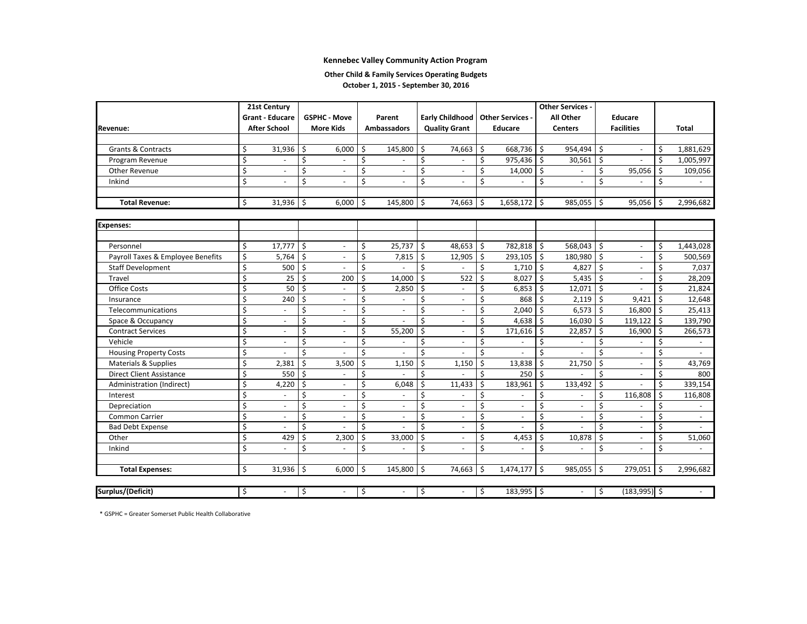#### **Other Child & Family Services Operating Budgets**

**October 1, 2015 ‐ September 30, 2016**

|                                   |    | 21st Century           |    |                          |    |                          |      |                          | <b>Other Services -</b> |                          |    |                |    |                          |    |                |
|-----------------------------------|----|------------------------|----|--------------------------|----|--------------------------|------|--------------------------|-------------------------|--------------------------|----|----------------|----|--------------------------|----|----------------|
|                                   |    | <b>Grant - Educare</b> |    | <b>GSPHC - Move</b>      |    | Parent                   |      | <b>Early Childhood</b>   |                         | <b>Other Services -</b>  |    | All Other      |    | <b>Educare</b>           |    |                |
| <b>Revenue:</b>                   |    | <b>After School</b>    |    | <b>More Kids</b>         |    | <b>Ambassadors</b>       |      | <b>Quality Grant</b>     |                         | <b>Educare</b>           |    | <b>Centers</b> |    | <b>Facilities</b>        |    | <b>Total</b>   |
|                                   |    |                        |    |                          |    |                          |      |                          |                         |                          |    |                |    |                          |    |                |
| <b>Grants &amp; Contracts</b>     | Ś  | 31,936                 | \$ | 6,000                    | \$ | 145,800                  | -\$  | 74,663 \$                |                         | 668,736                  | \$ | 954,494        | \$ |                          | \$ | 1,881,629      |
| Program Revenue                   | \$ |                        | \$ | $\overline{\phantom{a}}$ | \$ |                          | \$   |                          | \$                      | 975,436                  | \$ | 30,561         | \$ |                          | \$ | 1,005,997      |
| Other Revenue                     | \$ |                        | \$ | L,                       | \$ | $\overline{\phantom{a}}$ | \$   | $\sim$                   | \$                      | 14,000                   | \$ |                | \$ | 95,056                   | \$ | 109,056        |
| Inkind                            | \$ |                        | \$ | $\overline{\phantom{a}}$ | \$ | $\overline{\phantom{a}}$ | \$   |                          | \$                      |                          | \$ |                | \$ |                          | \$ |                |
|                                   |    |                        |    |                          |    |                          |      |                          |                         |                          |    |                |    |                          |    |                |
| <b>Total Revenue:</b>             | \$ | 31,936                 | \$ | 6,000                    | \$ | 145,800                  | l \$ | 74,663 \$                |                         | 1,658,172                | \$ | 985,055        | Ŝ. | 95,056                   | Ŝ. | 2,996,682      |
|                                   |    |                        |    |                          |    |                          |      |                          |                         |                          |    |                |    |                          |    |                |
| <b>Expenses:</b>                  |    |                        |    |                          |    |                          |      |                          |                         |                          |    |                |    |                          |    |                |
|                                   |    |                        |    |                          |    |                          |      |                          |                         |                          |    |                |    |                          |    |                |
| Personnel                         | Ś. | 17.777                 | Ś. | $\overline{a}$           | \$ | 25,737                   | ΙŚ.  | 48,653 \$                |                         | 782,818                  | Ŝ. | 568,043        | Ŝ. | ÷.                       | Ś. | 1,443,028      |
| Payroll Taxes & Employee Benefits | Ś  | 5,764                  | \$ | $\overline{\phantom{a}}$ | \$ | 7,815                    | Ś.   | $12,905$ \$              |                         | 293,105                  | Ŝ. | 180,980        | Ŝ. | ä,                       | Ś  | 500,569        |
| <b>Staff Development</b>          | \$ | 500                    | \$ | L,                       | Ś. |                          | Ś    |                          | Ś                       | 1,710                    | \$ | 4,827          | Ś. | ä,                       | Ś  | 7,037          |
| Travel                            | Ś  | 25                     | \$ | 200                      | \$ | 14,000                   | Ś.   | 522                      | Ś                       | 8,027                    | Ŝ. | 5,435          | Ś. | ä,                       | Ś  | 28,209         |
| Office Costs                      | \$ | 50                     | \$ |                          | Ś  | 2,850                    | \$   | $\overline{\phantom{a}}$ | Ś                       | 6,853                    | Ŝ. | 12,071         | Ś. |                          | Ś  | 21,824         |
| Insurance                         | \$ | 240                    | \$ | $\overline{a}$           | Ś  |                          | Ś    | $\overline{\phantom{a}}$ | Ś                       | 868                      | Ŝ. | 2,119          | \$ | 9,421                    | Ś. | 12,648         |
| Telecommunications                | \$ |                        | \$ | ÷.                       | \$ | ÷                        | \$   | $\overline{\phantom{a}}$ | \$                      | 2,040                    | \$ | 6,573          | \$ | 16,800                   | Ŝ. | 25,413         |
| Space & Occupancy                 | Ś  | $\sim$                 | \$ | $\overline{\phantom{a}}$ | \$ |                          | \$   | $\overline{\phantom{a}}$ | \$                      | 4,638                    | Ŝ. | 16,030         | \$ | 119,122                  | Ŝ. | 139,790        |
| <b>Contract Services</b>          | Ś  | $\sim$                 | \$ | $\overline{\phantom{a}}$ | \$ | 55,200                   | Ś.   | $\overline{\phantom{a}}$ | \$                      | 171,616                  | Ŝ. | 22,857         | Ś  | 16,900                   | Ś. | 266,573        |
| Vehicle                           | \$ | $\sim$                 | Ś  | L,                       | \$ |                          | Ś    | $\overline{\phantom{a}}$ | Ś                       | ä,                       | Ś. |                | Ś  |                          | Ś  | $\blacksquare$ |
| <b>Housing Property Costs</b>     | Ś  |                        | \$ |                          | Ś. |                          | Ś    |                          | Ś                       |                          | Ś. |                | Ś. | ä,                       | Ś  |                |
| Materials & Supplies              | \$ | 2,381                  | \$ | 3,500                    | \$ | 1,150                    | Ś.   | 1,150                    | Ś                       | 13,838                   | Ŝ. | 21,750         | Ŝ. | ä,                       | Ś  | 43,769         |
| <b>Direct Client Assistance</b>   | \$ | 550                    | \$ |                          | \$ |                          | Ś    |                          | Ś                       | 250                      | \$ |                | Ś  | ÷,                       | \$ | 800            |
| Administration (Indirect)         | \$ | 4,220                  | \$ | $\blacksquare$           | \$ | 6,048                    | Ś.   | 11,433                   | Ś                       | 183,961                  | Ŝ. | 133,492        | \$ |                          | Ś  | 339,154        |
| Interest                          | Ś  | $\sim$                 | \$ | $\overline{\phantom{a}}$ | \$ |                          | \$   | $\overline{\phantom{a}}$ | \$                      | ä,                       | \$ |                | \$ | 116,808                  | \$ | 116,808        |
| Depreciation                      | Ś  | $\sim$                 | \$ | L,                       | \$ | $\overline{\phantom{a}}$ | \$   | $\overline{\phantom{a}}$ | Ś                       | $\overline{\phantom{a}}$ | Ś  | $\sim$         | Ś. |                          | Ś  |                |
| Common Carrier                    | \$ | $\sim$                 | \$ | L,                       | Ś  | $\overline{\phantom{a}}$ | \$   | $\overline{\phantom{a}}$ | Ś                       | $\sim$                   | Ś. | $\sim$         | Ś  | ä,                       | Ś  | $\blacksquare$ |
| <b>Bad Debt Expense</b>           | \$ |                        | \$ |                          | Ś. |                          | Ś    | $\overline{\phantom{a}}$ | Ś                       |                          | Ś. |                | Ś. | L,                       | Ś  |                |
| Other                             | \$ | 429                    | \$ | 2,300                    | Ŝ. | 33,000                   | Ŝ.   | $\overline{\phantom{a}}$ | Ś                       | 4,453                    | Ś. | 10,878         | Ś. | $\overline{\phantom{a}}$ | Ś  | 51,060         |
| Inkind                            | \$ |                        | \$ |                          | Ś. |                          | Ś.   | $\blacksquare$           | Ś                       |                          | \$ |                | Ś  | ÷,                       | Ś  | $\sim$         |
|                                   |    |                        |    |                          |    |                          |      |                          |                         |                          |    |                |    |                          |    |                |
| <b>Total Expenses:</b>            | \$ | 31,936                 | \$ | 6,000                    | \$ | 145,800                  | l s  | 74,663 \$                |                         | 1,474,177                | \$ | 985,055        | \$ | 279,051                  | Ŝ. | 2,996,682      |
|                                   |    |                        |    |                          |    |                          |      |                          |                         |                          |    |                |    |                          |    |                |
| Surplus/(Deficit)                 | \$ |                        | \$ | $\omega$                 | \$ | $\omega$                 | \$   | $\omega$                 | \$                      | 183,995 \$               |    | $\sim$         | \$ | $(183,995)$ \$           |    |                |

\* GSPHC <sup>=</sup> Greater Somerset Public Health Collaborative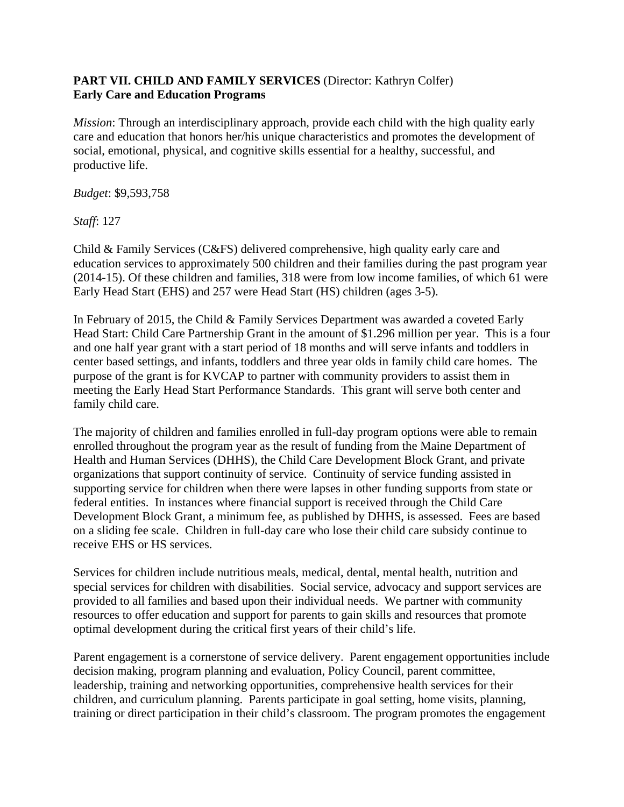### **PART VII. CHILD AND FAMILY SERVICES** (Director: Kathryn Colfer) **Early Care and Education Programs**

*Mission*: Through an interdisciplinary approach, provide each child with the high quality early care and education that honors her/his unique characteristics and promotes the development of social, emotional, physical, and cognitive skills essential for a healthy, successful, and productive life.

*Budget*: \$9,593,758

*Staff*: 127

Child & Family Services (C&FS) delivered comprehensive, high quality early care and education services to approximately 500 children and their families during the past program year (2014-15). Of these children and families, 318 were from low income families, of which 61 were Early Head Start (EHS) and 257 were Head Start (HS) children (ages 3-5).

In February of 2015, the Child & Family Services Department was awarded a coveted Early Head Start: Child Care Partnership Grant in the amount of \$1.296 million per year. This is a four and one half year grant with a start period of 18 months and will serve infants and toddlers in center based settings, and infants, toddlers and three year olds in family child care homes. The purpose of the grant is for KVCAP to partner with community providers to assist them in meeting the Early Head Start Performance Standards. This grant will serve both center and family child care.

The majority of children and families enrolled in full-day program options were able to remain enrolled throughout the program year as the result of funding from the Maine Department of Health and Human Services (DHHS), the Child Care Development Block Grant, and private organizations that support continuity of service. Continuity of service funding assisted in supporting service for children when there were lapses in other funding supports from state or federal entities. In instances where financial support is received through the Child Care Development Block Grant, a minimum fee, as published by DHHS, is assessed. Fees are based on a sliding fee scale. Children in full-day care who lose their child care subsidy continue to receive EHS or HS services.

Services for children include nutritious meals, medical, dental, mental health, nutrition and special services for children with disabilities. Social service, advocacy and support services are provided to all families and based upon their individual needs. We partner with community resources to offer education and support for parents to gain skills and resources that promote optimal development during the critical first years of their child's life.

Parent engagement is a cornerstone of service delivery. Parent engagement opportunities include decision making, program planning and evaluation, Policy Council, parent committee, leadership, training and networking opportunities, comprehensive health services for their children, and curriculum planning. Parents participate in goal setting, home visits, planning, training or direct participation in their child's classroom. The program promotes the engagement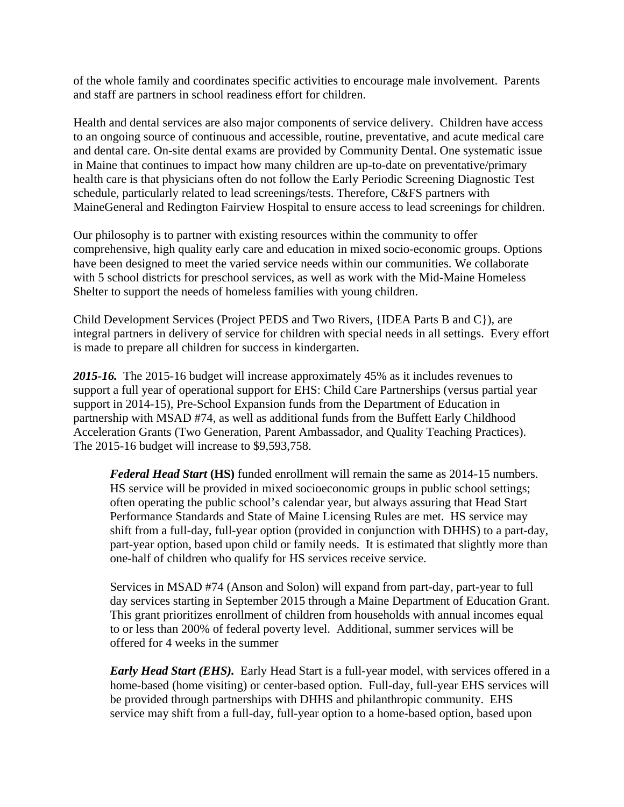of the whole family and coordinates specific activities to encourage male involvement. Parents and staff are partners in school readiness effort for children.

Health and dental services are also major components of service delivery. Children have access to an ongoing source of continuous and accessible, routine, preventative, and acute medical care and dental care. On-site dental exams are provided by Community Dental. One systematic issue in Maine that continues to impact how many children are up-to-date on preventative/primary health care is that physicians often do not follow the Early Periodic Screening Diagnostic Test schedule, particularly related to lead screenings/tests. Therefore, C&FS partners with MaineGeneral and Redington Fairview Hospital to ensure access to lead screenings for children.

Our philosophy is to partner with existing resources within the community to offer comprehensive, high quality early care and education in mixed socio-economic groups. Options have been designed to meet the varied service needs within our communities. We collaborate with 5 school districts for preschool services, as well as work with the Mid-Maine Homeless Shelter to support the needs of homeless families with young children.

Child Development Services (Project PEDS and Two Rivers, {IDEA Parts B and C}), are integral partners in delivery of service for children with special needs in all settings. Every effort is made to prepare all children for success in kindergarten.

*2015-16.*The 2015-16 budget will increase approximately 45% as it includes revenues to support a full year of operational support for EHS: Child Care Partnerships (versus partial year support in 2014-15), Pre-School Expansion funds from the Department of Education in partnership with MSAD #74, as well as additional funds from the Buffett Early Childhood Acceleration Grants (Two Generation, Parent Ambassador, and Quality Teaching Practices). The 2015-16 budget will increase to \$9,593,758.

*Federal Head Start* **(HS)** funded enrollment will remain the same as 2014-15 numbers. HS service will be provided in mixed socioeconomic groups in public school settings; often operating the public school's calendar year, but always assuring that Head Start Performance Standards and State of Maine Licensing Rules are met. HS service may shift from a full-day, full-year option (provided in conjunction with DHHS) to a part-day, part-year option, based upon child or family needs. It is estimated that slightly more than one-half of children who qualify for HS services receive service.

Services in MSAD #74 (Anson and Solon) will expand from part-day, part-year to full day services starting in September 2015 through a Maine Department of Education Grant. This grant prioritizes enrollment of children from households with annual incomes equal to or less than 200% of federal poverty level. Additional, summer services will be offered for 4 weeks in the summer

*Early Head Start (EHS).* Early Head Start is a full-year model, with services offered in a home-based (home visiting) or center-based option. Full-day, full-year EHS services will be provided through partnerships with DHHS and philanthropic community. EHS service may shift from a full-day, full-year option to a home-based option, based upon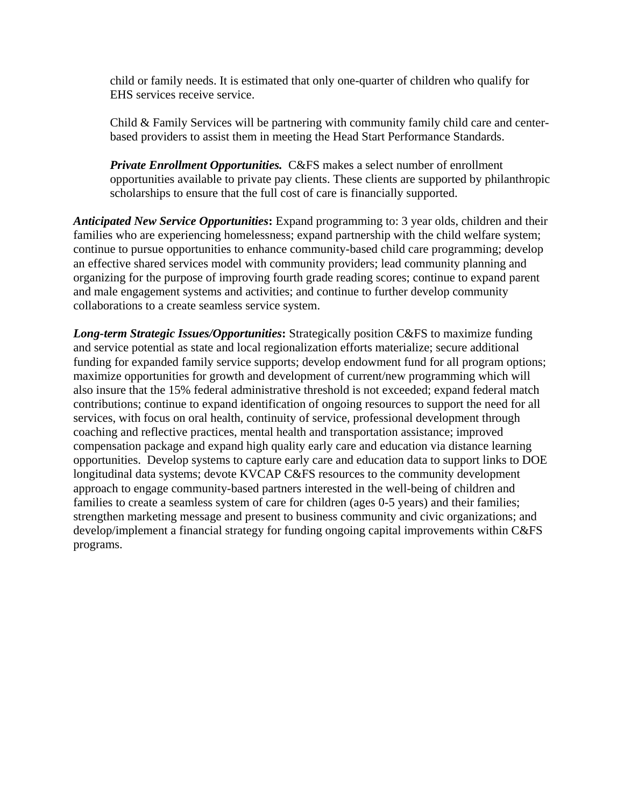child or family needs. It is estimated that only one-quarter of children who qualify for EHS services receive service.

Child & Family Services will be partnering with community family child care and centerbased providers to assist them in meeting the Head Start Performance Standards.

*Private Enrollment Opportunities.* C&FS makes a select number of enrollment opportunities available to private pay clients. These clients are supported by philanthropic scholarships to ensure that the full cost of care is financially supported.

*Anticipated New Service Opportunities***:** Expand programming to: 3 year olds, children and their families who are experiencing homelessness; expand partnership with the child welfare system; continue to pursue opportunities to enhance community-based child care programming; develop an effective shared services model with community providers; lead community planning and organizing for the purpose of improving fourth grade reading scores; continue to expand parent and male engagement systems and activities; and continue to further develop community collaborations to a create seamless service system.

*Long-term Strategic Issues/Opportunities***:** Strategically position C&FS to maximize funding and service potential as state and local regionalization efforts materialize; secure additional funding for expanded family service supports; develop endowment fund for all program options; maximize opportunities for growth and development of current/new programming which will also insure that the 15% federal administrative threshold is not exceeded; expand federal match contributions; continue to expand identification of ongoing resources to support the need for all services, with focus on oral health, continuity of service, professional development through coaching and reflective practices, mental health and transportation assistance; improved compensation package and expand high quality early care and education via distance learning opportunities. Develop systems to capture early care and education data to support links to DOE longitudinal data systems; devote KVCAP C&FS resources to the community development approach to engage community-based partners interested in the well-being of children and families to create a seamless system of care for children (ages 0-5 years) and their families; strengthen marketing message and present to business community and civic organizations; and develop/implement a financial strategy for funding ongoing capital improvements within C&FS programs.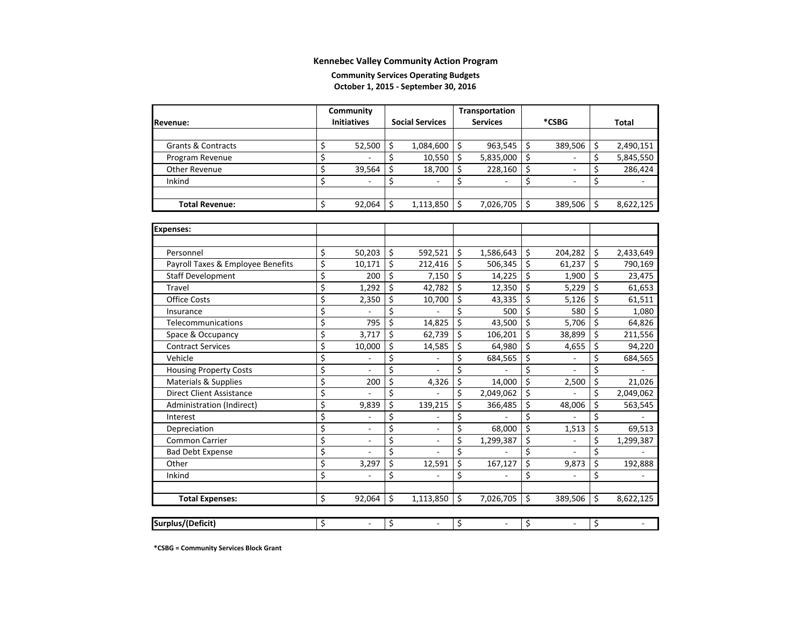#### **Community Services Operating Budgets October 1, 2015 ‐ September 30, 2016**

|                                   | Community                      |                                | Transportation |                          |    |                          |    |           |
|-----------------------------------|--------------------------------|--------------------------------|----------------|--------------------------|----|--------------------------|----|-----------|
| Revenue:                          | <b>Initiatives</b>             | <b>Social Services</b>         |                | <b>Services</b>          |    | *CSBG                    |    | Total     |
|                                   |                                |                                |                |                          |    |                          |    |           |
| <b>Grants &amp; Contracts</b>     | \$<br>52,500                   | \$<br>1,084,600                | \$             | 963,545                  | \$ | 389,506                  | \$ | 2,490,151 |
| Program Revenue                   | \$                             | \$<br>10,550                   | \$             | 5,835,000                | \$ |                          | \$ | 5,845,550 |
| Other Revenue                     | \$<br>39,564                   | \$<br>18,700                   | \$             | 228,160                  | \$ | $\overline{\phantom{a}}$ | \$ | 286,424   |
| Inkind                            | \$                             | \$                             | \$             |                          | \$ | $\overline{\phantom{a}}$ | \$ |           |
|                                   |                                |                                |                |                          |    |                          |    |           |
| <b>Total Revenue:</b>             | \$<br>92,064                   | \$<br>1,113,850                | \$             | 7,026,705                | \$ | 389,506                  | \$ | 8,622,125 |
|                                   |                                |                                |                |                          |    |                          |    |           |
| <b>Expenses:</b>                  |                                |                                |                |                          |    |                          |    |           |
|                                   |                                |                                |                |                          |    |                          |    |           |
| Personnel                         | \$<br>50,203                   | \$<br>592,521                  | \$             | 1,586,643                | \$ | 204,282                  | \$ | 2,433,649 |
| Payroll Taxes & Employee Benefits | \$<br>10,171                   | \$<br>212,416                  | \$             | 506,345                  | \$ | 61,237                   | \$ | 790,169   |
| <b>Staff Development</b>          | \$<br>200                      | \$<br>7,150                    | \$             | 14,225                   | \$ | 1,900                    | \$ | 23,475    |
| <b>Travel</b>                     | \$<br>1,292                    | \$<br>42,782                   | \$             | 12,350                   | \$ | 5,229                    | \$ | 61,653    |
| <b>Office Costs</b>               | \$<br>2,350                    | \$<br>10,700                   | \$             | 43,335                   | \$ | 5,126                    | \$ | 61,511    |
| Insurance                         | \$                             | \$                             | \$             | 500                      | \$ | 580                      | \$ | 1,080     |
| Telecommunications                | \$<br>795                      | \$<br>14,825                   | \$             | 43,500                   | \$ | 5,706                    | \$ | 64,826    |
| Space & Occupancy                 | \$<br>3,717                    | \$<br>62,739                   | \$             | 106,201                  | \$ | 38,899                   | Ś  | 211,556   |
| <b>Contract Services</b>          | \$<br>10,000                   | \$<br>14,585                   | \$             | 64,980                   | \$ | 4,655                    | \$ | 94,220    |
| Vehicle                           | \$                             | \$                             | \$             | 684,565                  | \$ |                          | \$ | 684,565   |
| <b>Housing Property Costs</b>     | \$<br>$\overline{\phantom{a}}$ | \$                             | Ś              |                          | \$ | $\frac{1}{2}$            | \$ |           |
| Materials & Supplies              | \$<br>200                      | \$<br>4,326                    | \$             | 14,000                   | \$ | 2,500                    | \$ | 21,026    |
| <b>Direct Client Assistance</b>   | \$                             | \$                             | \$             | 2,049,062                | \$ |                          | \$ | 2,049,062 |
| Administration (Indirect)         | \$<br>9,839                    | \$<br>139,215                  | \$             | 366,485                  | \$ | 48,006                   | \$ | 563,545   |
| Interest                          | \$                             | \$                             | \$             |                          | \$ |                          | \$ |           |
| Depreciation                      | \$                             | \$                             | \$             | 68,000                   | \$ | 1,513                    | \$ | 69,513    |
| <b>Common Carrier</b>             | \$                             | \$                             | \$             | 1,299,387                | \$ |                          | \$ | 1,299,387 |
| <b>Bad Debt Expense</b>           | \$                             | \$                             | \$             |                          | \$ |                          | \$ |           |
| Other                             | \$<br>3,297                    | \$<br>12,591                   | \$             | 167,127                  | \$ | 9,873                    | \$ | 192,888   |
| Inkind                            | \$                             | \$                             | \$             |                          | \$ |                          | \$ |           |
|                                   |                                |                                |                |                          |    |                          |    |           |
| <b>Total Expenses:</b>            | \$<br>92,064                   | \$<br>1,113,850                | \$             | 7,026,705                | \$ | 389,506                  | Ŝ. | 8,622,125 |
|                                   |                                |                                |                |                          |    |                          |    |           |
| Surplus/(Deficit)                 | \$<br>$\blacksquare$           | \$<br>$\overline{\phantom{a}}$ | \$             | $\overline{\phantom{a}}$ | \$ | $\overline{\phantom{a}}$ | \$ |           |

**\*CSBG <sup>=</sup> Community Services Block Grant**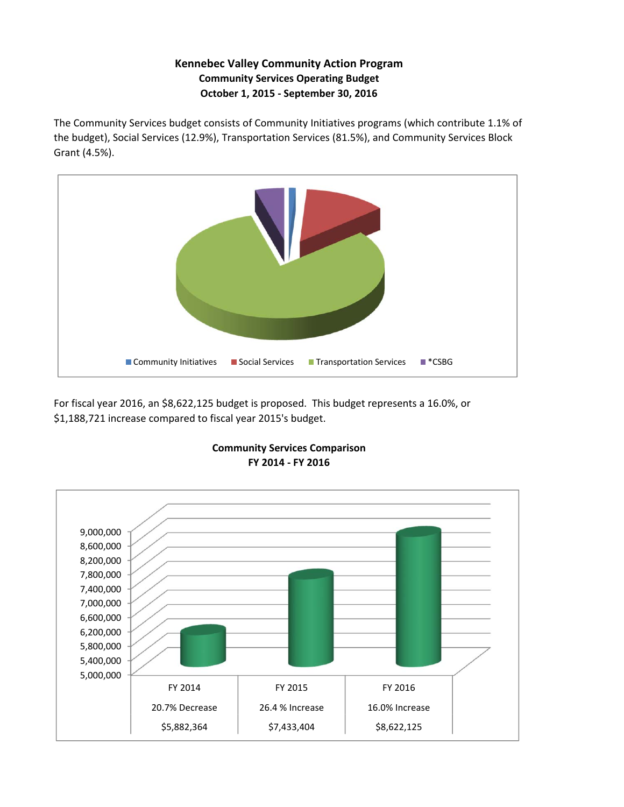### **Kennebec Valley Community Action Program Community Services Operating Budget October 1, 2015 ‐ September 30, 2016**

The Community Services budget consists of Community Initiatives programs (which contribute 1.1% of the budget), Social Services (12.9%), Transportation Services (81.5%), and Community Services Block Grant (4.5%).



For fiscal year 2016, an \$8,622,125 budget is proposed. This budget represents a 16.0%, or \$1,188,721 increase compared to fiscal year 2015's budget.



#### **FY 2014 ‐ FY 2016 Community Services Comparison**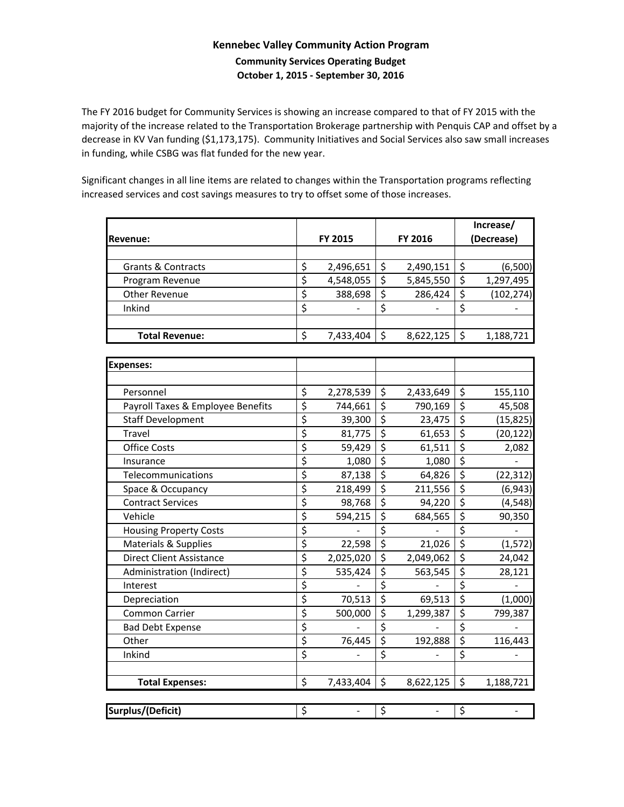### **Kennebec Valley Community Action Program Community Services Operating Budget October 1, 2015 ‐ September 30, 2016**

The FY 2016 budget for Community Services is showing an increase compared to that of FY 2015 with the majority of the increase related to the Transportation Brokerage partnership with Penquis CAP and offset by a decrease in KV Van funding (\$1,173,175). Community Initiatives and Social Services also saw small increases in funding, while CSBG was flat funded for the new year.

Significant changes in all line items are related to changes within the Transportation programs reflecting increased services and cost savings measures to try to offset some of those increases.

|                                   |                                 |           |                        |           | Increase/                       |            |  |  |  |  |
|-----------------------------------|---------------------------------|-----------|------------------------|-----------|---------------------------------|------------|--|--|--|--|
| Revenue:                          |                                 | FY 2015   |                        | FY 2016   | (Decrease)                      |            |  |  |  |  |
|                                   |                                 |           |                        |           |                                 |            |  |  |  |  |
| <b>Grants &amp; Contracts</b>     | \$                              | 2,496,651 | \$                     | 2,490,151 | \$                              | (6,500)    |  |  |  |  |
| Program Revenue                   | $\overline{\xi}$                | 4,548,055 | \$                     | 5,845,550 | \$                              | 1,297,495  |  |  |  |  |
| Other Revenue                     | $\overline{\boldsymbol{\zeta}}$ | 388,698   | $\overline{\xi}$       | 286,424   | $\overline{\xi}$                | (102, 274) |  |  |  |  |
| Inkind                            | $\overline{\xi}$                |           | \$                     |           | $\zeta$                         |            |  |  |  |  |
|                                   |                                 |           |                        |           |                                 |            |  |  |  |  |
| <b>Total Revenue:</b>             | \$                              | 7,433,404 | $\zeta$                | 8,622,125 | $\zeta$                         | 1,188,721  |  |  |  |  |
|                                   |                                 |           |                        |           |                                 |            |  |  |  |  |
| <b>Expenses:</b>                  |                                 |           |                        |           |                                 |            |  |  |  |  |
|                                   |                                 |           |                        |           |                                 |            |  |  |  |  |
| Personnel                         | \$                              | 2,278,539 | \$                     | 2,433,649 | \$                              | 155,110    |  |  |  |  |
| Payroll Taxes & Employee Benefits | \$                              | 744,661   | \$                     | 790,169   | \$                              | 45,508     |  |  |  |  |
| <b>Staff Development</b>          | \$                              | 39,300    | \$                     | 23,475    | \$                              | (15, 825)  |  |  |  |  |
| Travel                            | $\overline{\xi}$                | 81,775    | $\overline{\xi}$       | 61,653    | $\overline{\xi}$                | (20, 122)  |  |  |  |  |
| <b>Office Costs</b>               | \$                              | 59,429    | $\overline{\varsigma}$ | 61,511    | $\overline{\xi}$                | 2,082      |  |  |  |  |
| Insurance                         | \$                              | 1,080     | $\overline{\xi}$       | 1,080     | $\overline{\xi}$                |            |  |  |  |  |
| Telecommunications                | \$                              | 87,138    | \$                     | 64,826    | $\overline{\xi}$                | (22, 312)  |  |  |  |  |
| Space & Occupancy                 | \$                              | 218,499   | \$                     | 211,556   | $\overline{\boldsymbol{\zeta}}$ | (6, 943)   |  |  |  |  |
| <b>Contract Services</b>          | $\overline{\xi}$                | 98,768    | \$                     | 94,220    | $\overline{\xi}$                | (4, 548)   |  |  |  |  |
| Vehicle                           | $\overline{\mathcal{L}}$        | 594,215   | $\overline{\varsigma}$ | 684,565   | $\overline{\xi}$                | 90,350     |  |  |  |  |
| <b>Housing Property Costs</b>     | $\overline{\boldsymbol{\zeta}}$ |           | $\overline{\xi}$       |           | $\overline{\xi}$                |            |  |  |  |  |
| Materials & Supplies              | $\overline{\varsigma}$          | 22,598    | $\overline{\xi}$       | 21,026    | $\overline{\mathcal{S}}$        | (1, 572)   |  |  |  |  |
| <b>Direct Client Assistance</b>   | $\overline{\xi}$                | 2,025,020 | $\overline{\varsigma}$ | 2,049,062 | $\overline{\xi}$                | 24,042     |  |  |  |  |
| Administration (Indirect)         | $\overline{\xi}$                | 535,424   | $\overline{\xi}$       | 563,545   | $\overline{\xi}$                | 28,121     |  |  |  |  |
| Interest                          | $\overline{\xi}$                |           | $\overline{\xi}$       |           | $\overline{\xi}$                |            |  |  |  |  |
| Depreciation                      | $\overline{\xi}$                | 70,513    | $\overline{\xi}$       | 69,513    | $\overline{\xi}$                | (1,000)    |  |  |  |  |
| Common Carrier                    | $\overline{\xi}$                | 500,000   | $\overline{\xi}$       | 1,299,387 | $\overline{\xi}$                | 799,387    |  |  |  |  |
| <b>Bad Debt Expense</b>           | \$                              |           | $\overline{\xi}$       |           | $\overline{\xi}$                |            |  |  |  |  |
| Other                             | $\overline{\xi}$                | 76,445    | $\overline{\xi}$       | 192,888   | $\overline{\xi}$                | 116,443    |  |  |  |  |
| Inkind                            | $\overline{\mathsf{S}}$         |           | \$                     |           | $\overline{\mathsf{S}}$         |            |  |  |  |  |
|                                   |                                 |           |                        |           |                                 |            |  |  |  |  |
| <b>Total Expenses:</b>            | \$                              | 7,433,404 | $\zeta$                | 8,622,125 | $\zeta$                         | 1,188,721  |  |  |  |  |
|                                   |                                 |           |                        |           |                                 |            |  |  |  |  |
| Surplus/(Deficit)                 | \$                              |           | \$                     |           | \$                              |            |  |  |  |  |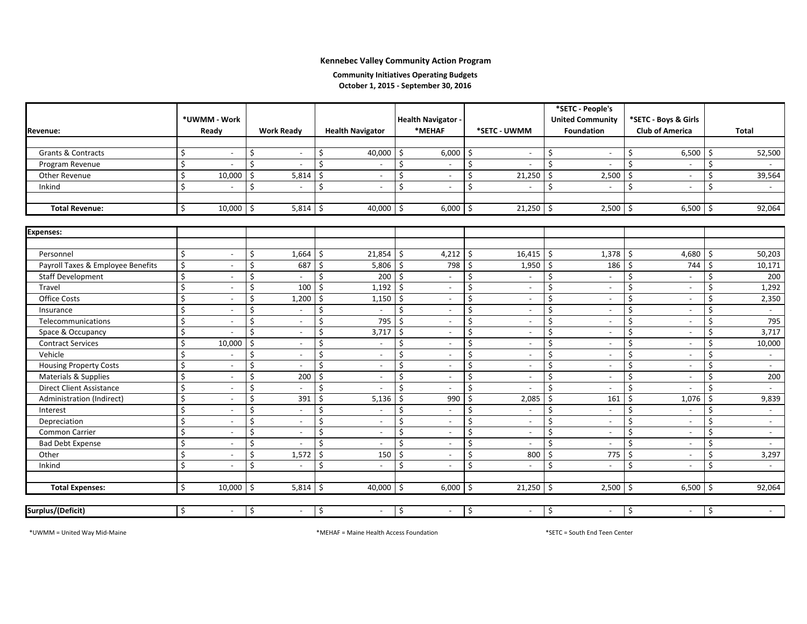#### **Community Initiatives Operating Budgets October 1, 2015 ‐ September 30, 2016**

|                                   |                                |            |                          |                                                |                           |                          |      |                          | *SETC - People's              |                                |                    |              |
|-----------------------------------|--------------------------------|------------|--------------------------|------------------------------------------------|---------------------------|--------------------------|------|--------------------------|-------------------------------|--------------------------------|--------------------|--------------|
|                                   | *UWMM - Work                   |            |                          |                                                | <b>Health Navigator -</b> |                          |      |                          | <b>United Community</b>       | *SETC - Boys & Girls           |                    |              |
| Revenue:                          | Ready                          |            | <b>Work Ready</b>        | <b>Health Navigator</b>                        |                           | *MEHAF                   |      | *SETC - UWMM             | <b>Foundation</b>             | <b>Club of America</b>         |                    | <b>Total</b> |
|                                   |                                |            |                          |                                                |                           |                          |      |                          |                               |                                |                    |              |
| <b>Grants &amp; Contracts</b>     | Ŝ.<br>$\blacksquare$           | \$         | $\overline{\phantom{a}}$ | $40,000$ \$<br>$\frac{1}{2}$                   |                           | 6,000                    | -Ś   |                          | Ś                             | \$<br>$6,500$ \$               |                    | 52,500       |
| Program Revenue                   | $\mathsf{\hat{S}}$             | \$         |                          | \$                                             | \$                        |                          | \$   |                          | Ś                             | \$                             | \$                 |              |
| Other Revenue                     | \$<br>10,000                   | Ŝ.         | 5,814                    | Ś<br>$\overline{\phantom{a}}$                  | \$                        | $\blacksquare$           | Ś    | 21,250                   | Ś<br>2,500                    | \$<br>$\blacksquare$           | \$                 | 39,564       |
| Inkind                            | Ś.                             | Ŝ.         |                          | Ś                                              | Ś                         |                          |      |                          | Ś                             | Ś.                             | Ś                  |              |
|                                   |                                |            |                          |                                                |                           |                          |      |                          |                               |                                |                    |              |
| <b>Total Revenue:</b>             | \$<br>10,000                   | $\vert$ \$ | 5,814                    | 40,000<br>Ŝ.                                   | \$                        | 6,000                    | -Ś   | 21,250                   | $2,500$ \$<br>-Ś              | $6,500$ \$                     |                    | 92,064       |
|                                   |                                |            |                          |                                                |                           |                          |      |                          |                               |                                |                    |              |
| <b>Expenses:</b>                  |                                |            |                          |                                                |                           |                          |      |                          |                               |                                |                    |              |
|                                   |                                |            |                          |                                                |                           |                          |      |                          |                               |                                |                    |              |
| Personnel                         | \$<br>$\sim$                   | Ŝ.         | 1,664                    | $21,854$ \$<br>Ŝ.                              |                           | 4,212                    | l \$ | 16,415                   | $1,378$ \$<br>Ŝ.              | 4,680 \$                       |                    | 50,203       |
| Payroll Taxes & Employee Benefits | \$<br>$\blacksquare$           | Ŝ.         | 687                      | 5,806<br>Ŝ.                                    | l \$                      | 798                      |      | 1,950                    | 186<br>Ś                      | 744<br>Ŝ.                      | Ŝ.                 | 10,171       |
| <b>Staff Development</b>          | \$<br>$\overline{\phantom{a}}$ | Ŝ.         |                          | $\zeta$<br>200                                 | $\ddot{\mathsf{S}}$       |                          | Ś.   |                          | Ś                             | \$<br>$\overline{a}$           | Ŝ.                 | 200          |
| Travel                            | \$<br>$\sim$                   | Ŝ.         | 100                      | 1,192<br>$\dot{\mathsf{s}}$                    | \$                        | $\overline{\phantom{a}}$ |      | $\overline{a}$           | Ś                             | \$<br>$\overline{\phantom{a}}$ | Ŝ.                 | 1,292        |
| <b>Office Costs</b>               | \$<br>$\overline{\phantom{a}}$ | Ŝ.         | 1,200                    | S.<br>1,150                                    | $\ddot{\mathsf{S}}$       | $\blacksquare$           | Ś    | $\blacksquare$           | Ś<br>$\overline{\phantom{a}}$ | \$<br>$\overline{\phantom{a}}$ | Ŝ.                 | 2,350        |
| Insurance                         | \$<br>$\blacksquare$           | Ŝ.         |                          | $\zeta$                                        | $\mathsf{\hat{S}}$        | $\overline{\phantom{a}}$ | Ś    | $\overline{a}$           | Ś<br>$\overline{\phantom{a}}$ | \$<br>$\overline{\phantom{a}}$ | $\mathsf{\hat{S}}$ |              |
| Telecommunications                | \$<br>$\overline{a}$           | \$         | $\sim$                   | $\boldsymbol{\mathsf{S}}$<br>795               | \$                        | $\overline{\phantom{a}}$ | Ś    | $\overline{a}$           | Ś                             | \$<br>$\overline{\phantom{a}}$ | \$                 | 795          |
| Space & Occupancy                 | Ś.<br>$\overline{a}$           | Ŝ.         | $\sim$                   | $\ddot{\mathsf{S}}$<br>3,717                   | \$                        | $\overline{\phantom{a}}$ | Ś    | $\overline{a}$           | Ś<br>$\overline{\phantom{a}}$ | \$<br>$\overline{\phantom{a}}$ | Ŝ.                 | 3,717        |
| <b>Contract Services</b>          | Ś.<br>10,000                   | Ŝ.         | $\sim$                   | S.                                             | \$                        | $\overline{\phantom{a}}$ | Ś    | $\overline{a}$           | Ś                             | \$<br>$\sim$                   | \$                 | 10,000       |
| Vehicle                           | \$<br>$\overline{\phantom{a}}$ | Ŝ.         | $\sim$                   | \$<br>$\overline{\phantom{a}}$                 | \$                        | $\overline{\phantom{a}}$ | Ś    | $\blacksquare$           | Ś<br>$\overline{\phantom{a}}$ | \$<br>$\overline{\phantom{a}}$ | Ŝ.                 | $\sim$       |
| <b>Housing Property Costs</b>     | \$<br>$\blacksquare$           | $\zeta$    | $\overline{\phantom{a}}$ | Ś<br>$\sim$                                    | \$                        | $\overline{\phantom{a}}$ |      | $\overline{a}$           | Ś                             | \$<br>$\blacksquare$           | \$                 | $\sim$       |
| Materials & Supplies              | \$<br>$\blacksquare$           | \$         | 200                      | Ś<br>$\sim$                                    | \$                        | $\overline{\phantom{a}}$ |      | $\overline{\phantom{a}}$ | Ś                             | \$<br>$\blacksquare$           | \$                 | 200          |
| <b>Direct Client Assistance</b>   | \$<br>$\overline{\phantom{a}}$ | \$         | $\overline{\phantom{a}}$ | S.                                             | \$                        |                          |      |                          | Ś                             | \$                             | Ŝ.                 |              |
| Administration (Indirect)         | \$<br>$\blacksquare$           | Ŝ.         | 391                      | 5,136<br>Ś                                     | \$                        | 990                      |      | 2,085                    | 161<br>Ś                      | \$<br>1,076                    | <sup>\$</sup>      | 9,839        |
| Interest                          | \$<br>$\blacksquare$           | Ŝ.         | $\sim$                   | $\mathsf{\hat{S}}$                             | \$                        | $\overline{a}$           |      |                          | Ś                             | \$                             | Ŝ.                 | $\sim$       |
| Depreciation                      | \$<br>$\blacksquare$           | \$         | $\sim$                   | $\mathsf{\hat{S}}$<br>$\overline{\phantom{a}}$ | \$                        | $\blacksquare$           |      | $\blacksquare$           | Ś<br>$\overline{\phantom{a}}$ | \$<br>$\blacksquare$           | $\zeta$            | $\sim$       |
| Common Carrier                    | \$<br>$\sim$                   | $\zeta$    | $\sim$                   | Ś<br>$\sim$                                    | \$                        |                          |      | $\overline{a}$           | Ś                             | \$<br>$\sim$                   | $\zeta$            | $\sim$       |
| <b>Bad Debt Expense</b>           | \$<br>$\overline{\phantom{a}}$ | \$         | $\blacksquare$           | \$<br>$\sim$                                   | \$                        | $\blacksquare$           | Ś    |                          | Ś                             | \$<br>$\overline{\phantom{a}}$ | \$                 | $\sim$       |
| Other                             | \$<br>$\blacksquare$           | \$         | 1,572                    | Ś<br>150                                       | \$                        |                          | Ś    | 800                      | 775<br>Ś                      | Ś.<br>$\blacksquare$           | $\zeta$            | 3,297        |
| Inkind                            | \$<br>$\overline{\phantom{a}}$ | \$         | $\blacksquare$           | \$                                             | \$                        |                          | Ś    |                          | Ś                             | Ś.<br>$\blacksquare$           | $\mathsf{\dot{S}}$ |              |
|                                   |                                |            |                          |                                                |                           |                          |      |                          |                               |                                |                    |              |
| <b>Total Expenses:</b>            | Ŝ.<br>10,000                   | Ŝ.         | 5.814                    | 40,000<br>Ŝ.                                   | Ŝ.                        | 6,000                    | -Ś   | 21,250                   | 2,500<br>Ś                    | Ŝ.<br>6,500                    | Ŝ.                 | 92,064       |
|                                   |                                |            |                          |                                                |                           |                          |      |                          |                               |                                |                    |              |
| Surplus/(Deficit)                 | \$<br>$\overline{\phantom{a}}$ | \$         | $\overline{\phantom{a}}$ | \$                                             | \$                        |                          | \$   |                          | Ś                             | \$<br>$\overline{\phantom{a}}$ | \$                 |              |

\*UWMM

<sup>=</sup> United Way Mid‐Maine \*MEHAF <sup>=</sup> Maine Health Access Foundation \*SETC <sup>=</sup> South End Teen Center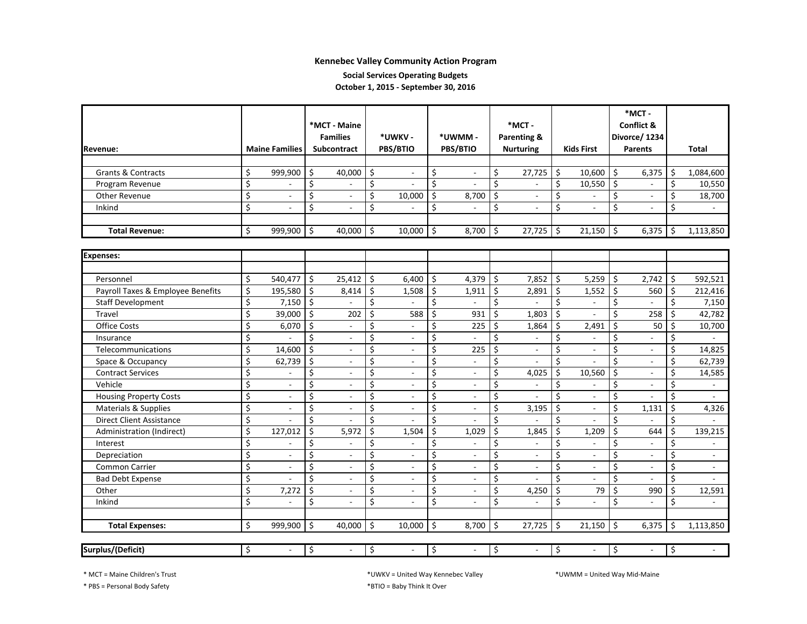**Social Services Operating Budgets**

**October 1, 2015 ‐ September 30, 2016**

|                                   |                                |                     | *MCT - Maine<br><b>Families</b> |                    | *UWKV-                   | *UWMM-   |                             | $*$ MCT -<br>Parenting & |                          |                   |                          |         | *MCT-<br><b>Conflict &amp;</b><br>Divorce/ 1234 |     |                |
|-----------------------------------|--------------------------------|---------------------|---------------------------------|--------------------|--------------------------|----------|-----------------------------|--------------------------|--------------------------|-------------------|--------------------------|---------|-------------------------------------------------|-----|----------------|
| <b>Revenue:</b>                   | <b>Maine Families</b>          |                     | <b>Subcontract</b>              |                    | PBS/BTIO                 | PBS/BTIO |                             | <b>Nurturing</b>         |                          | <b>Kids First</b> |                          |         | Parents                                         |     | Total          |
| <b>Grants &amp; Contracts</b>     | \$<br>999,900                  | \$                  | 40,000                          | \$                 | $\mathcal{L}$            | \$       | $\sim$                      | \$                       | 27,725                   | \$                | 10,600                   | \$      | 6,375                                           | \$. | 1,084,600      |
| Program Revenue                   | \$                             | \$                  |                                 | \$                 |                          | \$       |                             | \$                       |                          | \$                | 10,550                   | \$      |                                                 | \$  | 10,550         |
| Other Revenue                     | \$<br>$\blacksquare$           | \$                  | $\blacksquare$                  | \$                 | 10,000                   | \$       | 8,700                       | \$                       | $\overline{a}$           | \$                |                          | \$      |                                                 | \$  | 18,700         |
| Inkind                            | \$                             | \$                  |                                 | \$                 |                          | \$       |                             | $\zeta$                  | $\blacksquare$           | \$                |                          | \$      |                                                 | \$  |                |
| <b>Total Revenue:</b>             | \$<br>999,900                  | \$                  | 40,000                          | $\mathsf{\hat{S}}$ | 10,000                   | \$       | 8,700                       | \$                       | 27,725                   | \$                | 21,150                   | \$      | 6,375                                           | \$  | 1,113,850      |
| <b>Expenses:</b>                  |                                |                     |                                 |                    |                          |          |                             |                          |                          |                   |                          |         |                                                 |     |                |
| Personnel                         | \$<br>540,477                  | \$                  | 25,412                          | Ś                  | 6,400                    | \$       | 4,379                       | \$                       | 7,852                    | \$                | 5,259                    | Ŝ.      | 2,742                                           | \$  | 592,521        |
| Payroll Taxes & Employee Benefits | \$<br>195,580                  | $\zeta$             | 8,414                           | $\zeta$            | 1,508                    | \$       | 1,911                       | \$                       | 2,891                    | \$                | 1,552                    | \$      | 560                                             | \$  | 212,416        |
| <b>Staff Development</b>          | \$<br>7,150                    | $\zeta$             | $\mathbf{r}$                    | \$                 |                          | \$       | $\mathcal{L}_{\mathcal{A}}$ | $\zeta$                  |                          | \$                | $\overline{a}$           | \$      |                                                 | Ś.  | 7,150          |
| Travel                            | \$<br>39,000                   | $\ddot{\mathsf{S}}$ | 202                             | \$                 | 588                      | \$       | 931                         | \$                       | 1,803                    | \$                | $\overline{a}$           | \$      | 258                                             | \$  | 42,782         |
| <b>Office Costs</b>               | \$<br>6,070                    | Ś.                  | $\overline{\phantom{a}}$        | \$                 | $\overline{\phantom{a}}$ | \$       | 225                         | \$                       | 1,864                    | \$                | 2,491                    | \$      | 50                                              | Ś.  | 10,700         |
| Insurance                         | \$                             | Ś                   | $\overline{\phantom{a}}$        | Ś                  | $\overline{\phantom{a}}$ | \$       | $\overline{a}$              | \$                       | $\overline{\phantom{a}}$ | \$                | $\overline{a}$           | \$      |                                                 | \$  | $\overline{a}$ |
| Telecommunications                | \$<br>14,600                   | Ś                   | $\sim$                          | Ś                  | $\overline{\phantom{a}}$ | \$       | 225                         | \$                       | $\blacksquare$           | Ś                 | $\overline{\phantom{a}}$ | $\zeta$ | $\blacksquare$                                  | \$  | 14,825         |
| Space & Occupancy                 | \$<br>62,739                   | \$                  | $\overline{\phantom{a}}$        | Ś                  | $\overline{\phantom{a}}$ | \$       |                             | \$                       |                          | \$                |                          | \$      |                                                 | \$  | 62,739         |
| <b>Contract Services</b>          | \$                             | \$                  | $\blacksquare$                  | \$                 | $\overline{\phantom{a}}$ | \$       |                             | $\zeta$                  | 4,025                    | \$                | 10,560                   | \$      |                                                 | \$  | 14,585         |
| Vehicle                           | \$<br>$\overline{\phantom{a}}$ | Ś                   | $\overline{\phantom{a}}$        | \$                 | $\overline{\phantom{a}}$ | \$       |                             | \$                       | $\blacksquare$           | \$                |                          | \$      |                                                 | \$  | $\overline{a}$ |
| <b>Housing Property Costs</b>     | \$                             | \$                  |                                 | \$                 |                          | \$       |                             | \$                       |                          | \$                | $\overline{a}$           | \$      |                                                 | \$  |                |
| Materials & Supplies              | \$                             | \$                  | $\overline{a}$                  | \$                 |                          | \$       |                             | \$                       | 3,195                    | \$                | $\overline{a}$           | \$      | 1,131                                           | \$  | 4,326          |
| <b>Direct Client Assistance</b>   | \$                             | \$                  | $\overline{a}$                  | \$                 |                          | \$       |                             | \$                       |                          | \$                | $\overline{a}$           | \$      | $\sim$                                          | \$  | ÷              |
| Administration (Indirect)         | \$<br>127,012                  | \$                  | 5,972                           | \$                 | 1,504                    | \$       | 1,029                       | \$                       | 1,845                    | \$                | 1,209                    | \$      | 644                                             | Ś.  | 139,215        |
| Interest                          | \$                             | \$                  | ۰                               | \$                 | $\overline{a}$           | \$       |                             | $\zeta$                  | ٠                        | \$                |                          | \$      |                                                 | \$  |                |
| Depreciation                      | \$<br>$\overline{a}$           | \$                  | $\sim$                          | \$                 | $\overline{a}$           | \$       | ÷.                          | $\zeta$                  | ÷.                       | \$                | $\overline{a}$           | \$      | $\sim$                                          | \$  | $\sim$         |
| <b>Common Carrier</b>             | \$<br>$\overline{a}$           | \$                  | $\mathbf{r}$                    | \$                 | $\mathcal{L}$            | \$       | $\overline{a}$              | $\zeta$                  | $\overline{a}$           | \$                | $\overline{a}$           | \$      | $\sim$                                          | \$  | $\blacksquare$ |
| <b>Bad Debt Expense</b>           | \$                             | \$                  | $\overline{a}$                  | \$                 | $\overline{a}$           | \$       | $\sim$                      | \$                       |                          | \$                |                          | \$      |                                                 | \$  |                |
| Other                             | \$<br>7,272                    | \$                  | $\blacksquare$                  | \$                 | $\sim$                   | \$       | $\overline{\phantom{a}}$    | \$                       | 4,250                    | \$                | 79                       | \$      | 990                                             | \$  | 12,591         |
| Inkind                            | \$                             | \$                  |                                 | Ś                  | $\overline{a}$           | \$       |                             | \$                       | $\sim$                   | \$                |                          | \$      |                                                 | \$  |                |
| <b>Total Expenses:</b>            | \$<br>999,900                  | \$                  | 40,000                          | \$                 | 10,000                   | \$       | 8,700                       | \$                       | 27,725                   | \$                | 21,150                   | \$      | 6,375                                           | \$  | 1,113,850      |
| Surplus/(Deficit)                 | \$<br>$\overline{\phantom{a}}$ | \$                  | $\overline{\phantom{a}}$        | \$                 | $\overline{\phantom{a}}$ | \$       |                             | \$                       | $\overline{\phantom{a}}$ | \$                |                          | \$      |                                                 | \$  |                |

\* MCT <sup>=</sup> Maine Children's Trust \*UWKV

\* PBS <sup>=</sup> Personal Body Safety \*BTIO <sup>=</sup> Baby Think It Over

<sup>=</sup> United Way Kennebec Valley \*UWMM <sup>=</sup> United Way Mid‐Maine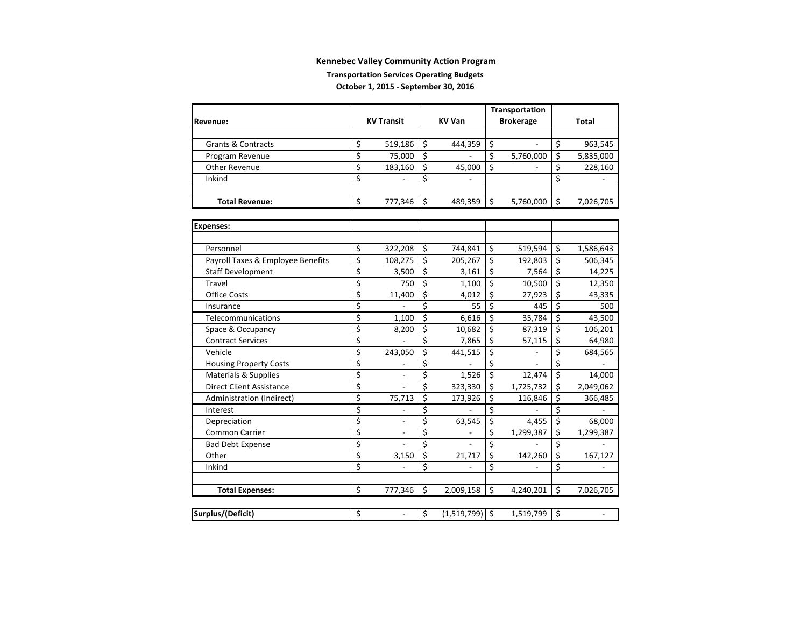#### **Transportation Services Operating Budgets October 1, 2015 ‐ September 30, 2016**

|                                   |                         |                   |    |                  |                                     | Transportation           |                         |           |
|-----------------------------------|-------------------------|-------------------|----|------------------|-------------------------------------|--------------------------|-------------------------|-----------|
| Revenue:                          |                         | <b>KV Transit</b> |    | <b>KV Van</b>    |                                     | <b>Brokerage</b>         |                         | Total     |
|                                   |                         |                   |    |                  |                                     |                          |                         |           |
| <b>Grants &amp; Contracts</b>     | \$                      | 519,186           | \$ | 444,359          | \$                                  |                          | \$                      | 963,545   |
| Program Revenue                   | \$                      | 75,000            | Ś  |                  | \$                                  | 5,760,000                | \$                      | 5,835,000 |
| <b>Other Revenue</b>              | \$                      | 183,160           | \$ | 45,000           | Ś.                                  |                          | \$                      | 228,160   |
| Inkind                            | \$                      |                   | Ś  |                  |                                     |                          | \$                      |           |
|                                   |                         |                   |    |                  |                                     |                          |                         |           |
| <b>Total Revenue:</b>             | \$                      | 777,346           | \$ | 489,359          | \$                                  | 5,760,000                | \$                      | 7,026,705 |
|                                   |                         |                   |    |                  |                                     |                          |                         |           |
| <b>Expenses:</b>                  |                         |                   |    |                  |                                     |                          |                         |           |
|                                   |                         |                   |    |                  |                                     |                          |                         |           |
| Personnel                         | \$                      | 322,208           | \$ | 744,841          | \$                                  | 519,594                  | \$                      | 1,586,643 |
| Payroll Taxes & Employee Benefits | $\overline{\xi}$        | 108,275           | \$ | 205,267          | \$                                  | 192,803                  | $\overline{\mathsf{S}}$ | 506,345   |
| <b>Staff Development</b>          | $\overline{\mathsf{S}}$ | 3,500             | \$ | 3,161            | \$                                  | 7,564                    | \$                      | 14,225    |
| Travel                            | \$                      | 750               | \$ | 1,100            | \$                                  | 10,500                   | $\overline{\xi}$        | 12,350    |
| <b>Office Costs</b>               | \$                      | 11,400            | \$ | 4,012            | \$                                  | 27,923                   | \$                      | 43,335    |
| Insurance                         | \$                      |                   | \$ | 55               | $\overline{\xi}$                    | 445                      | \$                      | 500       |
| Telecommunications                | \$                      | 1,100             | \$ | 6,616            | \$                                  | 35,784                   | \$                      | 43,500    |
| Space & Occupancy                 | \$                      | 8,200             | \$ | 10,682           | \$                                  | 87,319                   | \$                      | 106,201   |
| <b>Contract Services</b>          | \$                      |                   | Ś  | 7,865            | \$                                  | 57,115                   | \$                      | 64,980    |
| Vehicle                           | \$                      | 243,050           | \$ | 441,515          | \$                                  |                          | \$                      | 684,565   |
| <b>Housing Property Costs</b>     | \$                      |                   | \$ |                  | \$                                  | $\overline{\phantom{m}}$ | \$                      |           |
| Materials & Supplies              | \$                      | ÷.                | \$ | 1,526            | \$                                  | 12,474                   | $\overline{\xi}$        | 14,000    |
| <b>Direct Client Assistance</b>   | \$                      |                   | \$ | 323,330          | \$                                  | 1,725,732                | \$                      | 2,049,062 |
| Administration (Indirect)         | $\overline{\mathsf{S}}$ | 75,713            | \$ | 173,926          | \$                                  | 116,846                  | $\overline{\xi}$        | 366,485   |
| Interest                          | \$                      |                   | \$ |                  | \$                                  |                          | \$                      |           |
| Depreciation                      | \$                      |                   | \$ | 63,545           | \$                                  | 4,455                    | $\overline{\xi}$        | 68,000    |
| Common Carrier                    | $\overline{\xi}$        |                   | \$ |                  | \$                                  | 1,299,387                | \$                      | 1,299,387 |
| <b>Bad Debt Expense</b>           | $\overline{\xi}$        |                   | \$ |                  | $\overline{\boldsymbol{\varsigma}}$ |                          | \$                      |           |
| Other                             | \$                      | 3,150             | \$ | 21,717           | \$                                  | 142,260                  | $\overline{\xi}$        | 167,127   |
| Inkind                            | \$                      |                   | Ś  |                  | \$                                  |                          | \$                      |           |
|                                   |                         |                   |    |                  |                                     |                          |                         |           |
| <b>Total Expenses:</b>            | Ś.                      | 777,346           | \$ | 2,009,158        | \$                                  | 4,240,201                | \$                      | 7,026,705 |
|                                   |                         |                   |    |                  |                                     |                          |                         |           |
| Surplus/(Deficit)                 | \$                      | $\frac{1}{2}$     | \$ | $(1,519,799)$ \$ |                                     | 1,519,799                | \$                      |           |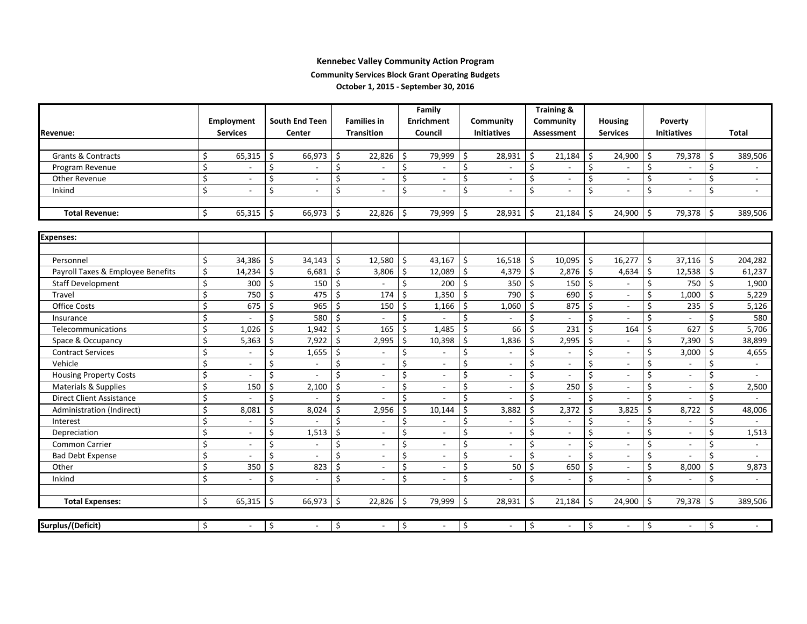#### **Community Services Block Grant Operating Budgets**

**October 1, 2015 ‐ September 30, 2016**

|                                   |    |                          |                       |                          |                   |                          | Family             |                          |                        |                          |                   | <b>Training &amp;</b>    |                 |                          |                    |                          |                    |                          |
|-----------------------------------|----|--------------------------|-----------------------|--------------------------|-------------------|--------------------------|--------------------|--------------------------|------------------------|--------------------------|-------------------|--------------------------|-----------------|--------------------------|--------------------|--------------------------|--------------------|--------------------------|
|                                   |    | Employment               | <b>South End Teen</b> |                          |                   | <b>Families in</b>       |                    | <b>Enrichment</b>        | Community              |                          | Community         |                          | <b>Housing</b>  |                          | <b>Poverty</b>     |                          |                    |                          |
| <b>Revenue:</b>                   |    | <b>Services</b>          | Center                |                          | <b>Transition</b> |                          | Council            |                          |                        | <b>Initiatives</b>       | <b>Assessment</b> |                          | <b>Services</b> |                          | <b>Initiatives</b> |                          |                    | <b>Total</b>             |
|                                   |    |                          |                       |                          |                   |                          |                    |                          |                        |                          |                   |                          |                 |                          |                    |                          |                    |                          |
| <b>Grants &amp; Contracts</b>     | Ś. | 65,315                   | Ś.                    | 66,973                   | Ś.                | 22,826                   | \$                 | 79,999                   | Ŝ.                     | 28,931                   | \$                | 21,184                   | \$              | 24,900                   | \$                 | 79,378                   | Ŝ.                 | 389,506                  |
| Program Revenue                   | \$ |                          | \$                    | $\overline{\phantom{a}}$ | \$                |                          | \$                 | $\overline{\phantom{a}}$ | \$                     |                          | \$                |                          | \$              |                          | \$                 | $\overline{\phantom{a}}$ | \$                 |                          |
| Other Revenue                     | \$ |                          | \$                    | $\overline{\phantom{a}}$ | \$                | $\overline{\phantom{a}}$ | \$                 | $\sim$                   | \$                     | $\sim$                   | \$                | $\blacksquare$           | \$              |                          | \$                 | $\sim$                   | \$                 | $\sim$                   |
| Inkind                            | \$ |                          | \$                    |                          | Ś                 | $\overline{a}$           | \$                 |                          | $\mathsf{\dot{S}}$     |                          | Ś.                |                          | \$              |                          | \$                 | $\sim$                   | Ś.                 | $\sim$                   |
|                                   |    |                          |                       |                          |                   |                          |                    |                          |                        |                          |                   |                          |                 |                          |                    |                          |                    |                          |
| <b>Total Revenue:</b>             | \$ | 65,315                   | \$                    | 66,973                   | \$                | 22,826                   | $\mathsf{\hat{S}}$ | 79,999                   | $\ddot{\varsigma}$     | 28,931                   | \$                | 21,184                   | \$              | 24,900                   | \$                 | 79,378 \$                |                    | 389,506                  |
|                                   |    |                          |                       |                          |                   |                          |                    |                          |                        |                          |                   |                          |                 |                          |                    |                          |                    |                          |
| <b>Expenses:</b>                  |    |                          |                       |                          |                   |                          |                    |                          |                        |                          |                   |                          |                 |                          |                    |                          |                    |                          |
|                                   |    |                          |                       |                          |                   |                          |                    |                          |                        |                          |                   |                          |                 |                          |                    |                          |                    |                          |
| Personnel                         | \$ | 34,386                   | \$                    | 34,143                   | \$                | 12,580                   | \$                 | 43,167                   | $\ddot{\varsigma}$     | 16,518                   | \$                | 10,095                   | \$              | 16,277                   | \$                 | 37,116                   | -\$                | 204,282                  |
| Payroll Taxes & Employee Benefits | \$ | 14,234                   | \$                    | 6,681                    | Ś                 | 3,806                    | \$                 | 12,089                   | $\mathsf{\hat{S}}$     | 4,379                    | \$                | 2,876                    | \$              | 4,634                    | \$                 | 12,538                   | $\ddot{\varsigma}$ | 61,237                   |
| <b>Staff Development</b>          | \$ | 300                      | \$                    | 150                      | Ś                 |                          | \$                 | 200                      | $\ddot{\mathsf{S}}$    | 350                      | \$                | 150                      | $\zeta$         | $\overline{\phantom{a}}$ | \$                 | 750                      | \$                 | 1,900                    |
| Travel                            | \$ | 750                      | Ś.                    | 475                      | Ś                 | 174                      | \$                 | 1,350                    | $\mathsf{\hat{S}}$     | 790                      | $\zeta$           | 690                      | \$              | $\overline{\phantom{a}}$ | \$                 | 1,000                    | Ś.                 | 5,229                    |
| <b>Office Costs</b>               | \$ | 675                      | Ś                     | 965                      | Ś                 | 150                      | \$                 | 1,166                    | \$                     | 1,060                    | \$                | 875                      | \$              | $\overline{\phantom{a}}$ | \$                 | 235                      | Ś                  | 5,126                    |
| Insurance                         | \$ |                          | \$                    | 580                      | Ś                 |                          | \$                 |                          | \$                     |                          | \$                |                          | \$              |                          | \$                 |                          | Ś                  | 580                      |
| Telecommunications                | \$ | 1,026                    | \$                    | 1,942                    | \$                | 165                      | \$                 | 1,485                    | $\ddot{\varsigma}$     | 66                       | \$                | 231                      | \$              | 164                      | \$                 | 627                      | Ś.                 | 5,706                    |
| Space & Occupancy                 | \$ | 5,363                    | \$                    | 7,922                    | Ś                 | 2,995                    | \$                 | 10,398                   | \$                     | 1,836                    | \$                | 2,995                    | \$              | $\sim$                   | \$                 | 7,390                    | Ś                  | 38,899                   |
| <b>Contract Services</b>          | \$ | $\blacksquare$           | \$                    | 1,655                    | Ś                 | $\overline{\phantom{a}}$ | \$                 |                          | $\zeta$                | $\overline{\phantom{a}}$ | \$                | $\blacksquare$           | \$              |                          | Ś                  | 3,000                    | Ŝ.                 | 4,655                    |
| Vehicle                           | \$ | $\blacksquare$           | \$                    | $\overline{\phantom{a}}$ | Ś                 | $\blacksquare$           | \$                 | $\overline{\phantom{a}}$ | \$                     | $\overline{\phantom{a}}$ | \$                | $\overline{\phantom{a}}$ | \$              | $\overline{\phantom{a}}$ | \$                 | $\blacksquare$           | Ś                  | $\overline{\phantom{a}}$ |
| <b>Housing Property Costs</b>     | \$ |                          | \$                    | $\sim$                   | Ś                 | $\overline{\phantom{a}}$ | \$                 |                          | $\zeta$                | $\blacksquare$           | \$                |                          | $\zeta$         |                          | \$                 | $\overline{\phantom{a}}$ | \$                 | $\sim$                   |
| Materials & Supplies              | \$ | 150                      | \$                    | 2,100                    | Ś                 | $\overline{\phantom{a}}$ | \$                 |                          | $\zeta$                | $\sim$                   | \$                | 250                      | \$              | $\sim$                   | \$                 | $\overline{\phantom{a}}$ | \$                 | 2,500                    |
| <b>Direct Client Assistance</b>   | \$ |                          | \$                    |                          | Ś                 |                          | \$                 |                          | \$                     |                          | \$                |                          | \$              |                          | \$                 | $\sim$                   | Ś                  |                          |
| Administration (Indirect)         | \$ | 8,081                    | \$                    | 8,024                    | Ś                 | 2,956                    | \$                 | 10,144                   | \$                     | 3,882                    | \$                | 2,372                    | \$              | 3,825                    | \$                 | 8,722                    | \$                 | 48,006                   |
| Interest                          | \$ |                          | \$                    |                          | Ś                 |                          | \$                 |                          | \$                     | $\overline{a}$           | \$                | $\sim$                   | \$              | $\sim$                   | \$                 | $\overline{\phantom{a}}$ | \$                 |                          |
| Depreciation                      | \$ |                          | \$                    | 1,513                    | \$                |                          | \$                 |                          | \$                     | $\sim$                   | \$                |                          | \$              |                          | \$                 | $\overline{a}$           | \$                 | 1,513                    |
| <b>Common Carrier</b>             | \$ | $\sim$                   | \$                    | $\overline{\phantom{a}}$ | \$                | $\blacksquare$           | \$                 | $\sim$                   | $\overline{\varsigma}$ | $\blacksquare$           | Ś                 | $\sim$                   | \$              | $\sim$                   | \$                 | $\blacksquare$           | Ś                  | $\blacksquare$           |
| <b>Bad Debt Expense</b>           | \$ |                          | \$                    |                          | Ś                 |                          | \$                 |                          | $\zeta$                |                          | \$                | $\mathbf{r}$             | \$              |                          | \$                 |                          | Ś                  |                          |
| Other                             | \$ | 350                      | \$                    | 823                      | Ś                 | $\overline{a}$           | \$                 | $\sim$                   | \$                     | 50                       | \$                | 650                      | \$              | $\overline{a}$           | \$                 | 8,000                    | \$                 | 9,873                    |
| Inkind                            | \$ |                          | \$                    |                          | Ś                 |                          | \$                 |                          | \$                     |                          | Ś                 | $\sim$                   | \$              |                          | \$                 | $\sim$                   | Ś                  | $\sim$                   |
|                                   |    |                          |                       |                          |                   |                          |                    |                          |                        |                          |                   |                          |                 |                          |                    |                          |                    |                          |
| <b>Total Expenses:</b>            | \$ | 65,315                   | \$                    | 66,973                   | \$                | 22,826                   | $\mathsf{\hat{S}}$ | 79,999                   | $\mathsf{\hat{S}}$     | 28,931                   | \$                | 21,184                   | \$              | 24,900                   | \$                 | 79,378 \$                |                    | 389,506                  |
|                                   |    |                          |                       |                          |                   |                          |                    |                          |                        |                          |                   |                          |                 |                          |                    |                          |                    |                          |
| Surplus/(Deficit)                 | \$ | $\overline{\phantom{a}}$ | \$                    | $\overline{a}$           | \$                | $\overline{a}$           | \$                 | $\overline{\phantom{a}}$ | \$                     | $\overline{\phantom{a}}$ | \$                |                          | \$              |                          | \$                 | $\overline{\phantom{a}}$ | \$                 | $\sim$                   |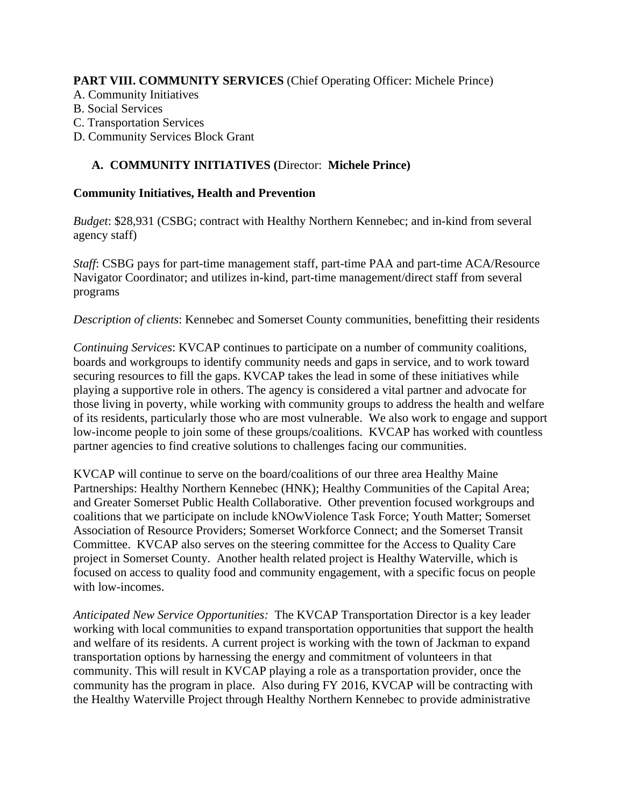### **PART VIII. COMMUNITY SERVICES** (Chief Operating Officer: Michele Prince)

- A. Community Initiatives
- B. Social Services
- C. Transportation Services
- D. Community Services Block Grant

### **A. COMMUNITY INITIATIVES (**Director: **Michele Prince)**

#### **Community Initiatives, Health and Prevention**

*Budget*: \$28,931 (CSBG; contract with Healthy Northern Kennebec; and in-kind from several agency staff)

*Staff*: CSBG pays for part-time management staff, part-time PAA and part-time ACA/Resource Navigator Coordinator; and utilizes in-kind, part-time management/direct staff from several programs

*Description of clients*: Kennebec and Somerset County communities, benefitting their residents

*Continuing Services*: KVCAP continues to participate on a number of community coalitions, boards and workgroups to identify community needs and gaps in service, and to work toward securing resources to fill the gaps. KVCAP takes the lead in some of these initiatives while playing a supportive role in others. The agency is considered a vital partner and advocate for those living in poverty, while working with community groups to address the health and welfare of its residents, particularly those who are most vulnerable. We also work to engage and support low-income people to join some of these groups/coalitions. KVCAP has worked with countless partner agencies to find creative solutions to challenges facing our communities.

KVCAP will continue to serve on the board/coalitions of our three area Healthy Maine Partnerships: Healthy Northern Kennebec (HNK); Healthy Communities of the Capital Area; and Greater Somerset Public Health Collaborative. Other prevention focused workgroups and coalitions that we participate on include kNOwViolence Task Force; Youth Matter; Somerset Association of Resource Providers; Somerset Workforce Connect; and the Somerset Transit Committee. KVCAP also serves on the steering committee for the Access to Quality Care project in Somerset County. Another health related project is Healthy Waterville, which is focused on access to quality food and community engagement, with a specific focus on people with low-incomes.

*Anticipated New Service Opportunities:* The KVCAP Transportation Director is a key leader working with local communities to expand transportation opportunities that support the health and welfare of its residents. A current project is working with the town of Jackman to expand transportation options by harnessing the energy and commitment of volunteers in that community. This will result in KVCAP playing a role as a transportation provider, once the community has the program in place. Also during FY 2016, KVCAP will be contracting with the Healthy Waterville Project through Healthy Northern Kennebec to provide administrative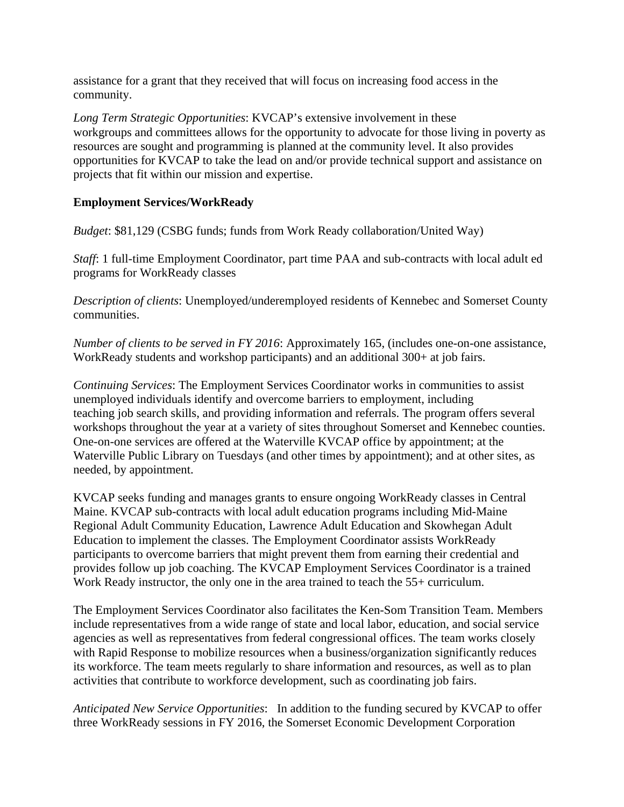assistance for a grant that they received that will focus on increasing food access in the community.

*Long Term Strategic Opportunities*: KVCAP's extensive involvement in these workgroups and committees allows for the opportunity to advocate for those living in poverty as resources are sought and programming is planned at the community level. It also provides opportunities for KVCAP to take the lead on and/or provide technical support and assistance on projects that fit within our mission and expertise.

### **Employment Services/WorkReady**

*Budget*: \$81,129 (CSBG funds; funds from Work Ready collaboration/United Way)

*Staff*: 1 full-time Employment Coordinator, part time PAA and sub-contracts with local adult ed programs for WorkReady classes

*Description of clients*: Unemployed/underemployed residents of Kennebec and Somerset County communities.

*Number of clients to be served in FY 2016*: Approximately 165, (includes one-on-one assistance, WorkReady students and workshop participants) and an additional 300+ at job fairs.

*Continuing Services*: The Employment Services Coordinator works in communities to assist unemployed individuals identify and overcome barriers to employment, including teaching job search skills, and providing information and referrals. The program offers several workshops throughout the year at a variety of sites throughout Somerset and Kennebec counties. One-on-one services are offered at the Waterville KVCAP office by appointment; at the Waterville Public Library on Tuesdays (and other times by appointment); and at other sites, as needed, by appointment.

KVCAP seeks funding and manages grants to ensure ongoing WorkReady classes in Central Maine. KVCAP sub-contracts with local adult education programs including Mid-Maine Regional Adult Community Education, Lawrence Adult Education and Skowhegan Adult Education to implement the classes. The Employment Coordinator assists WorkReady participants to overcome barriers that might prevent them from earning their credential and provides follow up job coaching. The KVCAP Employment Services Coordinator is a trained Work Ready instructor, the only one in the area trained to teach the 55+ curriculum.

The Employment Services Coordinator also facilitates the Ken-Som Transition Team. Members include representatives from a wide range of state and local labor, education, and social service agencies as well as representatives from federal congressional offices. The team works closely with Rapid Response to mobilize resources when a business/organization significantly reduces its workforce. The team meets regularly to share information and resources, as well as to plan activities that contribute to workforce development, such as coordinating job fairs.

*Anticipated New Service Opportunities*: In addition to the funding secured by KVCAP to offer three WorkReady sessions in FY 2016, the Somerset Economic Development Corporation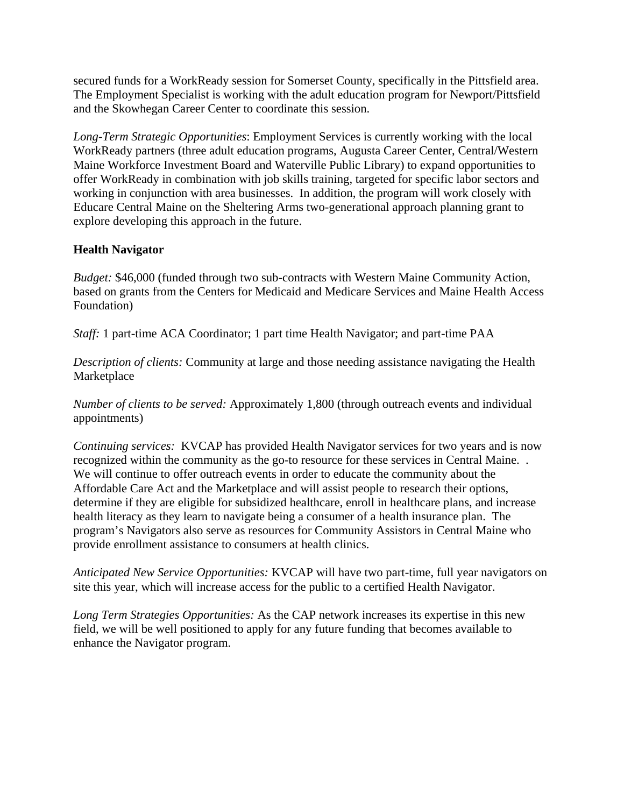secured funds for a WorkReady session for Somerset County, specifically in the Pittsfield area. The Employment Specialist is working with the adult education program for Newport/Pittsfield and the Skowhegan Career Center to coordinate this session.

*Long-Term Strategic Opportunities*: Employment Services is currently working with the local WorkReady partners (three adult education programs, Augusta Career Center, Central/Western Maine Workforce Investment Board and Waterville Public Library) to expand opportunities to offer WorkReady in combination with job skills training, targeted for specific labor sectors and working in conjunction with area businesses. In addition, the program will work closely with Educare Central Maine on the Sheltering Arms two-generational approach planning grant to explore developing this approach in the future.

### **Health Navigator**

*Budget:* \$46,000 (funded through two sub-contracts with Western Maine Community Action, based on grants from the Centers for Medicaid and Medicare Services and Maine Health Access Foundation)

*Staff:* 1 part-time ACA Coordinator; 1 part time Health Navigator; and part-time PAA

*Description of clients:* Community at large and those needing assistance navigating the Health Marketplace

*Number of clients to be served:* Approximately 1,800 (through outreach events and individual appointments)

*Continuing services:* KVCAP has provided Health Navigator services for two years and is now recognized within the community as the go-to resource for these services in Central Maine. . We will continue to offer outreach events in order to educate the community about the Affordable Care Act and the Marketplace and will assist people to research their options, determine if they are eligible for subsidized healthcare, enroll in healthcare plans, and increase health literacy as they learn to navigate being a consumer of a health insurance plan. The program's Navigators also serve as resources for Community Assistors in Central Maine who provide enrollment assistance to consumers at health clinics.

*Anticipated New Service Opportunities:* KVCAP will have two part-time, full year navigators on site this year, which will increase access for the public to a certified Health Navigator.

*Long Term Strategies Opportunities:* As the CAP network increases its expertise in this new field, we will be well positioned to apply for any future funding that becomes available to enhance the Navigator program.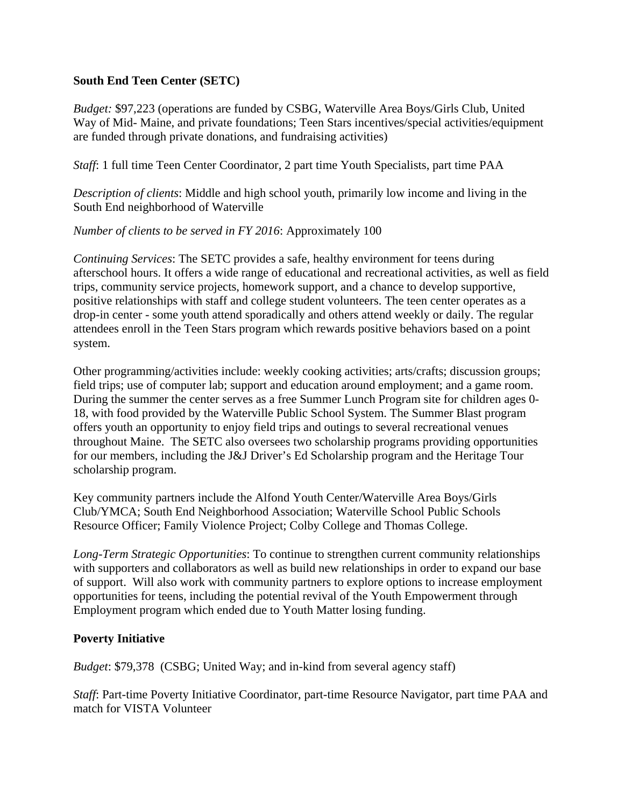#### **South End Teen Center (SETC)**

*Budget:* \$97,223 (operations are funded by CSBG, Waterville Area Boys/Girls Club, United Way of Mid- Maine, and private foundations; Teen Stars incentives/special activities/equipment are funded through private donations, and fundraising activities)

*Staff*: 1 full time Teen Center Coordinator, 2 part time Youth Specialists, part time PAA

*Description of clients*: Middle and high school youth, primarily low income and living in the South End neighborhood of Waterville

#### *Number of clients to be served in FY 2016*: Approximately 100

*Continuing Services*: The SETC provides a safe, healthy environment for teens during afterschool hours. It offers a wide range of educational and recreational activities, as well as field trips, community service projects, homework support, and a chance to develop supportive, positive relationships with staff and college student volunteers. The teen center operates as a drop-in center - some youth attend sporadically and others attend weekly or daily. The regular attendees enroll in the Teen Stars program which rewards positive behaviors based on a point system.

Other programming/activities include: weekly cooking activities; arts/crafts; discussion groups; field trips; use of computer lab; support and education around employment; and a game room. During the summer the center serves as a free Summer Lunch Program site for children ages 0- 18, with food provided by the Waterville Public School System. The Summer Blast program offers youth an opportunity to enjoy field trips and outings to several recreational venues throughout Maine. The SETC also oversees two scholarship programs providing opportunities for our members, including the J&J Driver's Ed Scholarship program and the Heritage Tour scholarship program.

Key community partners include the Alfond Youth Center/Waterville Area Boys/Girls Club/YMCA; South End Neighborhood Association; Waterville School Public Schools Resource Officer; Family Violence Project; Colby College and Thomas College.

*Long-Term Strategic Opportunities*: To continue to strengthen current community relationships with supporters and collaborators as well as build new relationships in order to expand our base of support. Will also work with community partners to explore options to increase employment opportunities for teens, including the potential revival of the Youth Empowerment through Employment program which ended due to Youth Matter losing funding.

### **Poverty Initiative**

*Budget*: \$79,378 (CSBG; United Way; and in-kind from several agency staff)

*Staff*: Part-time Poverty Initiative Coordinator, part-time Resource Navigator, part time PAA and match for VISTA Volunteer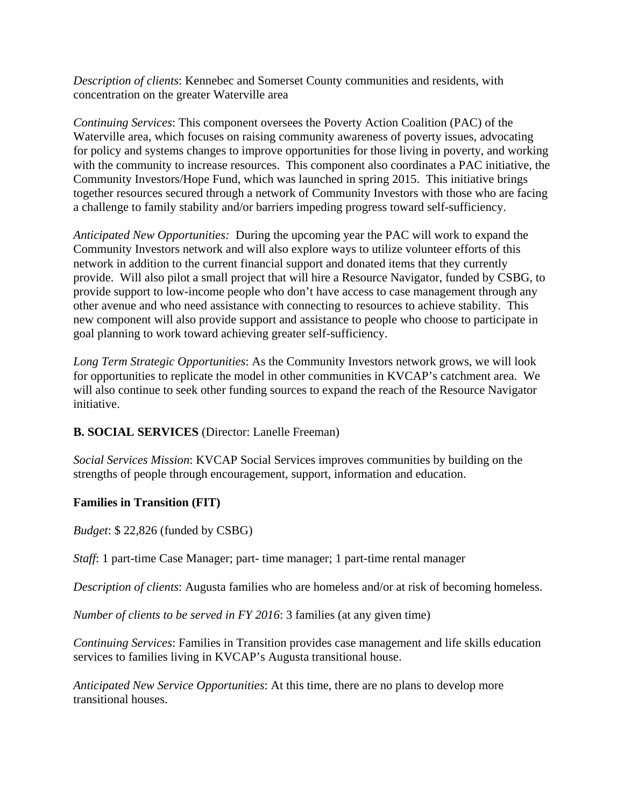*Description of clients*: Kennebec and Somerset County communities and residents, with concentration on the greater Waterville area

*Continuing Services*: This component oversees the Poverty Action Coalition (PAC) of the Waterville area, which focuses on raising community awareness of poverty issues, advocating for policy and systems changes to improve opportunities for those living in poverty, and working with the community to increase resources. This component also coordinates a PAC initiative, the Community Investors/Hope Fund, which was launched in spring 2015. This initiative brings together resources secured through a network of Community Investors with those who are facing a challenge to family stability and/or barriers impeding progress toward self-sufficiency.

*Anticipated New Opportunities:* During the upcoming year the PAC will work to expand the Community Investors network and will also explore ways to utilize volunteer efforts of this network in addition to the current financial support and donated items that they currently provide. Will also pilot a small project that will hire a Resource Navigator, funded by CSBG, to provide support to low-income people who don't have access to case management through any other avenue and who need assistance with connecting to resources to achieve stability. This new component will also provide support and assistance to people who choose to participate in goal planning to work toward achieving greater self-sufficiency.

*Long Term Strategic Opportunities*: As the Community Investors network grows, we will look for opportunities to replicate the model in other communities in KVCAP's catchment area. We will also continue to seek other funding sources to expand the reach of the Resource Navigator initiative.

### **B. SOCIAL SERVICES** (Director: Lanelle Freeman)

*Social Services Mission*: KVCAP Social Services improves communities by building on the strengths of people through encouragement, support, information and education.

#### **Families in Transition (FIT)**

*Budget*: \$ 22,826 (funded by CSBG)

*Staff*: 1 part-time Case Manager; part- time manager; 1 part-time rental manager

*Description of clients*: Augusta families who are homeless and/or at risk of becoming homeless.

*Number of clients to be served in FY 2016*: 3 families (at any given time)

*Continuing Services*: Families in Transition provides case management and life skills education services to families living in KVCAP's Augusta transitional house.

*Anticipated New Service Opportunities*: At this time, there are no plans to develop more transitional houses.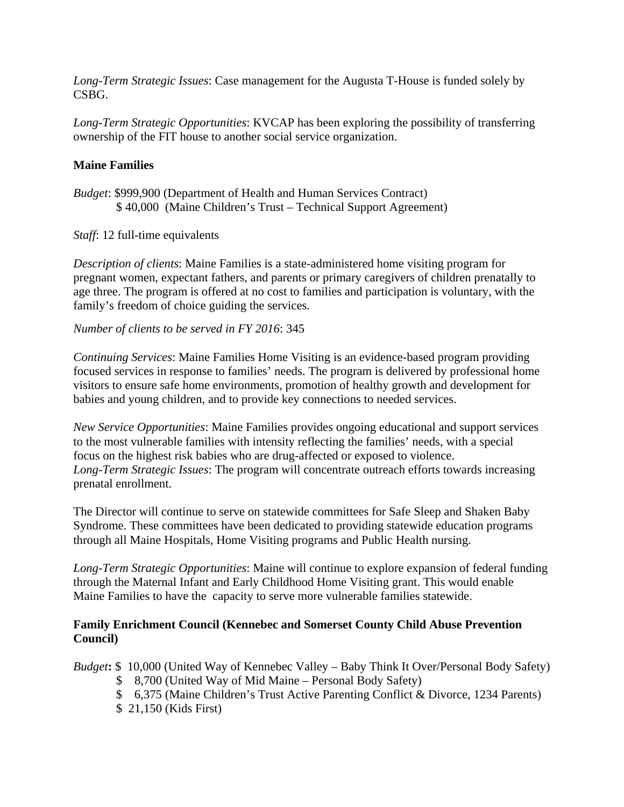*Long-Term Strategic Issues*: Case management for the Augusta T-House is funded solely by CSBG.

*Long-Term Strategic Opportunities*: KVCAP has been exploring the possibility of transferring ownership of the FIT house to another social service organization.

#### **Maine Families**

*Budget*: \$999,900 (Department of Health and Human Services Contract) \$ 40,000 (Maine Children's Trust – Technical Support Agreement)

*Staff*: 12 full-time equivalents

*Description of clients*: Maine Families is a state-administered home visiting program for pregnant women, expectant fathers, and parents or primary caregivers of children prenatally to age three. The program is offered at no cost to families and participation is voluntary, with the family's freedom of choice guiding the services.

*Number of clients to be served in FY 2016*: 345

*Continuing Services*: Maine Families Home Visiting is an evidence-based program providing focused services in response to families' needs. The program is delivered by professional home visitors to ensure safe home environments, promotion of healthy growth and development for babies and young children, and to provide key connections to needed services.

*New Service Opportunities*: Maine Families provides ongoing educational and support services to the most vulnerable families with intensity reflecting the families' needs, with a special focus on the highest risk babies who are drug-affected or exposed to violence. *Long-Term Strategic Issues*: The program will concentrate outreach efforts towards increasing prenatal enrollment.

The Director will continue to serve on statewide committees for Safe Sleep and Shaken Baby Syndrome. These committees have been dedicated to providing statewide education programs through all Maine Hospitals, Home Visiting programs and Public Health nursing.

*Long-Term Strategic Opportunities*: Maine will continue to explore expansion of federal funding through the Maternal Infant and Early Childhood Home Visiting grant. This would enable Maine Families to have the capacity to serve more vulnerable families statewide.

#### **Family Enrichment Council (Kennebec and Somerset County Child Abuse Prevention Council)**

*Budget***:** \$ 10,000 (United Way of Kennebec Valley – Baby Think It Over/Personal Body Safety)

- \$ 8,700 (United Way of Mid Maine Personal Body Safety)
- \$ 6,375 (Maine Children's Trust Active Parenting Conflict & Divorce, 1234 Parents)
- \$ 21,150 (Kids First)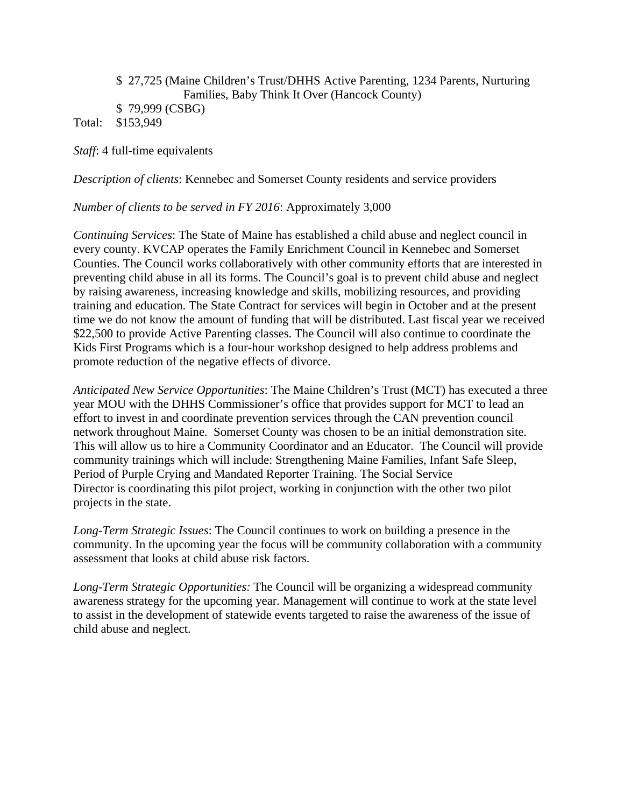#### \$ 27,725 (Maine Children's Trust/DHHS Active Parenting, 1234 Parents, Nurturing Families, Baby Think It Over (Hancock County) \$ 79,999 (CSBG) Total: \$153,949

*Staff*: 4 full-time equivalents

*Description of clients*: Kennebec and Somerset County residents and service providers

*Number of clients to be served in FY 2016*: Approximately 3,000

*Continuing Services*: The State of Maine has established a child abuse and neglect council in every county. KVCAP operates the Family Enrichment Council in Kennebec and Somerset Counties. The Council works collaboratively with other community efforts that are interested in preventing child abuse in all its forms. The Council's goal is to prevent child abuse and neglect by raising awareness, increasing knowledge and skills, mobilizing resources, and providing training and education. The State Contract for services will begin in October and at the present time we do not know the amount of funding that will be distributed. Last fiscal year we received \$22,500 to provide Active Parenting classes. The Council will also continue to coordinate the Kids First Programs which is a four-hour workshop designed to help address problems and promote reduction of the negative effects of divorce.

*Anticipated New Service Opportunities*: The Maine Children's Trust (MCT) has executed a three year MOU with the DHHS Commissioner's office that provides support for MCT to lead an effort to invest in and coordinate prevention services through the CAN prevention council network throughout Maine. Somerset County was chosen to be an initial demonstration site. This will allow us to hire a Community Coordinator and an Educator. The Council will provide community trainings which will include: Strengthening Maine Families, Infant Safe Sleep, Period of Purple Crying and Mandated Reporter Training. The Social Service Director is coordinating this pilot project, working in conjunction with the other two pilot projects in the state.

*Long-Term Strategic Issues*: The Council continues to work on building a presence in the community. In the upcoming year the focus will be community collaboration with a community assessment that looks at child abuse risk factors.

*Long-Term Strategic Opportunities:* The Council will be organizing a widespread community awareness strategy for the upcoming year. Management will continue to work at the state level to assist in the development of statewide events targeted to raise the awareness of the issue of child abuse and neglect.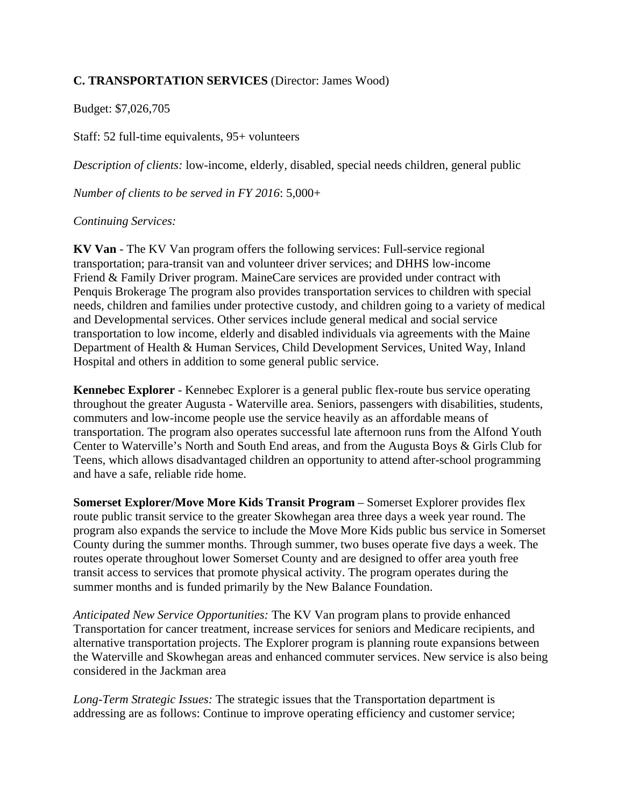### **C. TRANSPORTATION SERVICES** (Director: James Wood)

Budget: \$7,026,705

Staff: 52 full-time equivalents, 95+ volunteers

*Description of clients:* low-income, elderly, disabled, special needs children, general public

*Number of clients to be served in FY 2016*: 5,000+

### *Continuing Services:*

**KV Van** - The KV Van program offers the following services: Full-service regional transportation; para-transit van and volunteer driver services; and DHHS low-income Friend & Family Driver program. MaineCare services are provided under contract with Penquis Brokerage The program also provides transportation services to children with special needs, children and families under protective custody, and children going to a variety of medical and Developmental services. Other services include general medical and social service transportation to low income, elderly and disabled individuals via agreements with the Maine Department of Health & Human Services, Child Development Services, United Way, Inland Hospital and others in addition to some general public service.

**Kennebec Explorer** - Kennebec Explorer is a general public flex-route bus service operating throughout the greater Augusta - Waterville area. Seniors, passengers with disabilities, students, commuters and low-income people use the service heavily as an affordable means of transportation. The program also operates successful late afternoon runs from the Alfond Youth Center to Waterville's North and South End areas, and from the Augusta Boys & Girls Club for Teens, which allows disadvantaged children an opportunity to attend after-school programming and have a safe, reliable ride home.

**Somerset Explorer/Move More Kids Transit Program – Somerset Explorer provides flex** route public transit service to the greater Skowhegan area three days a week year round. The program also expands the service to include the Move More Kids public bus service in Somerset County during the summer months. Through summer, two buses operate five days a week. The routes operate throughout lower Somerset County and are designed to offer area youth free transit access to services that promote physical activity. The program operates during the summer months and is funded primarily by the New Balance Foundation.

*Anticipated New Service Opportunities:* The KV Van program plans to provide enhanced Transportation for cancer treatment, increase services for seniors and Medicare recipients, and alternative transportation projects. The Explorer program is planning route expansions between the Waterville and Skowhegan areas and enhanced commuter services. New service is also being considered in the Jackman area

*Long-Term Strategic Issues:* The strategic issues that the Transportation department is addressing are as follows: Continue to improve operating efficiency and customer service;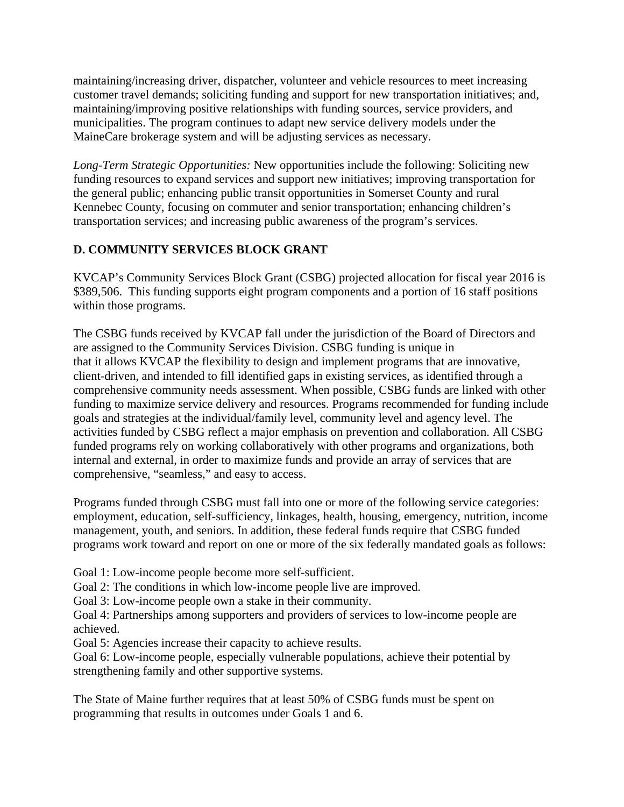maintaining/increasing driver, dispatcher, volunteer and vehicle resources to meet increasing customer travel demands; soliciting funding and support for new transportation initiatives; and, maintaining/improving positive relationships with funding sources, service providers, and municipalities. The program continues to adapt new service delivery models under the MaineCare brokerage system and will be adjusting services as necessary.

*Long-Term Strategic Opportunities:* New opportunities include the following: Soliciting new funding resources to expand services and support new initiatives; improving transportation for the general public; enhancing public transit opportunities in Somerset County and rural Kennebec County, focusing on commuter and senior transportation; enhancing children's transportation services; and increasing public awareness of the program's services.

### **D. COMMUNITY SERVICES BLOCK GRANT**

KVCAP's Community Services Block Grant (CSBG) projected allocation for fiscal year 2016 is \$389,506. This funding supports eight program components and a portion of 16 staff positions within those programs.

The CSBG funds received by KVCAP fall under the jurisdiction of the Board of Directors and are assigned to the Community Services Division. CSBG funding is unique in that it allows KVCAP the flexibility to design and implement programs that are innovative, client-driven, and intended to fill identified gaps in existing services, as identified through a comprehensive community needs assessment. When possible, CSBG funds are linked with other funding to maximize service delivery and resources. Programs recommended for funding include goals and strategies at the individual/family level, community level and agency level. The activities funded by CSBG reflect a major emphasis on prevention and collaboration. All CSBG funded programs rely on working collaboratively with other programs and organizations, both internal and external, in order to maximize funds and provide an array of services that are comprehensive, "seamless," and easy to access.

Programs funded through CSBG must fall into one or more of the following service categories: employment, education, self-sufficiency, linkages, health, housing, emergency, nutrition, income management, youth, and seniors. In addition, these federal funds require that CSBG funded programs work toward and report on one or more of the six federally mandated goals as follows:

Goal 1: Low-income people become more self-sufficient.

Goal 2: The conditions in which low-income people live are improved.

Goal 3: Low-income people own a stake in their community.

Goal 4: Partnerships among supporters and providers of services to low-income people are achieved.

Goal 5: Agencies increase their capacity to achieve results.

Goal 6: Low-income people, especially vulnerable populations, achieve their potential by strengthening family and other supportive systems.

The State of Maine further requires that at least 50% of CSBG funds must be spent on programming that results in outcomes under Goals 1 and 6.